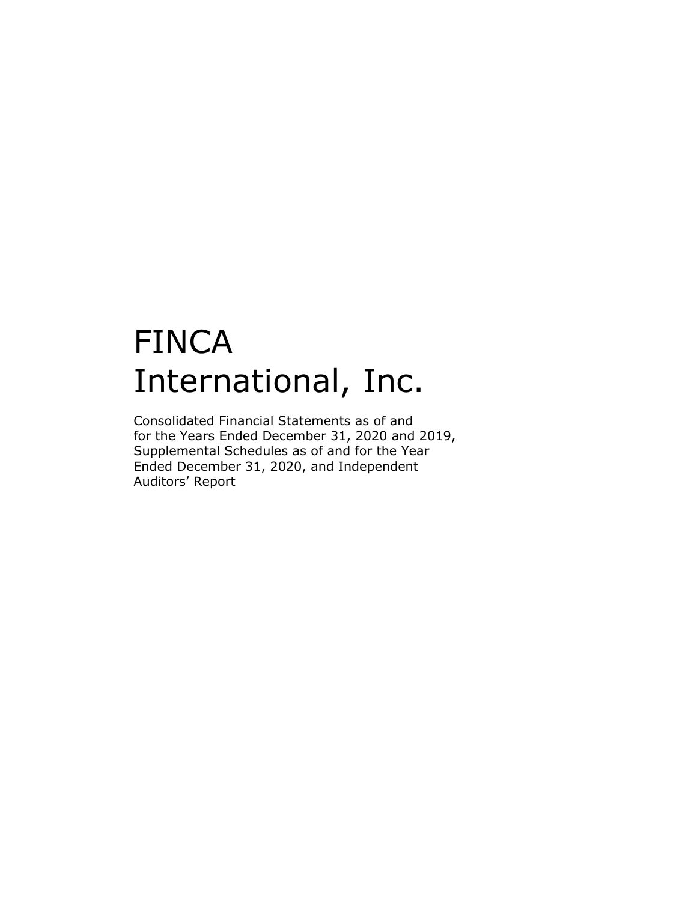# FINCA International, Inc.

Consolidated Financial Statements as of and for the Years Ended December 31, 2020 and 2019, Supplemental Schedules as of and for the Year Ended December 31, 2020, and Independent Auditors' Report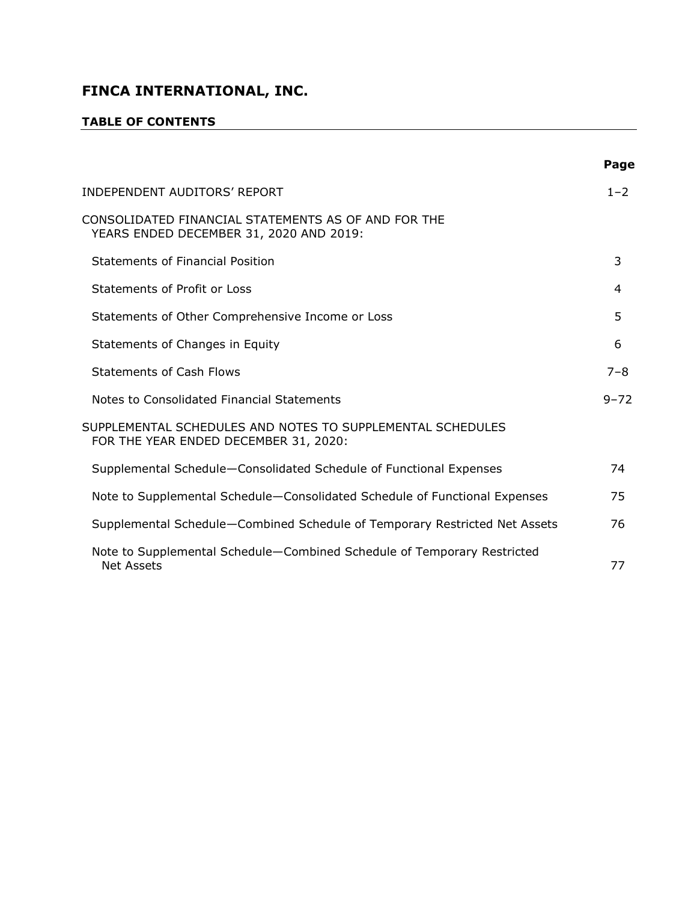# **TABLE OF CONTENTS**

|                                                                                                     | Page     |
|-----------------------------------------------------------------------------------------------------|----------|
| <b>INDEPENDENT AUDITORS' REPORT</b>                                                                 | $1 - 2$  |
| CONSOLIDATED FINANCIAL STATEMENTS AS OF AND FOR THE<br>YEARS ENDED DECEMBER 31, 2020 AND 2019:      |          |
| <b>Statements of Financial Position</b>                                                             | 3        |
| Statements of Profit or Loss                                                                        | 4        |
| Statements of Other Comprehensive Income or Loss                                                    | 5        |
| Statements of Changes in Equity                                                                     | 6        |
| <b>Statements of Cash Flows</b>                                                                     | $7 - 8$  |
| Notes to Consolidated Financial Statements                                                          | $9 - 72$ |
| SUPPLEMENTAL SCHEDULES AND NOTES TO SUPPLEMENTAL SCHEDULES<br>FOR THE YEAR ENDED DECEMBER 31, 2020: |          |
| Supplemental Schedule-Consolidated Schedule of Functional Expenses                                  | 74       |
| Note to Supplemental Schedule-Consolidated Schedule of Functional Expenses                          | 75       |
| Supplemental Schedule-Combined Schedule of Temporary Restricted Net Assets                          | 76       |
| Note to Supplemental Schedule-Combined Schedule of Temporary Restricted<br>Net Assets               | 77       |

<u> 1989 - Johann Stoff, deutscher Stoff, der Stoff, der Stoff, der Stoff, der Stoff, der Stoff, der Stoff, der </u>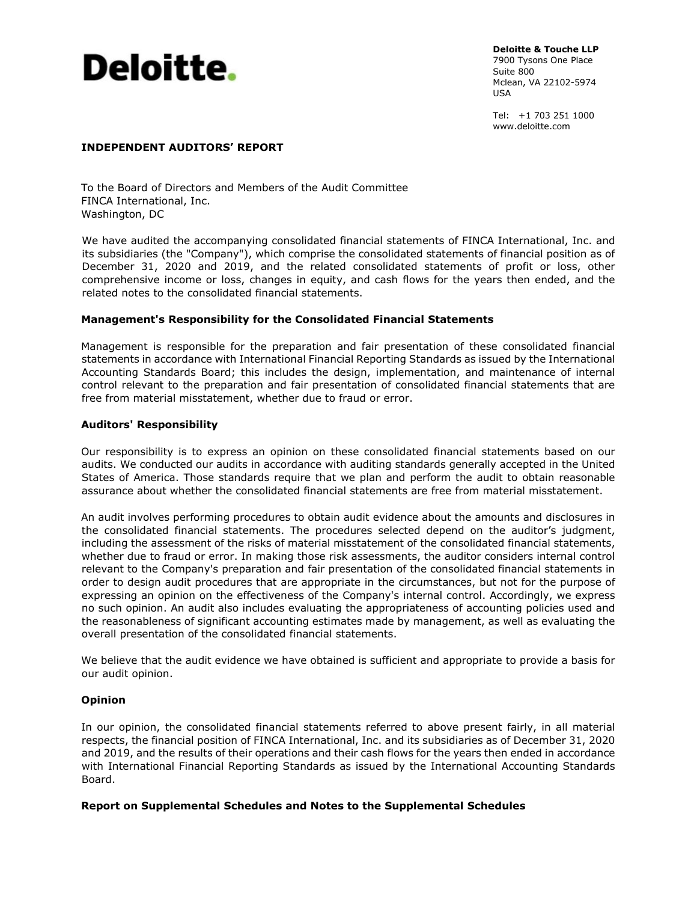

**Deloitte & Touche LLP** 7900 Tysons One Place Suite 800 Mclean, VA 22102-5974 USA

Tel: +1 703 251 1000 www.deloitte.com

#### **INDEPENDENT AUDITORS' REPORT**

To the Board of Directors and Members of the Audit Committee FINCA International, Inc. Washington, DC

We have audited the accompanying consolidated financial statements of FINCA International, Inc. and its subsidiaries (the "Company"), which comprise the consolidated statements of financial position as of December 31, 2020 and 2019, and the related consolidated statements of profit or loss, other comprehensive income or loss, changes in equity, and cash flows for the years then ended, and the related notes to the consolidated financial statements.

#### **Management's Responsibility for the Consolidated Financial Statements**

Management is responsible for the preparation and fair presentation of these consolidated financial statements in accordance with International Financial Reporting Standards as issued by the International Accounting Standards Board; this includes the design, implementation, and maintenance of internal control relevant to the preparation and fair presentation of consolidated financial statements that are free from material misstatement, whether due to fraud or error.

#### **Auditors' Responsibility**

Our responsibility is to express an opinion on these consolidated financial statements based on our audits. We conducted our audits in accordance with auditing standards generally accepted in the United States of America. Those standards require that we plan and perform the audit to obtain reasonable assurance about whether the consolidated financial statements are free from material misstatement.

An audit involves performing procedures to obtain audit evidence about the amounts and disclosures in the consolidated financial statements. The procedures selected depend on the auditor's judgment, including the assessment of the risks of material misstatement of the consolidated financial statements, whether due to fraud or error. In making those risk assessments, the auditor considers internal control relevant to the Company's preparation and fair presentation of the consolidated financial statements in order to design audit procedures that are appropriate in the circumstances, but not for the purpose of expressing an opinion on the effectiveness of the Company's internal control. Accordingly, we express no such opinion. An audit also includes evaluating the appropriateness of accounting policies used and the reasonableness of significant accounting estimates made by management, as well as evaluating the overall presentation of the consolidated financial statements.

We believe that the audit evidence we have obtained is sufficient and appropriate to provide a basis for our audit opinion.

#### **Opinion**

In our opinion, the consolidated financial statements referred to above present fairly, in all material respects, the financial position of FINCA International, Inc. and its subsidiaries as of December 31, 2020 and 2019, and the results of their operations and their cash flows for the years then ended in accordance with International Financial Reporting Standards as issued by the International Accounting Standards Board.

#### **Report on Supplemental Schedules and Notes to the Supplemental Schedules**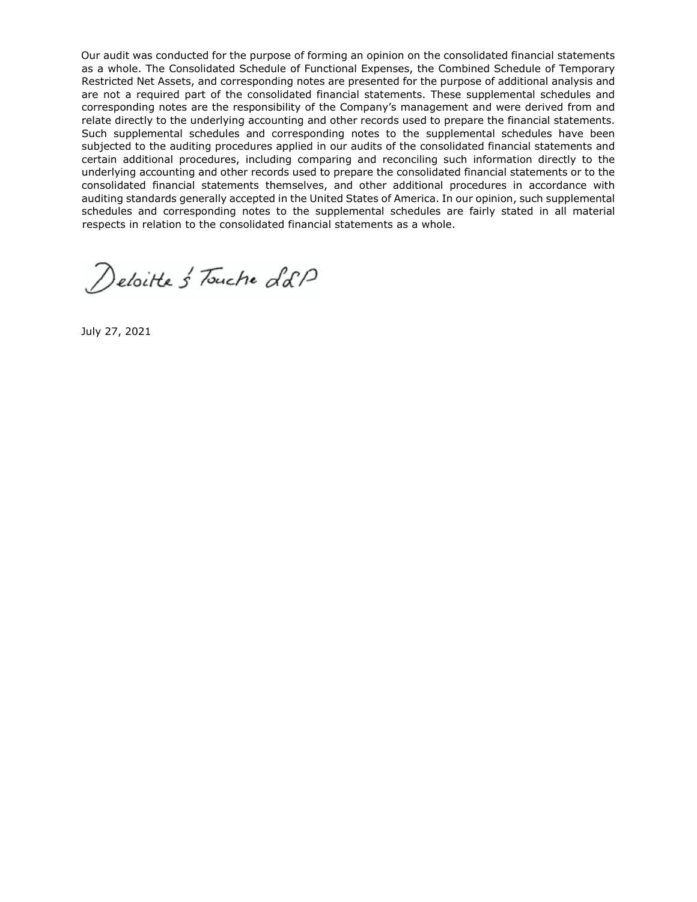Our audit was conducted for the purpose of forming an opinion on the consolidated financial statements as a whole. The Consolidated Schedule of Functional Expenses, the Combined Schedule of Temporary Restricted Net Assets, and corresponding notes are presented for the purpose of additional analysis and are not a required part of the consolidated financial statements. These supplemental schedules and corresponding notes are the responsibility of the Company's management and were derived from and relate directly to the underlying accounting and other records used to prepare the financial statements. Such supplemental schedules and corresponding notes to the supplemental schedules have been subjected to the auditing procedures applied in our audits of the consolidated financial statements and certain additional procedures, including comparing and reconciling such information directly to the underlying accounting and other records used to prepare the consolidated financial statements or to the consolidated financial statements themselves, and other additional procedures in accordance with auditing standards generally accepted in the United States of America. In our opinion, such supplemental schedules and corresponding notes to the supplemental schedules are fairly stated in all material respects in relation to the consolidated financial statements as a whole.

Deloitte & Touche daP

July 27, 2021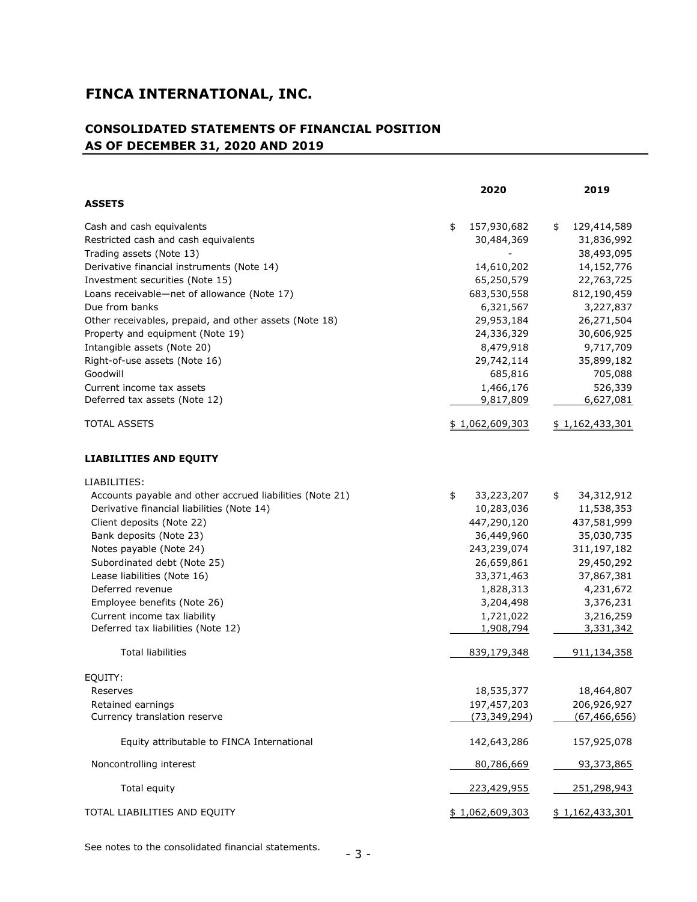## **CONSOLIDATED STATEMENTS OF FINANCIAL POSITION AS OF DECEMBER 31, 2020 AND 2019**

|                                                          | 2020               | 2019              |
|----------------------------------------------------------|--------------------|-------------------|
| <b>ASSETS</b>                                            |                    |                   |
| Cash and cash equivalents                                | 157,930,682<br>\$  | 129,414,589<br>\$ |
| Restricted cash and cash equivalents                     | 30,484,369         | 31,836,992        |
| Trading assets (Note 13)                                 |                    | 38,493,095        |
| Derivative financial instruments (Note 14)               | 14,610,202         | 14,152,776        |
| Investment securities (Note 15)                          | 65,250,579         | 22,763,725        |
| Loans receivable-net of allowance (Note 17)              | 683,530,558        | 812,190,459       |
| Due from banks                                           | 6,321,567          | 3,227,837         |
| Other receivables, prepaid, and other assets (Note 18)   | 29,953,184         | 26,271,504        |
| Property and equipment (Note 19)                         | 24,336,329         | 30,606,925        |
| Intangible assets (Note 20)                              | 8,479,918          | 9,717,709         |
| Right-of-use assets (Note 16)                            | 29,742,114         | 35,899,182        |
| Goodwill                                                 | 685,816            | 705,088           |
| Current income tax assets                                | 1,466,176          | 526,339           |
| Deferred tax assets (Note 12)                            | 9,817,809          | 6,627,081         |
| <b>TOTAL ASSETS</b>                                      | \$1,062,609,303    | \$1,162,433,301   |
| <b>LIABILITIES AND EQUITY</b>                            |                    |                   |
| LIABILITIES:                                             |                    |                   |
| Accounts payable and other accrued liabilities (Note 21) | \$<br>33,223,207   | \$<br>34,312,912  |
| Derivative financial liabilities (Note 14)               | 10,283,036         | 11,538,353        |
| Client deposits (Note 22)                                | 447,290,120        | 437,581,999       |
| Bank deposits (Note 23)                                  | 36,449,960         | 35,030,735        |
| Notes payable (Note 24)                                  | 243,239,074        | 311,197,182       |
| Subordinated debt (Note 25)                              | 26,659,861         | 29,450,292        |
| Lease liabilities (Note 16)                              | 33,371,463         | 37,867,381        |
| Deferred revenue                                         | 1,828,313          | 4,231,672         |
| Employee benefits (Note 26)                              | 3,204,498          | 3,376,231         |
| Current income tax liability                             | 1,721,022          | 3,216,259         |
| Deferred tax liabilities (Note 12)                       | 1,908,794          | 3,331,342         |
| <b>Total liabilities</b>                                 | 839,179,348        | 911,134,358       |
| EQUITY:                                                  |                    |                   |
| Reserves                                                 | 18,535,377         | 18,464,807        |
| Retained earnings                                        | 197,457,203        | 206,926,927       |
| Currency translation reserve                             | (73, 349, 294)     | (67, 466, 656)    |
| Equity attributable to FINCA International               | 142,643,286        | 157,925,078       |
| Noncontrolling interest                                  | 80,786,669         | 93,373,865        |
| Total equity                                             | <u>223,429,955</u> | 251,298,943       |
| TOTAL LIABILITIES AND EQUITY                             | \$1,062,609,303    | \$1,162,433,301   |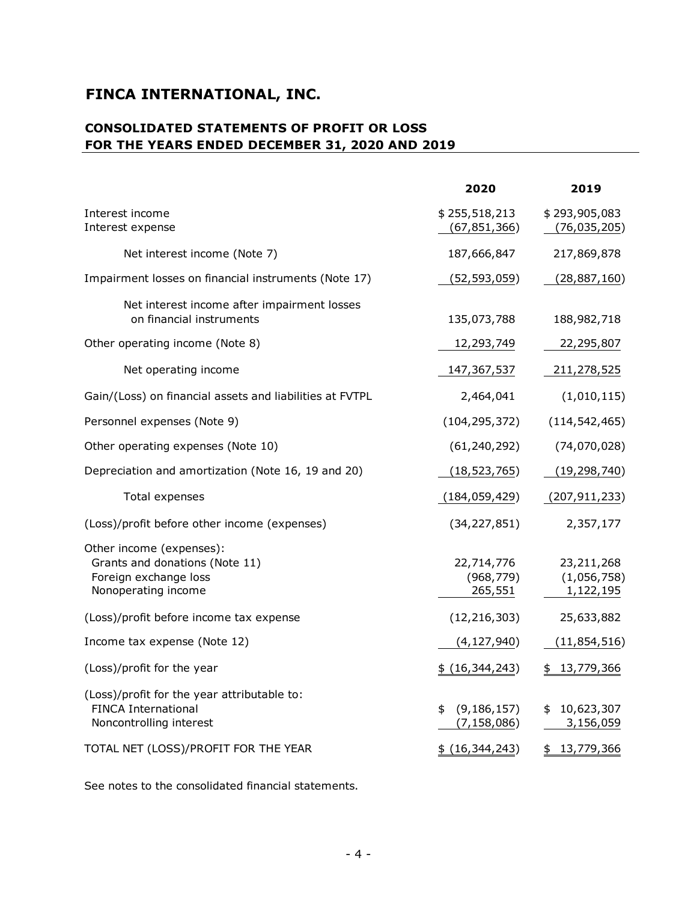# **CONSOLIDATED STATEMENTS OF PROFIT OR LOSS FOR THE YEARS ENDED DECEMBER 31, 2020 AND 2019**

|                                                                                                            | 2020                                 | 2019                                     |
|------------------------------------------------------------------------------------------------------------|--------------------------------------|------------------------------------------|
| Interest income<br>Interest expense                                                                        | \$255,518,213<br>(67, 851, 366)      | \$293,905,083<br>(76, 035, 205)          |
| Net interest income (Note 7)                                                                               | 187,666,847                          | 217,869,878                              |
| Impairment losses on financial instruments (Note 17)                                                       | (52, 593, 059)                       | (28, 887, 160)                           |
| Net interest income after impairment losses<br>on financial instruments                                    | 135,073,788                          | 188,982,718                              |
| Other operating income (Note 8)                                                                            | 12,293,749                           | 22,295,807                               |
| Net operating income                                                                                       | 147,367,537                          | 211, 278, 525                            |
| Gain/(Loss) on financial assets and liabilities at FVTPL                                                   | 2,464,041                            | (1,010,115)                              |
| Personnel expenses (Note 9)                                                                                | (104, 295, 372)                      | (114, 542, 465)                          |
| Other operating expenses (Note 10)                                                                         | (61, 240, 292)                       | (74,070,028)                             |
| Depreciation and amortization (Note 16, 19 and 20)                                                         | (18, 523, 765)                       | (19, 298, 740)                           |
| Total expenses                                                                                             | (184, 059, 429)                      | (207, 911, 233)                          |
| (Loss)/profit before other income (expenses)                                                               | (34, 227, 851)                       | 2,357,177                                |
| Other income (expenses):<br>Grants and donations (Note 11)<br>Foreign exchange loss<br>Nonoperating income | 22,714,776<br>(968, 779)<br>265,551  | 23, 211, 268<br>(1,056,758)<br>1,122,195 |
| (Loss)/profit before income tax expense                                                                    | (12, 216, 303)                       | 25,633,882                               |
| Income tax expense (Note 12)                                                                               | (4, 127, 940)                        | (11,854,516)                             |
| (Loss)/profit for the year                                                                                 | \$ (16, 344, 243)                    | \$13,779,366                             |
| (Loss)/profit for the year attributable to:<br><b>FINCA International</b><br>Noncontrolling interest       | (9, 186, 157)<br>\$<br>(7, 158, 086) | 10,623,307<br>3,156,059                  |
| TOTAL NET (LOSS)/PROFIT FOR THE YEAR                                                                       | \$ (16, 344, 243)                    | \$13,779,366                             |

See notes to the consolidated financial statements.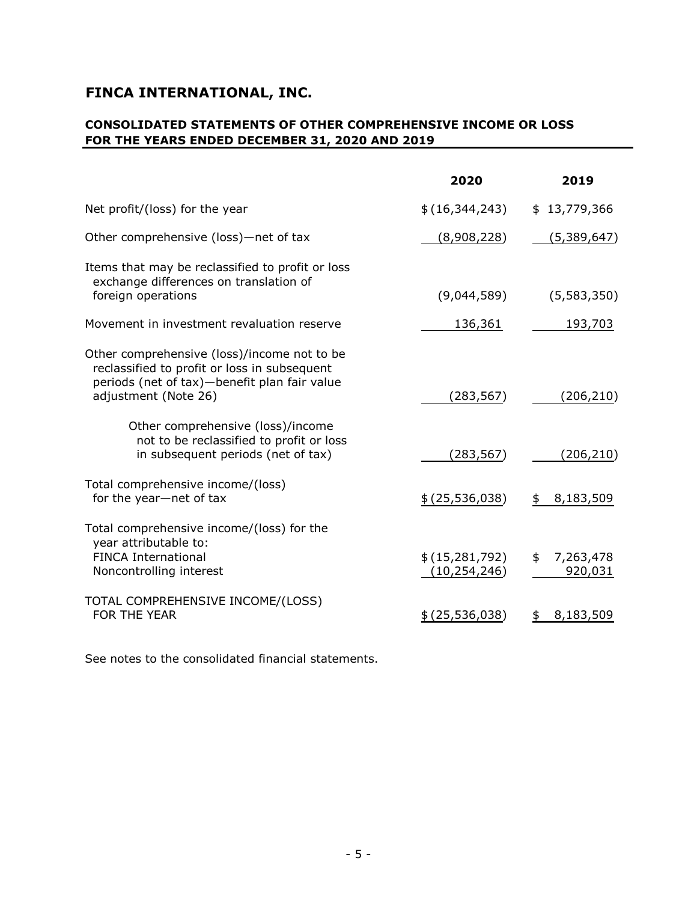## **CONSOLIDATED STATEMENTS OF OTHER COMPREHENSIVE INCOME OR LOSS FOR THE YEARS ENDED DECEMBER 31, 2020 AND 2019**

|                                                                                                                                                                     | 2020                               | 2019                       |
|---------------------------------------------------------------------------------------------------------------------------------------------------------------------|------------------------------------|----------------------------|
| Net profit/(loss) for the year                                                                                                                                      | \$(16, 344, 243)                   | \$13,779,366               |
| Other comprehensive (loss)-net of tax                                                                                                                               | (8,908,228)                        | (5,389,647)                |
| Items that may be reclassified to profit or loss<br>exchange differences on translation of<br>foreign operations                                                    | (9,044,589)                        | (5,583,350)                |
| Movement in investment revaluation reserve                                                                                                                          | 136,361                            | 193,703                    |
| Other comprehensive (loss)/income not to be<br>reclassified to profit or loss in subsequent<br>periods (net of tax)-benefit plan fair value<br>adjustment (Note 26) | (283, 567)                         | (206, 210)                 |
| Other comprehensive (loss)/income<br>not to be reclassified to profit or loss<br>in subsequent periods (net of tax)                                                 | (283, 567)                         | (206,210)                  |
| Total comprehensive income/(loss)<br>for the year-net of tax                                                                                                        | \$(25,536,038)                     | 8,183,509<br>\$            |
| Total comprehensive income/(loss) for the<br>year attributable to:<br><b>FINCA International</b><br>Noncontrolling interest                                         | \$(15, 281, 792)<br>(10, 254, 246) | 7,263,478<br>\$<br>920,031 |
| TOTAL COMPREHENSIVE INCOME/(LOSS)<br>FOR THE YEAR                                                                                                                   | \$(25,536,038)                     | 8,183,509                  |

See notes to the consolidated financial statements.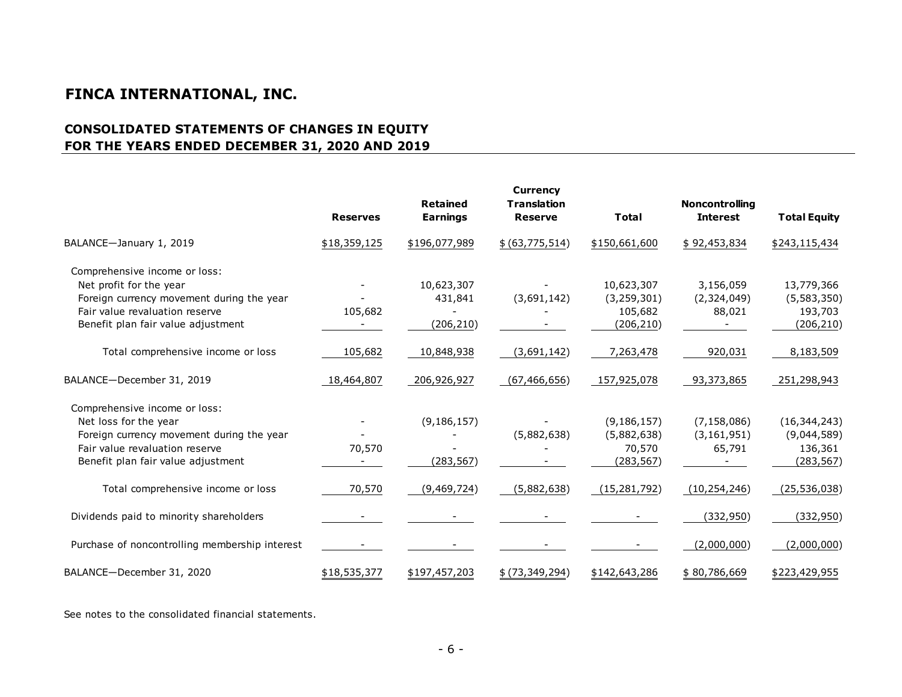# **CONSOLIDATED STATEMENTS OF CHANGES IN EQUITY FOR THE YEARS ENDED DECEMBER 31, 2020 AND 2019**

|                                                | <b>Reserves</b> | <b>Retained</b><br><b>Earnings</b> | <b>Currency</b><br><b>Translation</b><br><b>Reserve</b> | <b>Total</b>   | <b>Noncontrolling</b><br><b>Interest</b> | <b>Total Equity</b> |
|------------------------------------------------|-----------------|------------------------------------|---------------------------------------------------------|----------------|------------------------------------------|---------------------|
| BALANCE-January 1, 2019                        | \$18,359,125    | \$196,077,989                      | \$ (63, 775, 514)                                       | \$150,661,600  | \$92,453,834                             | \$243,115,434       |
| Comprehensive income or loss:                  |                 |                                    |                                                         |                |                                          |                     |
| Net profit for the year                        |                 | 10,623,307                         |                                                         | 10,623,307     | 3,156,059                                | 13,779,366          |
| Foreign currency movement during the year      |                 | 431,841                            | (3,691,142)                                             | (3, 259, 301)  | (2,324,049)                              | (5,583,350)         |
| Fair value revaluation reserve                 | 105,682         |                                    |                                                         | 105,682        | 88,021                                   | 193,703             |
| Benefit plan fair value adjustment             |                 | (206, 210)                         |                                                         | (206, 210)     |                                          | (206, 210)          |
| Total comprehensive income or loss             | 105,682         | 10,848,938                         | (3,691,142)                                             | 7,263,478      | 920,031                                  | 8,183,509           |
| BALANCE-December 31, 2019                      | 18,464,807      | 206,926,927                        | (67, 466, 656)                                          | 157,925,078    | 93,373,865                               | 251,298,943         |
| Comprehensive income or loss:                  |                 |                                    |                                                         |                |                                          |                     |
| Net loss for the year                          |                 | (9, 186, 157)                      |                                                         | (9, 186, 157)  | (7, 158, 086)                            | (16, 344, 243)      |
| Foreign currency movement during the year      |                 |                                    | (5,882,638)                                             | (5,882,638)    | (3, 161, 951)                            | (9,044,589)         |
| Fair value revaluation reserve                 | 70,570          |                                    |                                                         | 70,570         | 65,791                                   | 136,361             |
| Benefit plan fair value adjustment             |                 | (283, 567)                         |                                                         | (283, 567)     |                                          | (283, 567)          |
| Total comprehensive income or loss             | 70,570          | (9, 469, 724)                      | (5,882,638)                                             | (15, 281, 792) | (10, 254, 246)                           | (25,536,038)        |
| Dividends paid to minority shareholders        |                 |                                    |                                                         |                | (332, 950)                               | (332,950)           |
| Purchase of noncontrolling membership interest |                 |                                    |                                                         |                | (2,000,000)                              | (2,000,000)         |
| BALANCE-December 31, 2020                      | \$18,535,377    | \$197,457,203                      | $$$ (73,349,294)                                        | \$142,643,286  | \$80,786,669                             | \$223,429,955       |

See notes to the consolidated financial statements.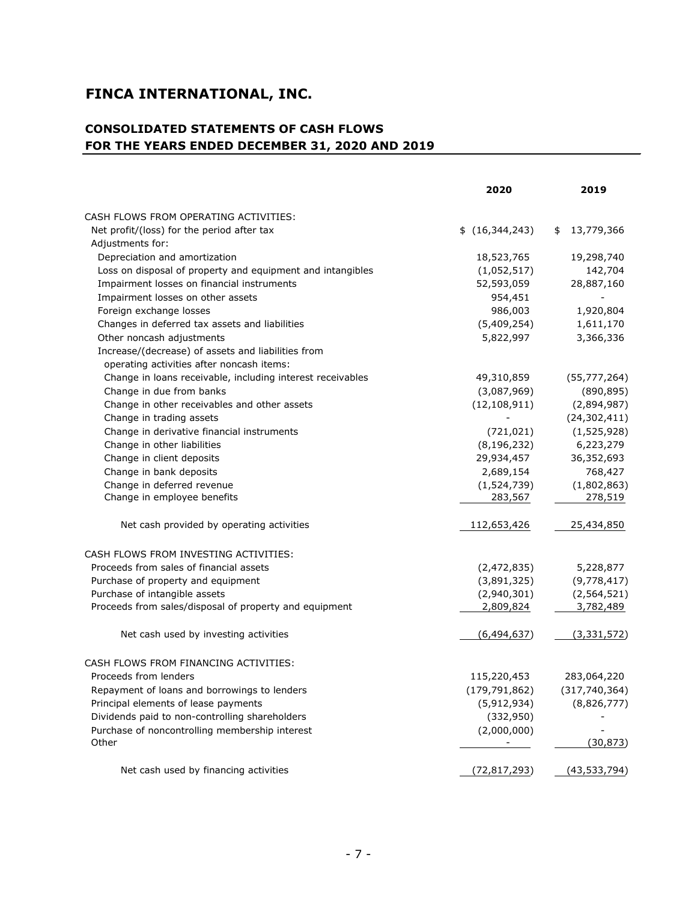# **CONSOLIDATED STATEMENTS OF CASH FLOWS FOR THE YEARS ENDED DECEMBER 31, 2020 AND 2019**

|                                                            | 2020            | 2019             |
|------------------------------------------------------------|-----------------|------------------|
| CASH FLOWS FROM OPERATING ACTIVITIES:                      |                 |                  |
| Net profit/(loss) for the period after tax                 | \$(16,344,243)  | 13,779,366<br>\$ |
| Adjustments for:                                           |                 |                  |
| Depreciation and amortization                              | 18,523,765      | 19,298,740       |
| Loss on disposal of property and equipment and intangibles | (1,052,517)     | 142,704          |
| Impairment losses on financial instruments                 | 52,593,059      | 28,887,160       |
| Impairment losses on other assets                          | 954,451         | $\sim$           |
| Foreign exchange losses                                    | 986,003         | 1,920,804        |
| Changes in deferred tax assets and liabilities             | (5,409,254)     | 1,611,170        |
| Other noncash adjustments                                  | 5,822,997       | 3,366,336        |
| Increase/(decrease) of assets and liabilities from         |                 |                  |
| operating activities after noncash items:                  |                 |                  |
| Change in loans receivable, including interest receivables | 49,310,859      | (55, 777, 264)   |
| Change in due from banks                                   | (3,087,969)     | (890, 895)       |
| Change in other receivables and other assets               | (12, 108, 911)  | (2,894,987)      |
| Change in trading assets                                   |                 | (24, 302, 411)   |
| Change in derivative financial instruments                 | (721, 021)      | (1,525,928)      |
| Change in other liabilities                                | (8, 196, 232)   | 6,223,279        |
| Change in client deposits                                  | 29,934,457      | 36,352,693       |
| Change in bank deposits                                    | 2,689,154       | 768,427          |
| Change in deferred revenue                                 | (1,524,739)     | (1,802,863)      |
| Change in employee benefits                                | 283,567         | 278,519          |
| Net cash provided by operating activities                  | 112,653,426     | 25,434,850       |
| CASH FLOWS FROM INVESTING ACTIVITIES:                      |                 |                  |
| Proceeds from sales of financial assets                    | (2,472,835)     | 5,228,877        |
| Purchase of property and equipment                         | (3,891,325)     | (9,778,417)      |
| Purchase of intangible assets                              | (2,940,301)     | (2, 564, 521)    |
| Proceeds from sales/disposal of property and equipment     | 2,809,824       | 3,782,489        |
| Net cash used by investing activities                      | (6,494,637)     | (3,331,572)      |
| CASH FLOWS FROM FINANCING ACTIVITIES:                      |                 |                  |
| Proceeds from lenders                                      | 115,220,453     | 283,064,220      |
| Repayment of loans and borrowings to lenders               | (179, 791, 862) | (317, 740, 364)  |
| Principal elements of lease payments                       | (5,912,934)     | (8,826,777)      |
| Dividends paid to non-controlling shareholders             | (332,950)       |                  |
| Purchase of noncontrolling membership interest             | (2,000,000)     |                  |
| Other                                                      |                 | (30, 873)        |
| Net cash used by financing activities                      | (72, 817, 293)  | (43, 533, 794)   |
|                                                            |                 |                  |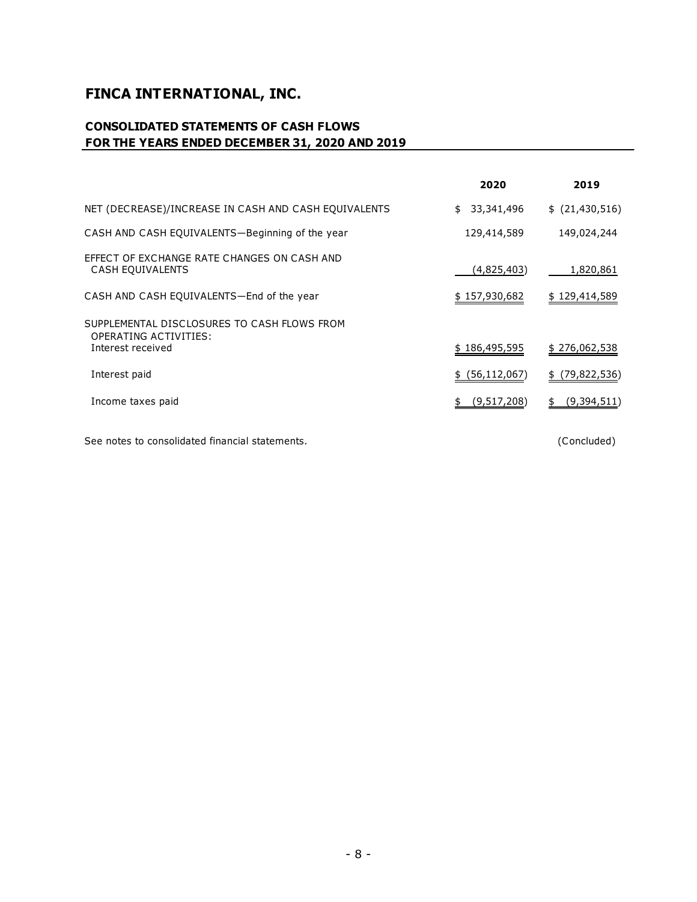## **CONSOLIDATED STATEMENTS OF CASH FLOWS FOR THE YEARS ENDED DECEMBER 31, 2020 AND 2019**

|                                                                                           | 2020              | 2019                  |
|-------------------------------------------------------------------------------------------|-------------------|-----------------------|
| NET (DECREASE)/INCREASE IN CASH AND CASH EQUIVALENTS                                      | 33,341,496<br>\$  | \$ (21, 430, 516)     |
| CASH AND CASH EQUIVALENTS-Beginning of the year                                           | 129,414,589       | 149,024,244           |
| EFFECT OF EXCHANGE RATE CHANGES ON CASH AND<br><b>CASH EQUIVALENTS</b>                    | (4,825,403)       | 1,820,861             |
| CASH AND CASH EQUIVALENTS-End of the year                                                 | \$157,930,682     | \$129,414,589         |
| SUPPLEMENTAL DISCLOSURES TO CASH FLOWS FROM<br>OPERATING ACTIVITIES:<br>Interest received | \$186,495,595     | \$276,062,538         |
| Interest paid                                                                             | \$ (56, 112, 067) | <u>\$(79,822,536)</u> |
| Income taxes paid                                                                         | (9, 517, 208)     | (9,394,511)<br>\$     |
| See notes to consolidated financial statements.                                           |                   | (Concluded)           |

- 8 -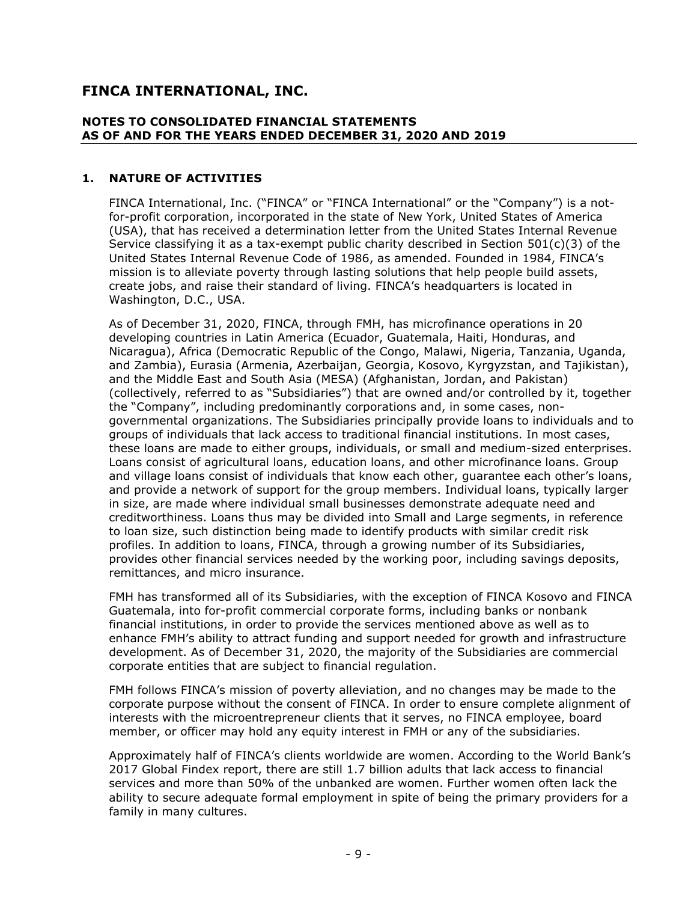#### **NOTES TO CONSOLIDATED FINANCIAL STATEMENTS AS OF AND FOR THE YEARS ENDED DECEMBER 31, 2020 AND 2019**

#### **1. NATURE OF ACTIVITIES**

FINCA International, Inc. ("FINCA" or "FINCA International" or the "Company") is a notfor-profit corporation, incorporated in the state of New York, United States of America (USA), that has received a determination letter from the United States Internal Revenue Service classifying it as a tax-exempt public charity described in Section  $501(c)(3)$  of the United States Internal Revenue Code of 1986, as amended. Founded in 1984, FINCA's mission is to alleviate poverty through lasting solutions that help people build assets, create jobs, and raise their standard of living. FINCA's headquarters is located in Washington, D.C., USA.

As of December 31, 2020, FINCA, through FMH, has microfinance operations in 20 developing countries in Latin America (Ecuador, Guatemala, Haiti, Honduras, and Nicaragua), Africa (Democratic Republic of the Congo, Malawi, Nigeria, Tanzania, Uganda, and Zambia), Eurasia (Armenia, Azerbaijan, Georgia, Kosovo, Kyrgyzstan, and Tajikistan), and the Middle East and South Asia (MESA) (Afghanistan, Jordan, and Pakistan) (collectively, referred to as "Subsidiaries") that are owned and/or controlled by it, together the "Company", including predominantly corporations and, in some cases, nongovernmental organizations. The Subsidiaries principally provide loans to individuals and to groups of individuals that lack access to traditional financial institutions. In most cases, these loans are made to either groups, individuals, or small and medium-sized enterprises. Loans consist of agricultural loans, education loans, and other microfinance loans. Group and village loans consist of individuals that know each other, guarantee each other's loans, and provide a network of support for the group members. Individual loans, typically larger in size, are made where individual small businesses demonstrate adequate need and creditworthiness. Loans thus may be divided into Small and Large segments, in reference to loan size, such distinction being made to identify products with similar credit risk profiles. In addition to loans, FINCA, through a growing number of its Subsidiaries, provides other financial services needed by the working poor, including savings deposits, remittances, and micro insurance.

FMH has transformed all of its Subsidiaries, with the exception of FINCA Kosovo and FINCA Guatemala, into for-profit commercial corporate forms, including banks or nonbank financial institutions, in order to provide the services mentioned above as well as to enhance FMH's ability to attract funding and support needed for growth and infrastructure development. As of December 31, 2020, the majority of the Subsidiaries are commercial corporate entities that are subject to financial regulation.

FMH follows FINCA's mission of poverty alleviation, and no changes may be made to the corporate purpose without the consent of FINCA. In order to ensure complete alignment of interests with the microentrepreneur clients that it serves, no FINCA employee, board member, or officer may hold any equity interest in FMH or any of the subsidiaries.

Approximately half of FINCA's clients worldwide are women. According to the World Bank's 2017 Global Findex report, there are still 1.7 billion adults that lack access to financial services and more than 50% of the unbanked are women. Further women often lack the ability to secure adequate formal employment in spite of being the primary providers for a family in many cultures.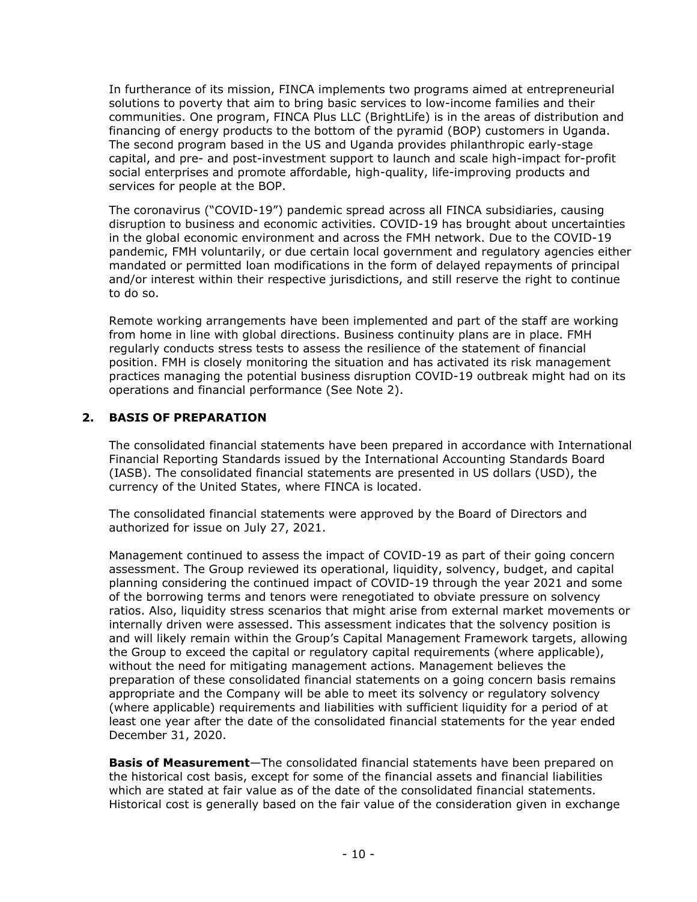In furtherance of its mission, FINCA implements two programs aimed at entrepreneurial solutions to poverty that aim to bring basic services to low-income families and their communities. One program, FINCA Plus LLC (BrightLife) is in the areas of distribution and financing of energy products to the bottom of the pyramid (BOP) customers in Uganda. The second program based in the US and Uganda provides philanthropic early-stage capital, and pre- and post-investment support to launch and scale high-impact for-profit social enterprises and promote affordable, high-quality, life-improving products and services for people at the BOP.

The coronavirus ("COVID-19") pandemic spread across all FINCA subsidiaries, causing disruption to business and economic activities. COVID-19 has brought about uncertainties in the global economic environment and across the FMH network. Due to the COVID-19 pandemic, FMH voluntarily, or due certain local government and regulatory agencies either mandated or permitted loan modifications in the form of delayed repayments of principal and/or interest within their respective jurisdictions, and still reserve the right to continue to do so.

Remote working arrangements have been implemented and part of the staff are working from home in line with global directions. Business continuity plans are in place. FMH regularly conducts stress tests to assess the resilience of the statement of financial position. FMH is closely monitoring the situation and has activated its risk management practices managing the potential business disruption COVID-19 outbreak might had on its operations and financial performance (See Note 2).

### **2. BASIS OF PREPARATION**

The consolidated financial statements have been prepared in accordance with International Financial Reporting Standards issued by the International Accounting Standards Board (IASB). The consolidated financial statements are presented in US dollars (USD), the currency of the United States, where FINCA is located.

The consolidated financial statements were approved by the Board of Directors and authorized for issue on July 27, 2021.

Management continued to assess the impact of COVID-19 as part of their going concern assessment. The Group reviewed its operational, liquidity, solvency, budget, and capital planning considering the continued impact of COVID-19 through the year 2021 and some of the borrowing terms and tenors were renegotiated to obviate pressure on solvency ratios. Also, liquidity stress scenarios that might arise from external market movements or internally driven were assessed. This assessment indicates that the solvency position is and will likely remain within the Group's Capital Management Framework targets, allowing the Group to exceed the capital or regulatory capital requirements (where applicable), without the need for mitigating management actions. Management believes the preparation of these consolidated financial statements on a going concern basis remains appropriate and the Company will be able to meet its solvency or regulatory solvency (where applicable) requirements and liabilities with sufficient liquidity for a period of at least one year after the date of the consolidated financial statements for the year ended December 31, 2020.

**Basis of Measurement**—The consolidated financial statements have been prepared on the historical cost basis, except for some of the financial assets and financial liabilities which are stated at fair value as of the date of the consolidated financial statements. Historical cost is generally based on the fair value of the consideration given in exchange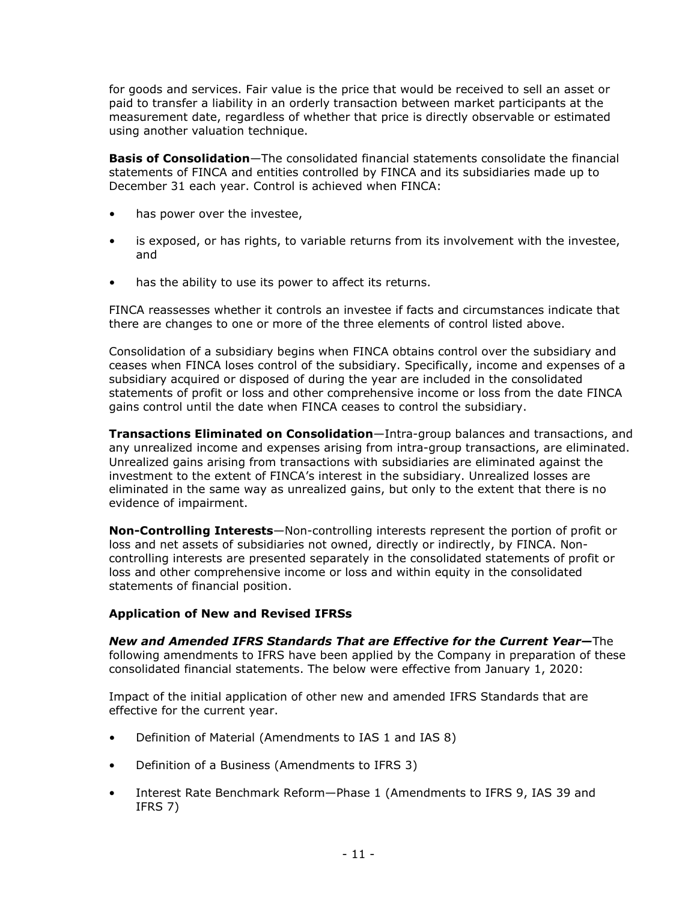for goods and services. Fair value is the price that would be received to sell an asset or paid to transfer a liability in an orderly transaction between market participants at the measurement date, regardless of whether that price is directly observable or estimated using another valuation technique.

**Basis of Consolidation**—The consolidated financial statements consolidate the financial statements of FINCA and entities controlled by FINCA and its subsidiaries made up to December 31 each year. Control is achieved when FINCA:

- has power over the investee,
- is exposed, or has rights, to variable returns from its involvement with the investee, and
- has the ability to use its power to affect its returns.

FINCA reassesses whether it controls an investee if facts and circumstances indicate that there are changes to one or more of the three elements of control listed above.

Consolidation of a subsidiary begins when FINCA obtains control over the subsidiary and ceases when FINCA loses control of the subsidiary. Specifically, income and expenses of a subsidiary acquired or disposed of during the year are included in the consolidated statements of profit or loss and other comprehensive income or loss from the date FINCA gains control until the date when FINCA ceases to control the subsidiary.

**Transactions Eliminated on Consolidation**—Intra-group balances and transactions, and any unrealized income and expenses arising from intra-group transactions, are eliminated. Unrealized gains arising from transactions with subsidiaries are eliminated against the investment to the extent of FINCA's interest in the subsidiary. Unrealized losses are eliminated in the same way as unrealized gains, but only to the extent that there is no evidence of impairment.

**Non-Controlling Interests**—Non-controlling interests represent the portion of profit or loss and net assets of subsidiaries not owned, directly or indirectly, by FINCA. Noncontrolling interests are presented separately in the consolidated statements of profit or loss and other comprehensive income or loss and within equity in the consolidated statements of financial position.

### **Application of New and Revised IFRSs**

*New and Amended IFRS Standards That are Effective for the Current Year—*The following amendments to IFRS have been applied by the Company in preparation of these consolidated financial statements. The below were effective from January 1, 2020:

Impact of the initial application of other new and amended IFRS Standards that are effective for the current year.

- Definition of Material (Amendments to IAS 1 and IAS 8)
- Definition of a Business (Amendments to IFRS 3)
- Interest Rate Benchmark Reform—Phase 1 (Amendments to IFRS 9, IAS 39 and IFRS 7)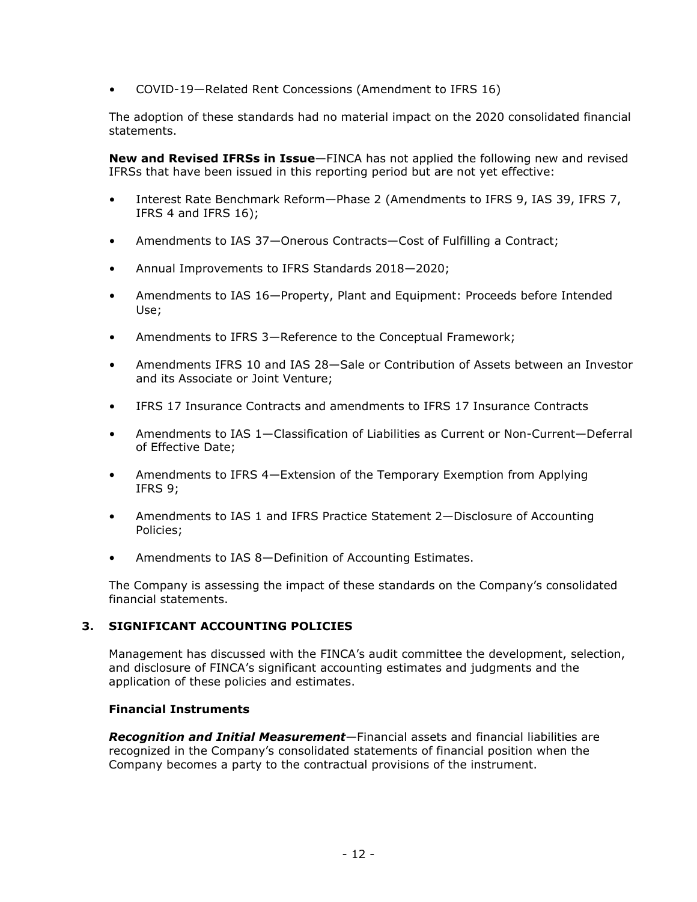• COVID-19—Related Rent Concessions (Amendment to IFRS 16)

The adoption of these standards had no material impact on the 2020 consolidated financial statements.

**New and Revised IFRSs in Issue**—FINCA has not applied the following new and revised IFRSs that have been issued in this reporting period but are not yet effective:

- Interest Rate Benchmark Reform—Phase 2 (Amendments to IFRS 9, IAS 39, IFRS 7, IFRS 4 and IFRS 16);
- Amendments to IAS 37—Onerous Contracts—Cost of Fulfilling a Contract;
- Annual Improvements to IFRS Standards 2018—2020;
- Amendments to IAS 16—Property, Plant and Equipment: Proceeds before Intended Use;
- Amendments to IFRS 3—Reference to the Conceptual Framework;
- Amendments IFRS 10 and IAS 28—Sale or Contribution of Assets between an Investor and its Associate or Joint Venture;
- IFRS 17 Insurance Contracts and amendments to IFRS 17 Insurance Contracts
- Amendments to IAS 1—Classification of Liabilities as Current or Non-Current—Deferral of Effective Date;
- Amendments to IFRS 4—Extension of the Temporary Exemption from Applying IFRS 9;
- Amendments to IAS 1 and IFRS Practice Statement 2—Disclosure of Accounting Policies;
- Amendments to IAS 8—Definition of Accounting Estimates.

The Company is assessing the impact of these standards on the Company's consolidated financial statements.

### **3. SIGNIFICANT ACCOUNTING POLICIES**

Management has discussed with the FINCA's audit committee the development, selection, and disclosure of FINCA's significant accounting estimates and judgments and the application of these policies and estimates.

#### **Financial Instruments**

*Recognition and Initial Measurement*—Financial assets and financial liabilities are recognized in the Company's consolidated statements of financial position when the Company becomes a party to the contractual provisions of the instrument.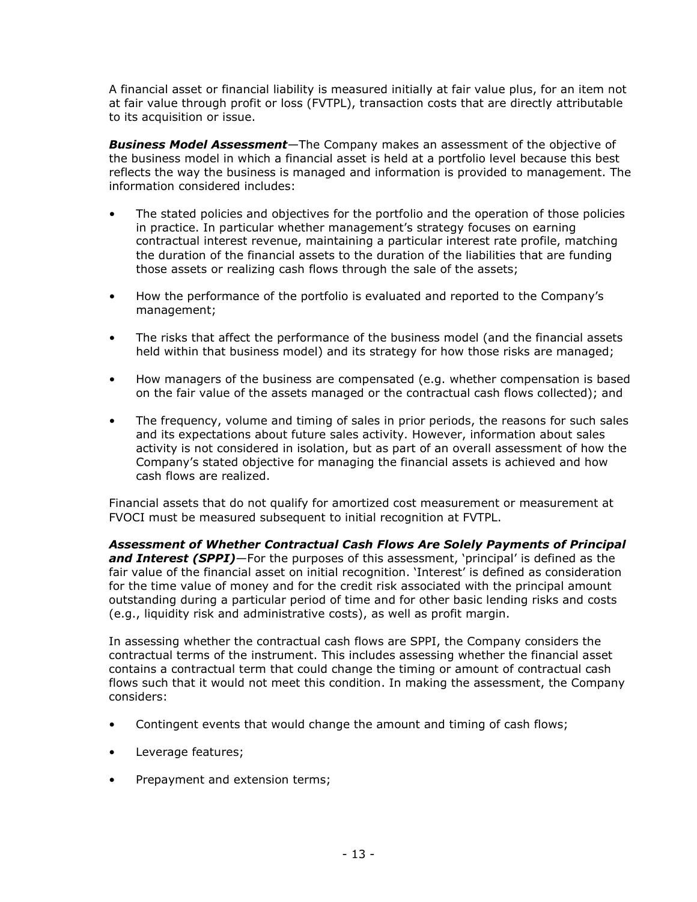A financial asset or financial liability is measured initially at fair value plus, for an item not at fair value through profit or loss (FVTPL), transaction costs that are directly attributable to its acquisition or issue.

*Business Model Assessment*—The Company makes an assessment of the objective of the business model in which a financial asset is held at a portfolio level because this best reflects the way the business is managed and information is provided to management. The information considered includes:

- The stated policies and objectives for the portfolio and the operation of those policies in practice. In particular whether management's strategy focuses on earning contractual interest revenue, maintaining a particular interest rate profile, matching the duration of the financial assets to the duration of the liabilities that are funding those assets or realizing cash flows through the sale of the assets;
- How the performance of the portfolio is evaluated and reported to the Company's management;
- The risks that affect the performance of the business model (and the financial assets held within that business model) and its strategy for how those risks are managed;
- How managers of the business are compensated (e.g. whether compensation is based on the fair value of the assets managed or the contractual cash flows collected); and
- The frequency, volume and timing of sales in prior periods, the reasons for such sales and its expectations about future sales activity. However, information about sales activity is not considered in isolation, but as part of an overall assessment of how the Company's stated objective for managing the financial assets is achieved and how cash flows are realized.

Financial assets that do not qualify for amortized cost measurement or measurement at FVOCI must be measured subsequent to initial recognition at FVTPL.

*Assessment of Whether Contractual Cash Flows Are Solely Payments of Principal and Interest (SPPI)*—For the purposes of this assessment, 'principal' is defined as the fair value of the financial asset on initial recognition. 'Interest' is defined as consideration for the time value of money and for the credit risk associated with the principal amount outstanding during a particular period of time and for other basic lending risks and costs (e.g., liquidity risk and administrative costs), as well as profit margin.

In assessing whether the contractual cash flows are SPPI, the Company considers the contractual terms of the instrument. This includes assessing whether the financial asset contains a contractual term that could change the timing or amount of contractual cash flows such that it would not meet this condition. In making the assessment, the Company considers:

- Contingent events that would change the amount and timing of cash flows;
- Leverage features;
- Prepayment and extension terms;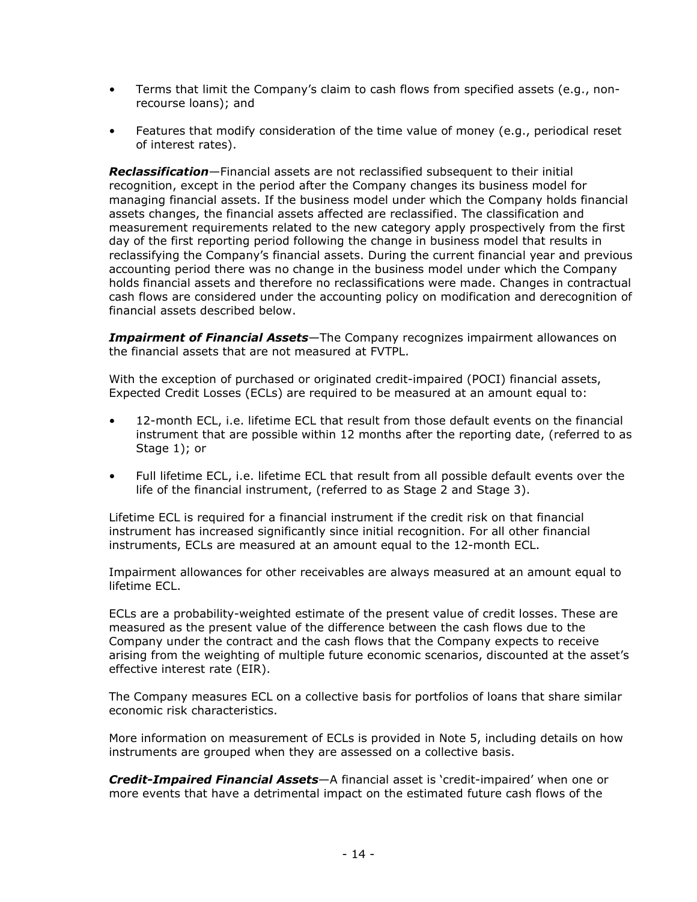- Terms that limit the Company's claim to cash flows from specified assets (e.g., nonrecourse loans); and
- Features that modify consideration of the time value of money (e.g., periodical reset of interest rates).

*Reclassification*—Financial assets are not reclassified subsequent to their initial recognition, except in the period after the Company changes its business model for managing financial assets. If the business model under which the Company holds financial assets changes, the financial assets affected are reclassified. The classification and measurement requirements related to the new category apply prospectively from the first day of the first reporting period following the change in business model that results in reclassifying the Company's financial assets. During the current financial year and previous accounting period there was no change in the business model under which the Company holds financial assets and therefore no reclassifications were made. Changes in contractual cash flows are considered under the accounting policy on modification and derecognition of financial assets described below.

*Impairment of Financial Assets*—The Company recognizes impairment allowances on the financial assets that are not measured at FVTPL.

With the exception of purchased or originated credit-impaired (POCI) financial assets, Expected Credit Losses (ECLs) are required to be measured at an amount equal to:

- 12-month ECL, i.e. lifetime ECL that result from those default events on the financial instrument that are possible within 12 months after the reporting date, (referred to as Stage 1); or
- Full lifetime ECL, i.e. lifetime ECL that result from all possible default events over the life of the financial instrument, (referred to as Stage 2 and Stage 3).

Lifetime ECL is required for a financial instrument if the credit risk on that financial instrument has increased significantly since initial recognition. For all other financial instruments, ECLs are measured at an amount equal to the 12-month ECL.

Impairment allowances for other receivables are always measured at an amount equal to lifetime ECL.

ECLs are a probability-weighted estimate of the present value of credit losses. These are measured as the present value of the difference between the cash flows due to the Company under the contract and the cash flows that the Company expects to receive arising from the weighting of multiple future economic scenarios, discounted at the asset's effective interest rate (EIR).

The Company measures ECL on a collective basis for portfolios of loans that share similar economic risk characteristics.

More information on measurement of ECLs is provided in Note 5, including details on how instruments are grouped when they are assessed on a collective basis.

*Credit-Impaired Financial Assets*—A financial asset is 'credit-impaired' when one or more events that have a detrimental impact on the estimated future cash flows of the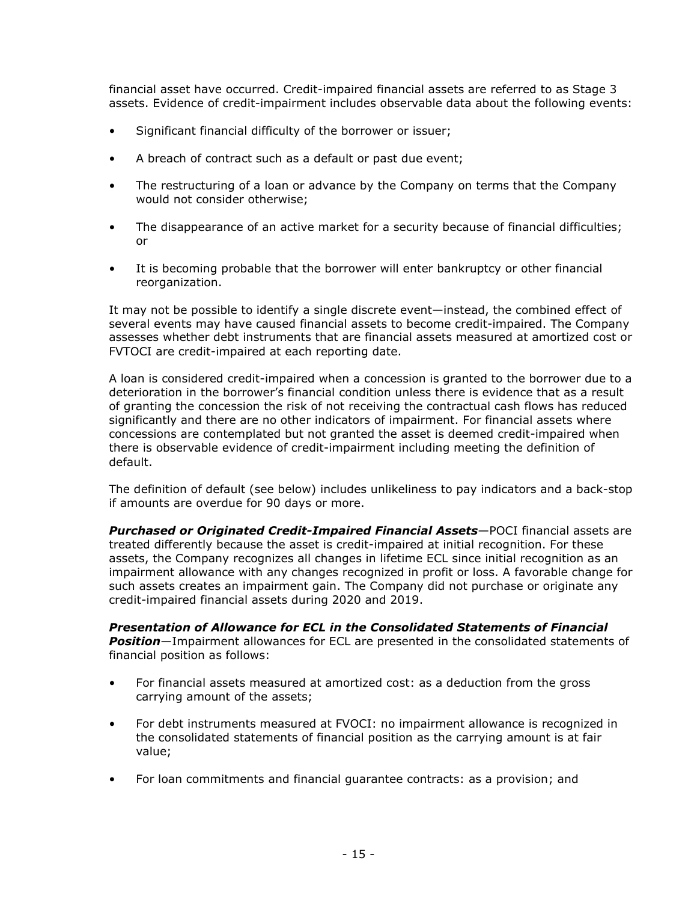financial asset have occurred. Credit-impaired financial assets are referred to as Stage 3 assets. Evidence of credit-impairment includes observable data about the following events:

- Significant financial difficulty of the borrower or issuer;
- A breach of contract such as a default or past due event;
- The restructuring of a loan or advance by the Company on terms that the Company would not consider otherwise;
- The disappearance of an active market for a security because of financial difficulties; or
- It is becoming probable that the borrower will enter bankruptcy or other financial reorganization.

It may not be possible to identify a single discrete event—instead, the combined effect of several events may have caused financial assets to become credit-impaired. The Company assesses whether debt instruments that are financial assets measured at amortized cost or FVTOCI are credit-impaired at each reporting date.

A loan is considered credit-impaired when a concession is granted to the borrower due to a deterioration in the borrower's financial condition unless there is evidence that as a result of granting the concession the risk of not receiving the contractual cash flows has reduced significantly and there are no other indicators of impairment. For financial assets where concessions are contemplated but not granted the asset is deemed credit-impaired when there is observable evidence of credit-impairment including meeting the definition of default.

The definition of default (see below) includes unlikeliness to pay indicators and a back-stop if amounts are overdue for 90 days or more.

*Purchased or Originated Credit-Impaired Financial Assets*—POCI financial assets are treated differently because the asset is credit-impaired at initial recognition. For these assets, the Company recognizes all changes in lifetime ECL since initial recognition as an impairment allowance with any changes recognized in profit or loss. A favorable change for such assets creates an impairment gain. The Company did not purchase or originate any credit-impaired financial assets during 2020 and 2019.

*Presentation of Allowance for ECL in the Consolidated Statements of Financial Position*—Impairment allowances for ECL are presented in the consolidated statements of financial position as follows:

- For financial assets measured at amortized cost: as a deduction from the gross carrying amount of the assets;
- For debt instruments measured at FVOCI: no impairment allowance is recognized in the consolidated statements of financial position as the carrying amount is at fair value;
- For loan commitments and financial guarantee contracts: as a provision; and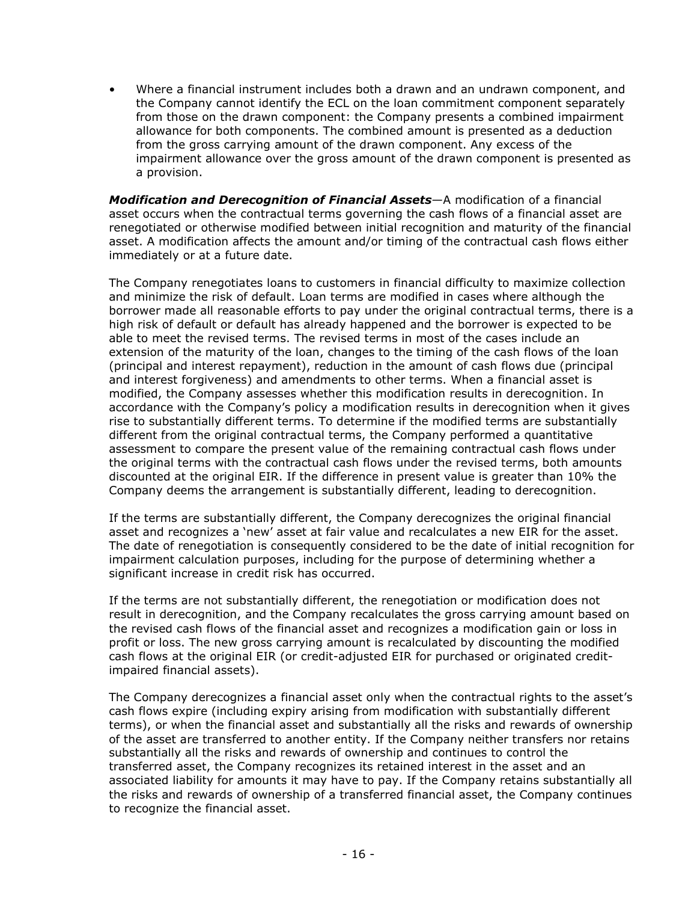• Where a financial instrument includes both a drawn and an undrawn component, and the Company cannot identify the ECL on the loan commitment component separately from those on the drawn component: the Company presents a combined impairment allowance for both components. The combined amount is presented as a deduction from the gross carrying amount of the drawn component. Any excess of the impairment allowance over the gross amount of the drawn component is presented as a provision.

*Modification and Derecognition of Financial Assets*—A modification of a financial asset occurs when the contractual terms governing the cash flows of a financial asset are renegotiated or otherwise modified between initial recognition and maturity of the financial asset. A modification affects the amount and/or timing of the contractual cash flows either immediately or at a future date.

The Company renegotiates loans to customers in financial difficulty to maximize collection and minimize the risk of default. Loan terms are modified in cases where although the borrower made all reasonable efforts to pay under the original contractual terms, there is a high risk of default or default has already happened and the borrower is expected to be able to meet the revised terms. The revised terms in most of the cases include an extension of the maturity of the loan, changes to the timing of the cash flows of the loan (principal and interest repayment), reduction in the amount of cash flows due (principal and interest forgiveness) and amendments to other terms. When a financial asset is modified, the Company assesses whether this modification results in derecognition. In accordance with the Company's policy a modification results in derecognition when it gives rise to substantially different terms. To determine if the modified terms are substantially different from the original contractual terms, the Company performed a quantitative assessment to compare the present value of the remaining contractual cash flows under the original terms with the contractual cash flows under the revised terms, both amounts discounted at the original EIR. If the difference in present value is greater than 10% the Company deems the arrangement is substantially different, leading to derecognition.

If the terms are substantially different, the Company derecognizes the original financial asset and recognizes a 'new' asset at fair value and recalculates a new EIR for the asset. The date of renegotiation is consequently considered to be the date of initial recognition for impairment calculation purposes, including for the purpose of determining whether a significant increase in credit risk has occurred.

If the terms are not substantially different, the renegotiation or modification does not result in derecognition, and the Company recalculates the gross carrying amount based on the revised cash flows of the financial asset and recognizes a modification gain or loss in profit or loss. The new gross carrying amount is recalculated by discounting the modified cash flows at the original EIR (or credit-adjusted EIR for purchased or originated creditimpaired financial assets).

The Company derecognizes a financial asset only when the contractual rights to the asset's cash flows expire (including expiry arising from modification with substantially different terms), or when the financial asset and substantially all the risks and rewards of ownership of the asset are transferred to another entity. If the Company neither transfers nor retains substantially all the risks and rewards of ownership and continues to control the transferred asset, the Company recognizes its retained interest in the asset and an associated liability for amounts it may have to pay. If the Company retains substantially all the risks and rewards of ownership of a transferred financial asset, the Company continues to recognize the financial asset.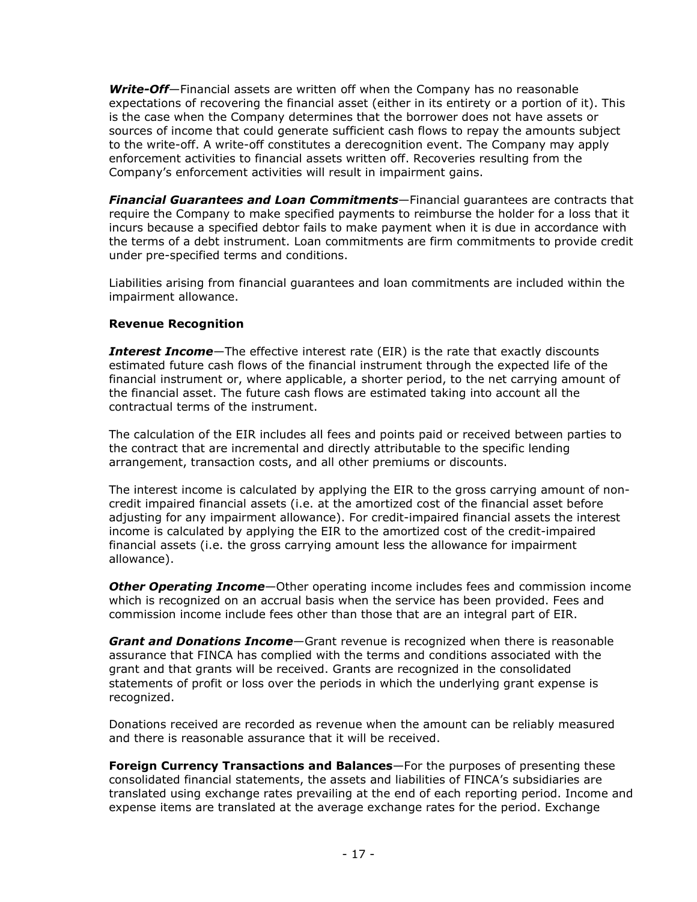*Write-Off*—Financial assets are written off when the Company has no reasonable expectations of recovering the financial asset (either in its entirety or a portion of it). This is the case when the Company determines that the borrower does not have assets or sources of income that could generate sufficient cash flows to repay the amounts subject to the write-off. A write-off constitutes a derecognition event. The Company may apply enforcement activities to financial assets written off. Recoveries resulting from the Company's enforcement activities will result in impairment gains.

*Financial Guarantees and Loan Commitments*—Financial guarantees are contracts that require the Company to make specified payments to reimburse the holder for a loss that it incurs because a specified debtor fails to make payment when it is due in accordance with the terms of a debt instrument. Loan commitments are firm commitments to provide credit under pre-specified terms and conditions.

Liabilities arising from financial guarantees and loan commitments are included within the impairment allowance.

#### **Revenue Recognition**

*Interest Income*—The effective interest rate (EIR) is the rate that exactly discounts estimated future cash flows of the financial instrument through the expected life of the financial instrument or, where applicable, a shorter period, to the net carrying amount of the financial asset. The future cash flows are estimated taking into account all the contractual terms of the instrument.

The calculation of the EIR includes all fees and points paid or received between parties to the contract that are incremental and directly attributable to the specific lending arrangement, transaction costs, and all other premiums or discounts.

The interest income is calculated by applying the EIR to the gross carrying amount of noncredit impaired financial assets (i.e. at the amortized cost of the financial asset before adjusting for any impairment allowance). For credit-impaired financial assets the interest income is calculated by applying the EIR to the amortized cost of the credit-impaired financial assets (i.e. the gross carrying amount less the allowance for impairment allowance).

*Other Operating Income*—Other operating income includes fees and commission income which is recognized on an accrual basis when the service has been provided. Fees and commission income include fees other than those that are an integral part of EIR.

*Grant and Donations Income*—Grant revenue is recognized when there is reasonable assurance that FINCA has complied with the terms and conditions associated with the grant and that grants will be received. Grants are recognized in the consolidated statements of profit or loss over the periods in which the underlying grant expense is recognized.

Donations received are recorded as revenue when the amount can be reliably measured and there is reasonable assurance that it will be received.

**Foreign Currency Transactions and Balances**—For the purposes of presenting these consolidated financial statements, the assets and liabilities of FINCA's subsidiaries are translated using exchange rates prevailing at the end of each reporting period. Income and expense items are translated at the average exchange rates for the period. Exchange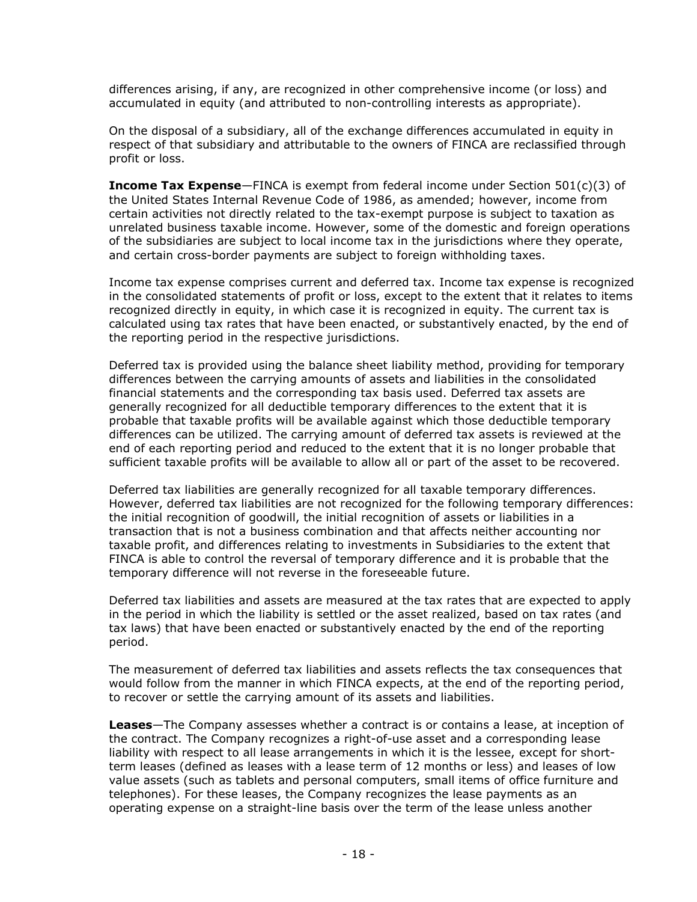differences arising, if any, are recognized in other comprehensive income (or loss) and accumulated in equity (and attributed to non-controlling interests as appropriate).

On the disposal of a subsidiary, all of the exchange differences accumulated in equity in respect of that subsidiary and attributable to the owners of FINCA are reclassified through profit or loss.

**Income Tax Expense**—FINCA is exempt from federal income under Section 501(c)(3) of the United States Internal Revenue Code of 1986, as amended; however, income from certain activities not directly related to the tax-exempt purpose is subject to taxation as unrelated business taxable income. However, some of the domestic and foreign operations of the subsidiaries are subject to local income tax in the jurisdictions where they operate, and certain cross-border payments are subject to foreign withholding taxes.

Income tax expense comprises current and deferred tax. Income tax expense is recognized in the consolidated statements of profit or loss, except to the extent that it relates to items recognized directly in equity, in which case it is recognized in equity. The current tax is calculated using tax rates that have been enacted, or substantively enacted, by the end of the reporting period in the respective jurisdictions.

Deferred tax is provided using the balance sheet liability method, providing for temporary differences between the carrying amounts of assets and liabilities in the consolidated financial statements and the corresponding tax basis used. Deferred tax assets are generally recognized for all deductible temporary differences to the extent that it is probable that taxable profits will be available against which those deductible temporary differences can be utilized. The carrying amount of deferred tax assets is reviewed at the end of each reporting period and reduced to the extent that it is no longer probable that sufficient taxable profits will be available to allow all or part of the asset to be recovered.

Deferred tax liabilities are generally recognized for all taxable temporary differences. However, deferred tax liabilities are not recognized for the following temporary differences: the initial recognition of goodwill, the initial recognition of assets or liabilities in a transaction that is not a business combination and that affects neither accounting nor taxable profit, and differences relating to investments in Subsidiaries to the extent that FINCA is able to control the reversal of temporary difference and it is probable that the temporary difference will not reverse in the foreseeable future.

Deferred tax liabilities and assets are measured at the tax rates that are expected to apply in the period in which the liability is settled or the asset realized, based on tax rates (and tax laws) that have been enacted or substantively enacted by the end of the reporting period.

The measurement of deferred tax liabilities and assets reflects the tax consequences that would follow from the manner in which FINCA expects, at the end of the reporting period, to recover or settle the carrying amount of its assets and liabilities.

**Leases**—The Company assesses whether a contract is or contains a lease, at inception of the contract. The Company recognizes a right-of-use asset and a corresponding lease liability with respect to all lease arrangements in which it is the lessee, except for shortterm leases (defined as leases with a lease term of 12 months or less) and leases of low value assets (such as tablets and personal computers, small items of office furniture and telephones). For these leases, the Company recognizes the lease payments as an operating expense on a straight-line basis over the term of the lease unless another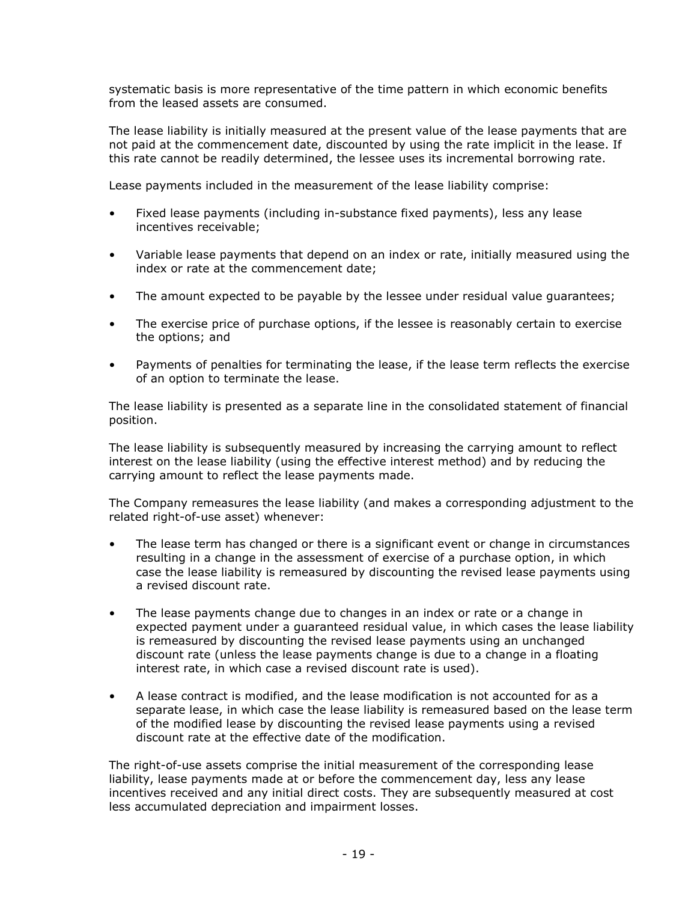systematic basis is more representative of the time pattern in which economic benefits from the leased assets are consumed.

The lease liability is initially measured at the present value of the lease payments that are not paid at the commencement date, discounted by using the rate implicit in the lease. If this rate cannot be readily determined, the lessee uses its incremental borrowing rate.

Lease payments included in the measurement of the lease liability comprise:

- Fixed lease payments (including in-substance fixed payments), less any lease incentives receivable;
- Variable lease payments that depend on an index or rate, initially measured using the index or rate at the commencement date;
- The amount expected to be payable by the lessee under residual value guarantees;
- The exercise price of purchase options, if the lessee is reasonably certain to exercise the options; and
- Payments of penalties for terminating the lease, if the lease term reflects the exercise of an option to terminate the lease.

The lease liability is presented as a separate line in the consolidated statement of financial position.

The lease liability is subsequently measured by increasing the carrying amount to reflect interest on the lease liability (using the effective interest method) and by reducing the carrying amount to reflect the lease payments made.

The Company remeasures the lease liability (and makes a corresponding adjustment to the related right-of-use asset) whenever:

- The lease term has changed or there is a significant event or change in circumstances resulting in a change in the assessment of exercise of a purchase option, in which case the lease liability is remeasured by discounting the revised lease payments using a revised discount rate.
- The lease payments change due to changes in an index or rate or a change in expected payment under a guaranteed residual value, in which cases the lease liability is remeasured by discounting the revised lease payments using an unchanged discount rate (unless the lease payments change is due to a change in a floating interest rate, in which case a revised discount rate is used).
- A lease contract is modified, and the lease modification is not accounted for as a separate lease, in which case the lease liability is remeasured based on the lease term of the modified lease by discounting the revised lease payments using a revised discount rate at the effective date of the modification.

The right-of-use assets comprise the initial measurement of the corresponding lease liability, lease payments made at or before the commencement day, less any lease incentives received and any initial direct costs. They are subsequently measured at cost less accumulated depreciation and impairment losses.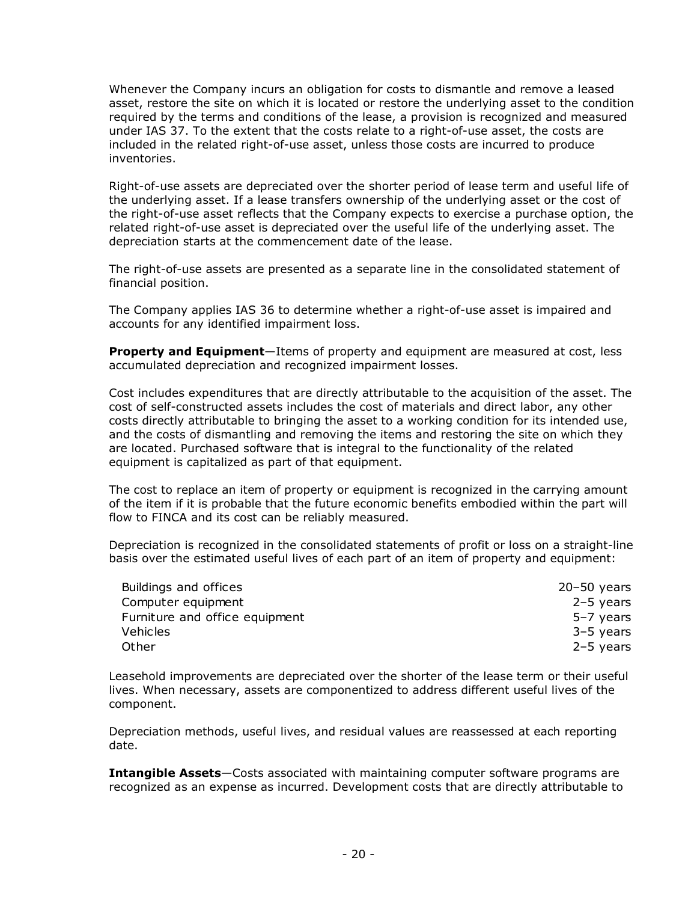Whenever the Company incurs an obligation for costs to dismantle and remove a leased asset, restore the site on which it is located or restore the underlying asset to the condition required by the terms and conditions of the lease, a provision is recognized and measured under IAS 37. To the extent that the costs relate to a right-of-use asset, the costs are included in the related right-of-use asset, unless those costs are incurred to produce inventories.

Right-of-use assets are depreciated over the shorter period of lease term and useful life of the underlying asset. If a lease transfers ownership of the underlying asset or the cost of the right-of-use asset reflects that the Company expects to exercise a purchase option, the related right-of-use asset is depreciated over the useful life of the underlying asset. The depreciation starts at the commencement date of the lease.

The right-of-use assets are presented as a separate line in the consolidated statement of financial position.

The Company applies IAS 36 to determine whether a right-of-use asset is impaired and accounts for any identified impairment loss.

**Property and Equipment**—Items of property and equipment are measured at cost, less accumulated depreciation and recognized impairment losses.

Cost includes expenditures that are directly attributable to the acquisition of the asset. The cost of self-constructed assets includes the cost of materials and direct labor, any other costs directly attributable to bringing the asset to a working condition for its intended use, and the costs of dismantling and removing the items and restoring the site on which they are located. Purchased software that is integral to the functionality of the related equipment is capitalized as part of that equipment.

The cost to replace an item of property or equipment is recognized in the carrying amount of the item if it is probable that the future economic benefits embodied within the part will flow to FINCA and its cost can be reliably measured.

Depreciation is recognized in the consolidated statements of profit or loss on a straight-line basis over the estimated useful lives of each part of an item of property and equipment:

| Buildings and offices          | $20 - 50$ years |
|--------------------------------|-----------------|
| Computer equipment             | $2-5$ years     |
| Furniture and office equipment | 5-7 years       |
| <b>Vehicles</b>                | 3-5 years       |
| Other                          | $2-5$ years     |

Leasehold improvements are depreciated over the shorter of the lease term or their useful lives. When necessary, assets are componentized to address different useful lives of the component.

Depreciation methods, useful lives, and residual values are reassessed at each reporting date.

**Intangible Assets**—Costs associated with maintaining computer software programs are recognized as an expense as incurred. Development costs that are directly attributable to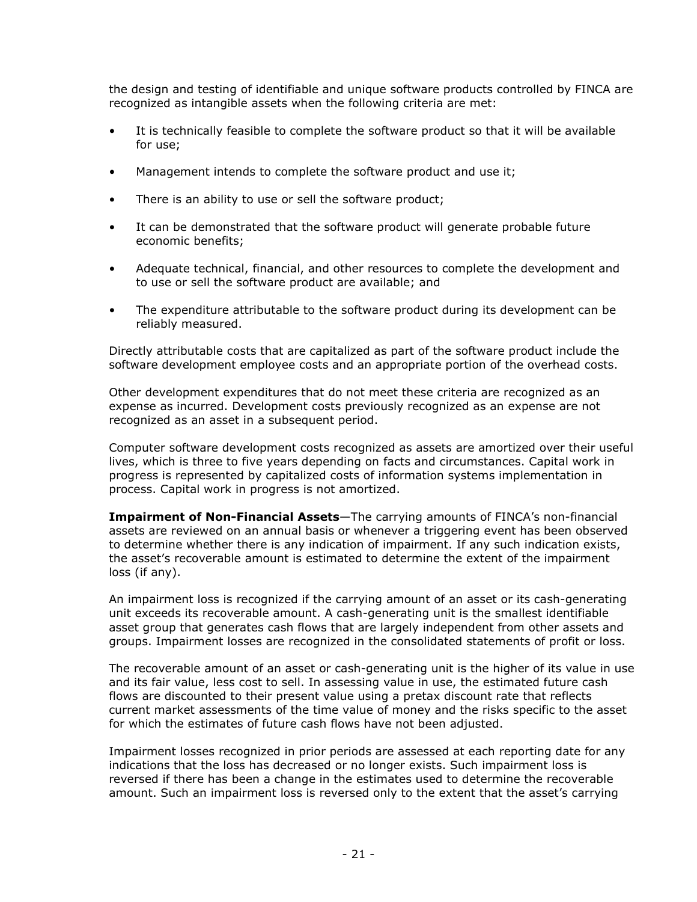the design and testing of identifiable and unique software products controlled by FINCA are recognized as intangible assets when the following criteria are met:

- It is technically feasible to complete the software product so that it will be available for use;
- Management intends to complete the software product and use it;
- There is an ability to use or sell the software product;
- It can be demonstrated that the software product will generate probable future economic benefits;
- Adequate technical, financial, and other resources to complete the development and to use or sell the software product are available; and
- The expenditure attributable to the software product during its development can be reliably measured.

Directly attributable costs that are capitalized as part of the software product include the software development employee costs and an appropriate portion of the overhead costs.

Other development expenditures that do not meet these criteria are recognized as an expense as incurred. Development costs previously recognized as an expense are not recognized as an asset in a subsequent period.

Computer software development costs recognized as assets are amortized over their useful lives, which is three to five years depending on facts and circumstances. Capital work in progress is represented by capitalized costs of information systems implementation in process. Capital work in progress is not amortized.

**Impairment of Non-Financial Assets**—The carrying amounts of FINCA's non-financial assets are reviewed on an annual basis or whenever a triggering event has been observed to determine whether there is any indication of impairment. If any such indication exists, the asset's recoverable amount is estimated to determine the extent of the impairment loss (if any).

An impairment loss is recognized if the carrying amount of an asset or its cash-generating unit exceeds its recoverable amount. A cash-generating unit is the smallest identifiable asset group that generates cash flows that are largely independent from other assets and groups. Impairment losses are recognized in the consolidated statements of profit or loss.

The recoverable amount of an asset or cash-generating unit is the higher of its value in use and its fair value, less cost to sell. In assessing value in use, the estimated future cash flows are discounted to their present value using a pretax discount rate that reflects current market assessments of the time value of money and the risks specific to the asset for which the estimates of future cash flows have not been adjusted.

Impairment losses recognized in prior periods are assessed at each reporting date for any indications that the loss has decreased or no longer exists. Such impairment loss is reversed if there has been a change in the estimates used to determine the recoverable amount. Such an impairment loss is reversed only to the extent that the asset's carrying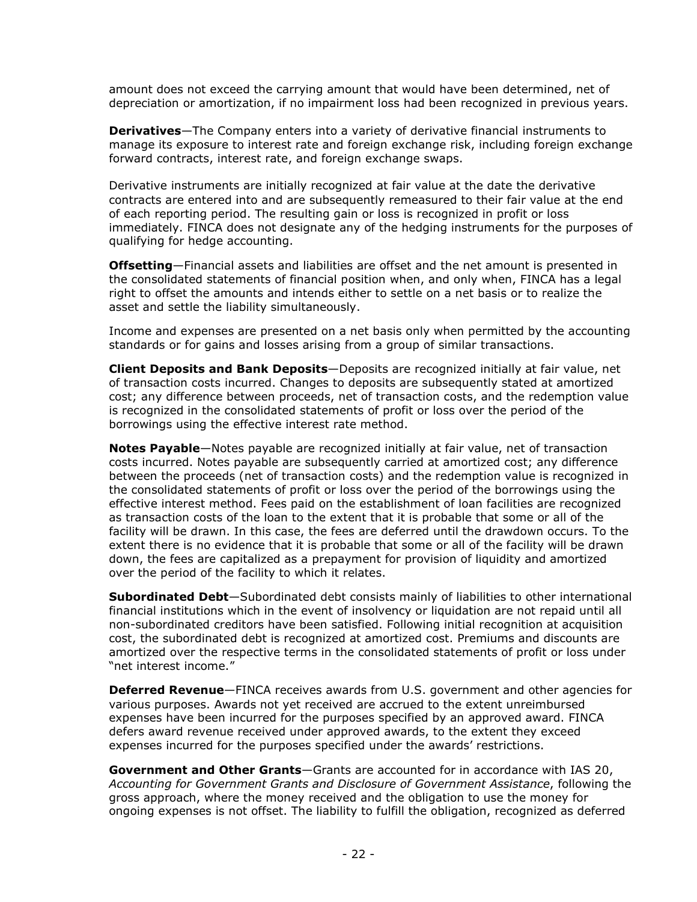amount does not exceed the carrying amount that would have been determined, net of depreciation or amortization, if no impairment loss had been recognized in previous years.

**Derivatives**—The Company enters into a variety of derivative financial instruments to manage its exposure to interest rate and foreign exchange risk, including foreign exchange forward contracts, interest rate, and foreign exchange swaps.

Derivative instruments are initially recognized at fair value at the date the derivative contracts are entered into and are subsequently remeasured to their fair value at the end of each reporting period. The resulting gain or loss is recognized in profit or loss immediately. FINCA does not designate any of the hedging instruments for the purposes of qualifying for hedge accounting.

**Offsetting**—Financial assets and liabilities are offset and the net amount is presented in the consolidated statements of financial position when, and only when, FINCA has a legal right to offset the amounts and intends either to settle on a net basis or to realize the asset and settle the liability simultaneously.

Income and expenses are presented on a net basis only when permitted by the accounting standards or for gains and losses arising from a group of similar transactions.

**Client Deposits and Bank Deposits**—Deposits are recognized initially at fair value, net of transaction costs incurred. Changes to deposits are subsequently stated at amortized cost; any difference between proceeds, net of transaction costs, and the redemption value is recognized in the consolidated statements of profit or loss over the period of the borrowings using the effective interest rate method.

**Notes Payable**—Notes payable are recognized initially at fair value, net of transaction costs incurred. Notes payable are subsequently carried at amortized cost; any difference between the proceeds (net of transaction costs) and the redemption value is recognized in the consolidated statements of profit or loss over the period of the borrowings using the effective interest method. Fees paid on the establishment of loan facilities are recognized as transaction costs of the loan to the extent that it is probable that some or all of the facility will be drawn. In this case, the fees are deferred until the drawdown occurs. To the extent there is no evidence that it is probable that some or all of the facility will be drawn down, the fees are capitalized as a prepayment for provision of liquidity and amortized over the period of the facility to which it relates.

**Subordinated Debt**—Subordinated debt consists mainly of liabilities to other international financial institutions which in the event of insolvency or liquidation are not repaid until all non-subordinated creditors have been satisfied. Following initial recognition at acquisition cost, the subordinated debt is recognized at amortized cost. Premiums and discounts are amortized over the respective terms in the consolidated statements of profit or loss under "net interest income."

**Deferred Revenue**—FINCA receives awards from U.S. government and other agencies for various purposes. Awards not yet received are accrued to the extent unreimbursed expenses have been incurred for the purposes specified by an approved award. FINCA defers award revenue received under approved awards, to the extent they exceed expenses incurred for the purposes specified under the awards' restrictions.

**Government and Other Grants**—Grants are accounted for in accordance with IAS 20, *Accounting for Government Grants and Disclosure of Government Assistance*, following the gross approach, where the money received and the obligation to use the money for ongoing expenses is not offset. The liability to fulfill the obligation, recognized as deferred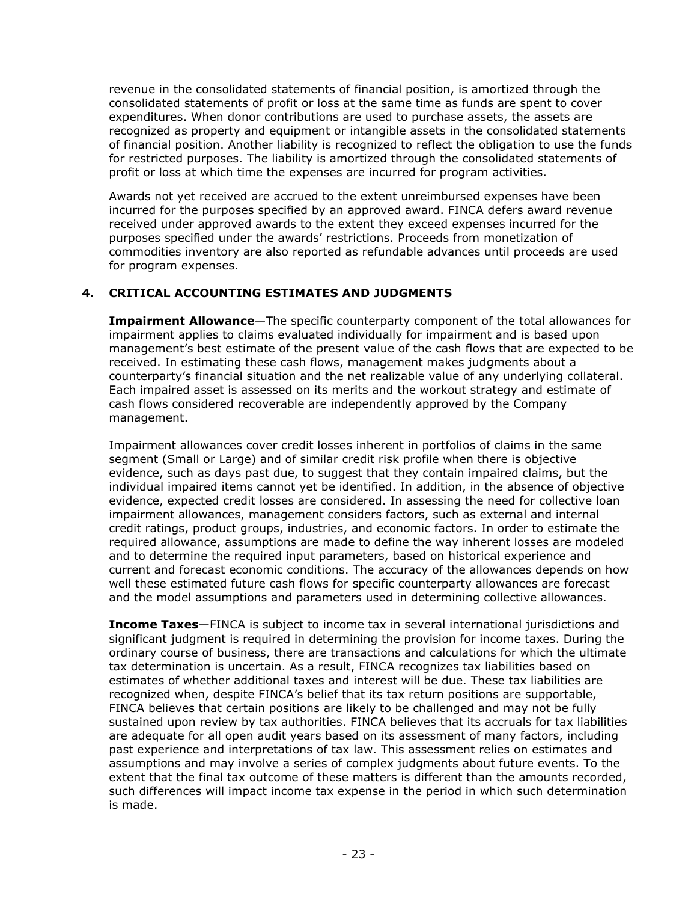revenue in the consolidated statements of financial position, is amortized through the consolidated statements of profit or loss at the same time as funds are spent to cover expenditures. When donor contributions are used to purchase assets, the assets are recognized as property and equipment or intangible assets in the consolidated statements of financial position. Another liability is recognized to reflect the obligation to use the funds for restricted purposes. The liability is amortized through the consolidated statements of profit or loss at which time the expenses are incurred for program activities.

Awards not yet received are accrued to the extent unreimbursed expenses have been incurred for the purposes specified by an approved award. FINCA defers award revenue received under approved awards to the extent they exceed expenses incurred for the purposes specified under the awards' restrictions. Proceeds from monetization of commodities inventory are also reported as refundable advances until proceeds are used for program expenses.

### **4. CRITICAL ACCOUNTING ESTIMATES AND JUDGMENTS**

**Impairment Allowance**—The specific counterparty component of the total allowances for impairment applies to claims evaluated individually for impairment and is based upon management's best estimate of the present value of the cash flows that are expected to be received. In estimating these cash flows, management makes judgments about a counterparty's financial situation and the net realizable value of any underlying collateral. Each impaired asset is assessed on its merits and the workout strategy and estimate of cash flows considered recoverable are independently approved by the Company management.

Impairment allowances cover credit losses inherent in portfolios of claims in the same segment (Small or Large) and of similar credit risk profile when there is objective evidence, such as days past due, to suggest that they contain impaired claims, but the individual impaired items cannot yet be identified. In addition, in the absence of objective evidence, expected credit losses are considered. In assessing the need for collective loan impairment allowances, management considers factors, such as external and internal credit ratings, product groups, industries, and economic factors. In order to estimate the required allowance, assumptions are made to define the way inherent losses are modeled and to determine the required input parameters, based on historical experience and current and forecast economic conditions. The accuracy of the allowances depends on how well these estimated future cash flows for specific counterparty allowances are forecast and the model assumptions and parameters used in determining collective allowances.

**Income Taxes**—FINCA is subject to income tax in several international jurisdictions and significant judgment is required in determining the provision for income taxes. During the ordinary course of business, there are transactions and calculations for which the ultimate tax determination is uncertain. As a result, FINCA recognizes tax liabilities based on estimates of whether additional taxes and interest will be due. These tax liabilities are recognized when, despite FINCA's belief that its tax return positions are supportable, FINCA believes that certain positions are likely to be challenged and may not be fully sustained upon review by tax authorities. FINCA believes that its accruals for tax liabilities are adequate for all open audit years based on its assessment of many factors, including past experience and interpretations of tax law. This assessment relies on estimates and assumptions and may involve a series of complex judgments about future events. To the extent that the final tax outcome of these matters is different than the amounts recorded, such differences will impact income tax expense in the period in which such determination is made.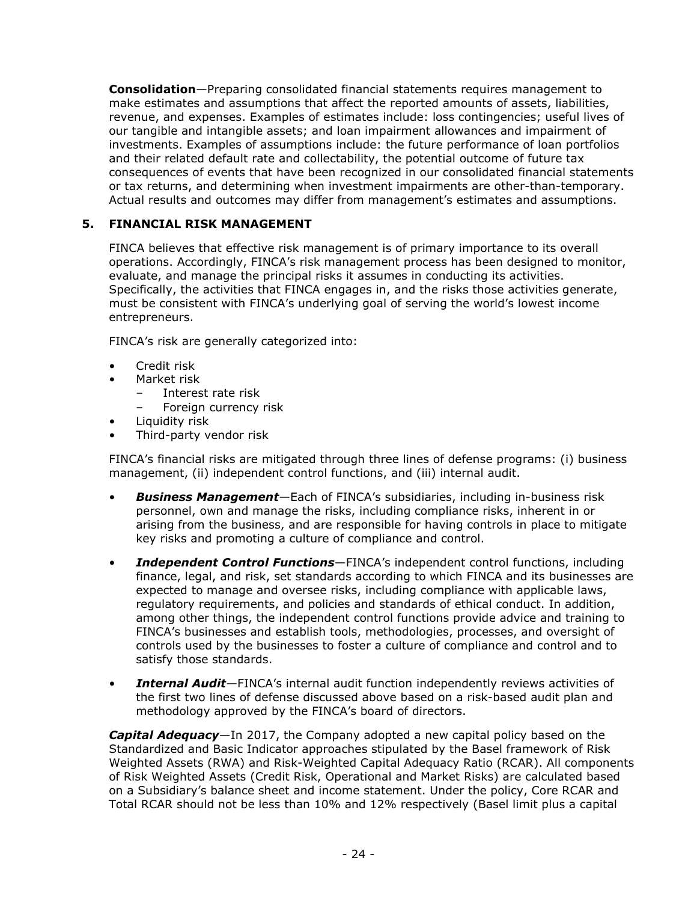**Consolidation**—Preparing consolidated financial statements requires management to make estimates and assumptions that affect the reported amounts of assets, liabilities, revenue, and expenses. Examples of estimates include: loss contingencies; useful lives of our tangible and intangible assets; and loan impairment allowances and impairment of investments. Examples of assumptions include: the future performance of loan portfolios and their related default rate and collectability, the potential outcome of future tax consequences of events that have been recognized in our consolidated financial statements or tax returns, and determining when investment impairments are other-than-temporary. Actual results and outcomes may differ from management's estimates and assumptions.

## **5. FINANCIAL RISK MANAGEMENT**

FINCA believes that effective risk management is of primary importance to its overall operations. Accordingly, FINCA's risk management process has been designed to monitor, evaluate, and manage the principal risks it assumes in conducting its activities. Specifically, the activities that FINCA engages in, and the risks those activities generate, must be consistent with FINCA's underlying goal of serving the world's lowest income entrepreneurs.

FINCA's risk are generally categorized into:

- Credit risk
- Market risk
	- Interest rate risk
	- Foreign currency risk
- Liquidity risk
- Third-party vendor risk

FINCA's financial risks are mitigated through three lines of defense programs: (i) business management, (ii) independent control functions, and (iii) internal audit.

- *Business Management*—Each of FINCA's subsidiaries, including in-business risk personnel, own and manage the risks, including compliance risks, inherent in or arising from the business, and are responsible for having controls in place to mitigate key risks and promoting a culture of compliance and control.
- *Independent Control Functions*—FINCA's independent control functions, including finance, legal, and risk, set standards according to which FINCA and its businesses are expected to manage and oversee risks, including compliance with applicable laws, regulatory requirements, and policies and standards of ethical conduct. In addition, among other things, the independent control functions provide advice and training to FINCA's businesses and establish tools, methodologies, processes, and oversight of controls used by the businesses to foster a culture of compliance and control and to satisfy those standards.
- *Internal Audit*—FINCA's internal audit function independently reviews activities of the first two lines of defense discussed above based on a risk-based audit plan and methodology approved by the FINCA's board of directors.

*Capital Adequacy*—In 2017, the Company adopted a new capital policy based on the Standardized and Basic Indicator approaches stipulated by the Basel framework of Risk Weighted Assets (RWA) and Risk-Weighted Capital Adequacy Ratio (RCAR). All components of Risk Weighted Assets (Credit Risk, Operational and Market Risks) are calculated based on a Subsidiary's balance sheet and income statement. Under the policy, Core RCAR and Total RCAR should not be less than 10% and 12% respectively (Basel limit plus a capital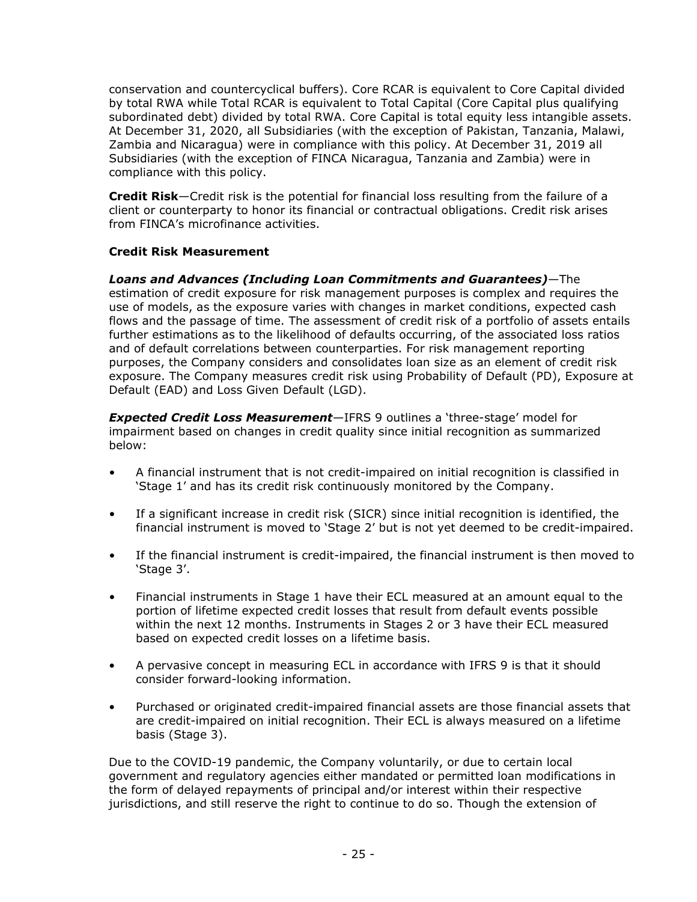conservation and countercyclical buffers). Core RCAR is equivalent to Core Capital divided by total RWA while Total RCAR is equivalent to Total Capital (Core Capital plus qualifying subordinated debt) divided by total RWA. Core Capital is total equity less intangible assets. At December 31, 2020, all Subsidiaries (with the exception of Pakistan, Tanzania, Malawi, Zambia and Nicaragua) were in compliance with this policy. At December 31, 2019 all Subsidiaries (with the exception of FINCA Nicaragua, Tanzania and Zambia) were in compliance with this policy.

**Credit Risk**—Credit risk is the potential for financial loss resulting from the failure of a client or counterparty to honor its financial or contractual obligations. Credit risk arises from FINCA's microfinance activities.

### **Credit Risk Measurement**

*Loans and Advances (Including Loan Commitments and Guarantees)*—The estimation of credit exposure for risk management purposes is complex and requires the use of models, as the exposure varies with changes in market conditions, expected cash flows and the passage of time. The assessment of credit risk of a portfolio of assets entails further estimations as to the likelihood of defaults occurring, of the associated loss ratios and of default correlations between counterparties. For risk management reporting purposes, the Company considers and consolidates loan size as an element of credit risk exposure. The Company measures credit risk using Probability of Default (PD), Exposure at Default (EAD) and Loss Given Default (LGD).

*Expected Credit Loss Measurement*—IFRS 9 outlines a 'three-stage' model for impairment based on changes in credit quality since initial recognition as summarized below:

- A financial instrument that is not credit-impaired on initial recognition is classified in 'Stage 1' and has its credit risk continuously monitored by the Company.
- If a significant increase in credit risk (SICR) since initial recognition is identified, the financial instrument is moved to 'Stage 2' but is not yet deemed to be credit-impaired.
- If the financial instrument is credit-impaired, the financial instrument is then moved to 'Stage 3'.
- Financial instruments in Stage 1 have their ECL measured at an amount equal to the portion of lifetime expected credit losses that result from default events possible within the next 12 months. Instruments in Stages 2 or 3 have their ECL measured based on expected credit losses on a lifetime basis.
- A pervasive concept in measuring ECL in accordance with IFRS 9 is that it should consider forward-looking information.
- Purchased or originated credit-impaired financial assets are those financial assets that are credit-impaired on initial recognition. Their ECL is always measured on a lifetime basis (Stage 3).

Due to the COVID-19 pandemic, the Company voluntarily, or due to certain local government and regulatory agencies either mandated or permitted loan modifications in the form of delayed repayments of principal and/or interest within their respective jurisdictions, and still reserve the right to continue to do so. Though the extension of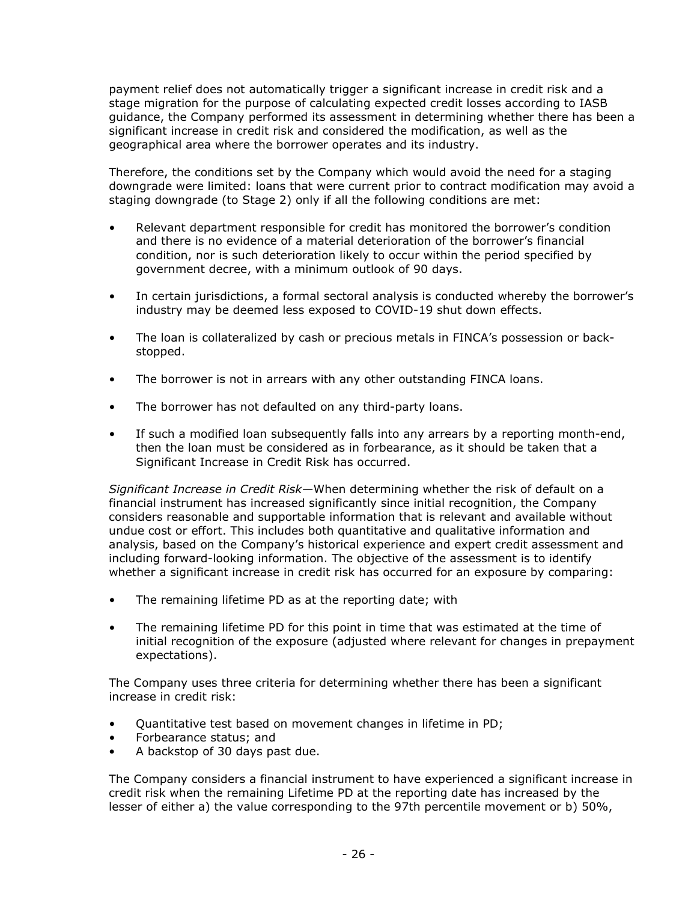payment relief does not automatically trigger a significant increase in credit risk and a stage migration for the purpose of calculating expected credit losses according to IASB guidance, the Company performed its assessment in determining whether there has been a significant increase in credit risk and considered the modification, as well as the geographical area where the borrower operates and its industry.

Therefore, the conditions set by the Company which would avoid the need for a staging downgrade were limited: loans that were current prior to contract modification may avoid a staging downgrade (to Stage 2) only if all the following conditions are met:

- Relevant department responsible for credit has monitored the borrower's condition and there is no evidence of a material deterioration of the borrower's financial condition, nor is such deterioration likely to occur within the period specified by government decree, with a minimum outlook of 90 days.
- In certain jurisdictions, a formal sectoral analysis is conducted whereby the borrower's industry may be deemed less exposed to COVID-19 shut down effects.
- The loan is collateralized by cash or precious metals in FINCA's possession or backstopped.
- The borrower is not in arrears with any other outstanding FINCA loans.
- The borrower has not defaulted on any third-party loans.
- If such a modified loan subsequently falls into any arrears by a reporting month-end, then the loan must be considered as in forbearance, as it should be taken that a Significant Increase in Credit Risk has occurred.

*Significant Increase in Credit Risk*—When determining whether the risk of default on a financial instrument has increased significantly since initial recognition, the Company considers reasonable and supportable information that is relevant and available without undue cost or effort. This includes both quantitative and qualitative information and analysis, based on the Company's historical experience and expert credit assessment and including forward-looking information. The objective of the assessment is to identify whether a significant increase in credit risk has occurred for an exposure by comparing:

- The remaining lifetime PD as at the reporting date; with
- The remaining lifetime PD for this point in time that was estimated at the time of initial recognition of the exposure (adjusted where relevant for changes in prepayment expectations).

The Company uses three criteria for determining whether there has been a significant increase in credit risk:

- Quantitative test based on movement changes in lifetime in PD;
- Forbearance status; and
- A backstop of 30 days past due.

The Company considers a financial instrument to have experienced a significant increase in credit risk when the remaining Lifetime PD at the reporting date has increased by the lesser of either a) the value corresponding to the 97th percentile movement or b) 50%,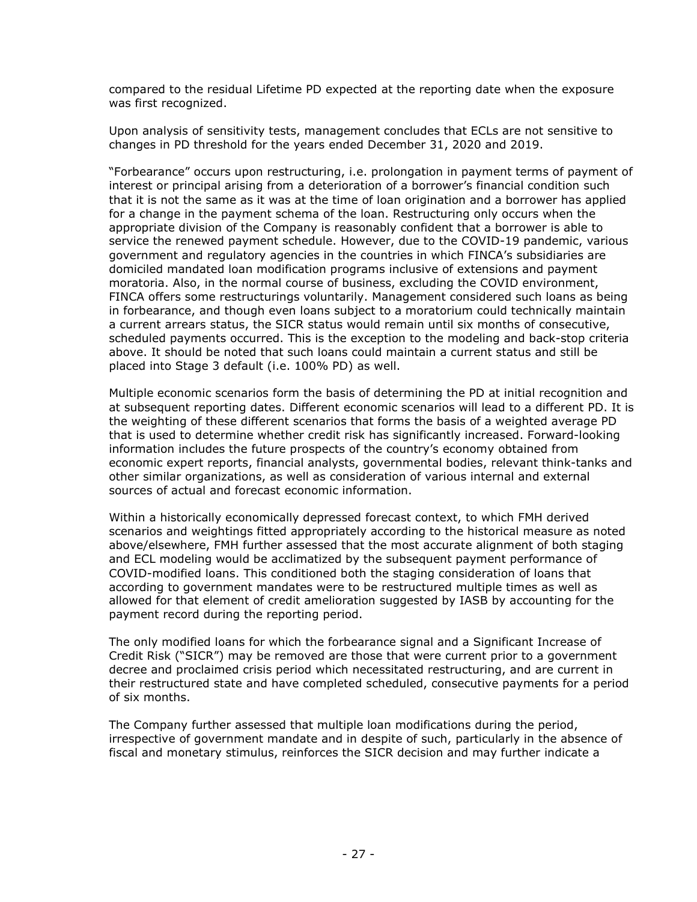compared to the residual Lifetime PD expected at the reporting date when the exposure was first recognized.

Upon analysis of sensitivity tests, management concludes that ECLs are not sensitive to changes in PD threshold for the years ended December 31, 2020 and 2019.

"Forbearance" occurs upon restructuring, i.e. prolongation in payment terms of payment of interest or principal arising from a deterioration of a borrower's financial condition such that it is not the same as it was at the time of loan origination and a borrower has applied for a change in the payment schema of the loan. Restructuring only occurs when the appropriate division of the Company is reasonably confident that a borrower is able to service the renewed payment schedule. However, due to the COVID-19 pandemic, various government and regulatory agencies in the countries in which FINCA's subsidiaries are domiciled mandated loan modification programs inclusive of extensions and payment moratoria. Also, in the normal course of business, excluding the COVID environment, FINCA offers some restructurings voluntarily. Management considered such loans as being in forbearance, and though even loans subject to a moratorium could technically maintain a current arrears status, the SICR status would remain until six months of consecutive, scheduled payments occurred. This is the exception to the modeling and back-stop criteria above. It should be noted that such loans could maintain a current status and still be placed into Stage 3 default (i.e. 100% PD) as well.

Multiple economic scenarios form the basis of determining the PD at initial recognition and at subsequent reporting dates. Different economic scenarios will lead to a different PD. It is the weighting of these different scenarios that forms the basis of a weighted average PD that is used to determine whether credit risk has significantly increased. Forward-looking information includes the future prospects of the country's economy obtained from economic expert reports, financial analysts, governmental bodies, relevant think-tanks and other similar organizations, as well as consideration of various internal and external sources of actual and forecast economic information.

Within a historically economically depressed forecast context, to which FMH derived scenarios and weightings fitted appropriately according to the historical measure as noted above/elsewhere, FMH further assessed that the most accurate alignment of both staging and ECL modeling would be acclimatized by the subsequent payment performance of COVID-modified loans. This conditioned both the staging consideration of loans that according to government mandates were to be restructured multiple times as well as allowed for that element of credit amelioration suggested by IASB by accounting for the payment record during the reporting period.

The only modified loans for which the forbearance signal and a Significant Increase of Credit Risk ("SICR") may be removed are those that were current prior to a government decree and proclaimed crisis period which necessitated restructuring, and are current in their restructured state and have completed scheduled, consecutive payments for a period of six months.

The Company further assessed that multiple loan modifications during the period, irrespective of government mandate and in despite of such, particularly in the absence of fiscal and monetary stimulus, reinforces the SICR decision and may further indicate a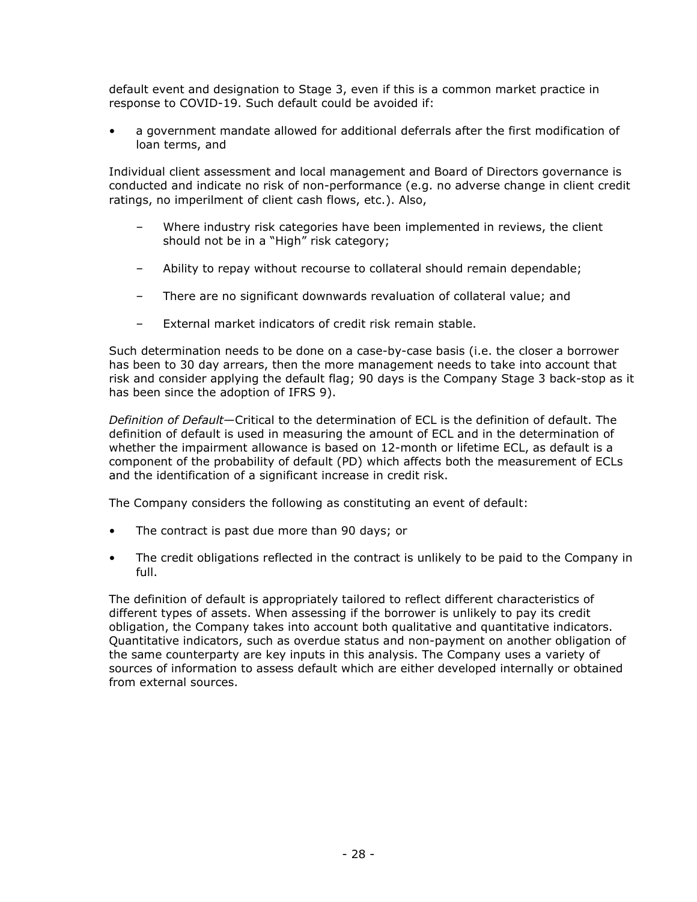default event and designation to Stage 3, even if this is a common market practice in response to COVID-19. Such default could be avoided if:

• a government mandate allowed for additional deferrals after the first modification of loan terms, and

Individual client assessment and local management and Board of Directors governance is conducted and indicate no risk of non-performance (e.g. no adverse change in client credit ratings, no imperilment of client cash flows, etc.). Also,

- Where industry risk categories have been implemented in reviews, the client should not be in a "High" risk category;
- Ability to repay without recourse to collateral should remain dependable;
- There are no significant downwards revaluation of collateral value; and
- External market indicators of credit risk remain stable.

Such determination needs to be done on a case-by-case basis (i.e. the closer a borrower has been to 30 day arrears, then the more management needs to take into account that risk and consider applying the default flag; 90 days is the Company Stage 3 back-stop as it has been since the adoption of IFRS 9).

*Definition of Default*—Critical to the determination of ECL is the definition of default. The definition of default is used in measuring the amount of ECL and in the determination of whether the impairment allowance is based on 12-month or lifetime ECL, as default is a component of the probability of default (PD) which affects both the measurement of ECLs and the identification of a significant increase in credit risk.

The Company considers the following as constituting an event of default:

- The contract is past due more than 90 days; or
- The credit obligations reflected in the contract is unlikely to be paid to the Company in full.

The definition of default is appropriately tailored to reflect different characteristics of different types of assets. When assessing if the borrower is unlikely to pay its credit obligation, the Company takes into account both qualitative and quantitative indicators. Quantitative indicators, such as overdue status and non-payment on another obligation of the same counterparty are key inputs in this analysis. The Company uses a variety of sources of information to assess default which are either developed internally or obtained from external sources.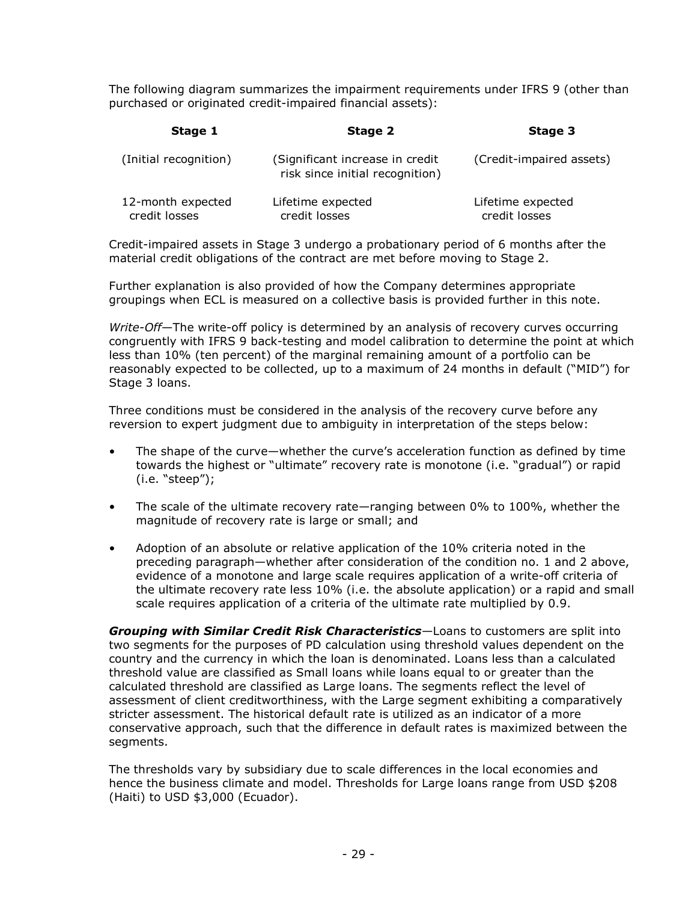The following diagram summarizes the impairment requirements under IFRS 9 (other than purchased or originated credit-impaired financial assets):

| Stage 1                            | Stage 2                                                            | Stage 3                            |
|------------------------------------|--------------------------------------------------------------------|------------------------------------|
| (Initial recognition)              | (Significant increase in credit<br>risk since initial recognition) | (Credit-impaired assets)           |
| 12-month expected<br>credit losses | Lifetime expected<br>credit losses                                 | Lifetime expected<br>credit losses |

Credit-impaired assets in Stage 3 undergo a probationary period of 6 months after the material credit obligations of the contract are met before moving to Stage 2.

Further explanation is also provided of how the Company determines appropriate groupings when ECL is measured on a collective basis is provided further in this note.

*Write-Off*—The write-off policy is determined by an analysis of recovery curves occurring congruently with IFRS 9 back-testing and model calibration to determine the point at which less than 10% (ten percent) of the marginal remaining amount of a portfolio can be reasonably expected to be collected, up to a maximum of 24 months in default ("MID") for Stage 3 loans.

Three conditions must be considered in the analysis of the recovery curve before any reversion to expert judgment due to ambiguity in interpretation of the steps below:

- The shape of the curve—whether the curve's acceleration function as defined by time towards the highest or "ultimate" recovery rate is monotone (i.e. "gradual") or rapid (i.e. "steep");
- The scale of the ultimate recovery rate—ranging between 0% to 100%, whether the magnitude of recovery rate is large or small; and
- Adoption of an absolute or relative application of the 10% criteria noted in the preceding paragraph—whether after consideration of the condition no. 1 and 2 above, evidence of a monotone and large scale requires application of a write-off criteria of the ultimate recovery rate less 10% (i.e. the absolute application) or a rapid and small scale requires application of a criteria of the ultimate rate multiplied by 0.9.

*Grouping with Similar Credit Risk Characteristics*—Loans to customers are split into two segments for the purposes of PD calculation using threshold values dependent on the country and the currency in which the loan is denominated. Loans less than a calculated threshold value are classified as Small loans while loans equal to or greater than the calculated threshold are classified as Large loans. The segments reflect the level of assessment of client creditworthiness, with the Large segment exhibiting a comparatively stricter assessment. The historical default rate is utilized as an indicator of a more conservative approach, such that the difference in default rates is maximized between the segments.

The thresholds vary by subsidiary due to scale differences in the local economies and hence the business climate and model. Thresholds for Large loans range from USD \$208 (Haiti) to USD \$3,000 (Ecuador).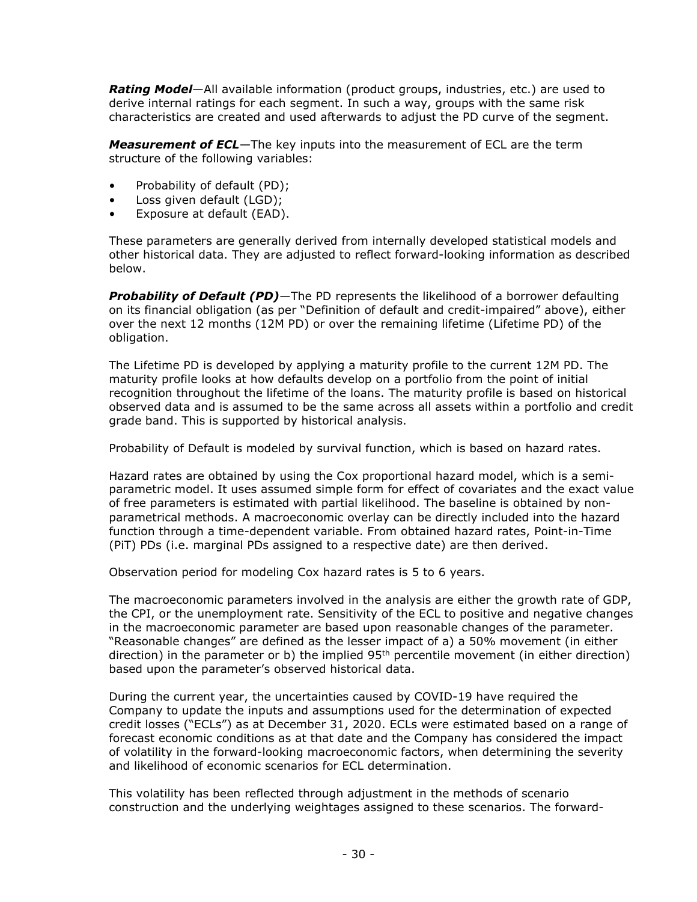*Rating Model*—All available information (product groups, industries, etc.) are used to derive internal ratings for each segment. In such a way, groups with the same risk characteristics are created and used afterwards to adjust the PD curve of the segment.

*Measurement of ECL*—The key inputs into the measurement of ECL are the term structure of the following variables:

- Probability of default (PD);
- Loss given default (LGD);
- Exposure at default (EAD).

These parameters are generally derived from internally developed statistical models and other historical data. They are adjusted to reflect forward-looking information as described below.

**Probability of Default (PD)**—The PD represents the likelihood of a borrower defaulting on its financial obligation (as per "Definition of default and credit-impaired" above), either over the next 12 months (12M PD) or over the remaining lifetime (Lifetime PD) of the obligation.

The Lifetime PD is developed by applying a maturity profile to the current 12M PD. The maturity profile looks at how defaults develop on a portfolio from the point of initial recognition throughout the lifetime of the loans. The maturity profile is based on historical observed data and is assumed to be the same across all assets within a portfolio and credit grade band. This is supported by historical analysis.

Probability of Default is modeled by survival function, which is based on hazard rates.

Hazard rates are obtained by using the Cox proportional hazard model, which is a semiparametric model. It uses assumed simple form for effect of covariates and the exact value of free parameters is estimated with partial likelihood. The baseline is obtained by nonparametrical methods. A macroeconomic overlay can be directly included into the hazard function through a time-dependent variable. From obtained hazard rates, Point-in-Time (PiT) PDs (i.e. marginal PDs assigned to a respective date) are then derived.

Observation period for modeling Cox hazard rates is 5 to 6 years.

The macroeconomic parameters involved in the analysis are either the growth rate of GDP, the CPI, or the unemployment rate. Sensitivity of the ECL to positive and negative changes in the macroeconomic parameter are based upon reasonable changes of the parameter. "Reasonable changes" are defined as the lesser impact of a) a 50% movement (in either direction) in the parameter or b) the implied  $95<sup>th</sup>$  percentile movement (in either direction) based upon the parameter's observed historical data.

During the current year, the uncertainties caused by COVID-19 have required the Company to update the inputs and assumptions used for the determination of expected credit losses ("ECLs") as at December 31, 2020. ECLs were estimated based on a range of forecast economic conditions as at that date and the Company has considered the impact of volatility in the forward-looking macroeconomic factors, when determining the severity and likelihood of economic scenarios for ECL determination.

This volatility has been reflected through adjustment in the methods of scenario construction and the underlying weightages assigned to these scenarios. The forward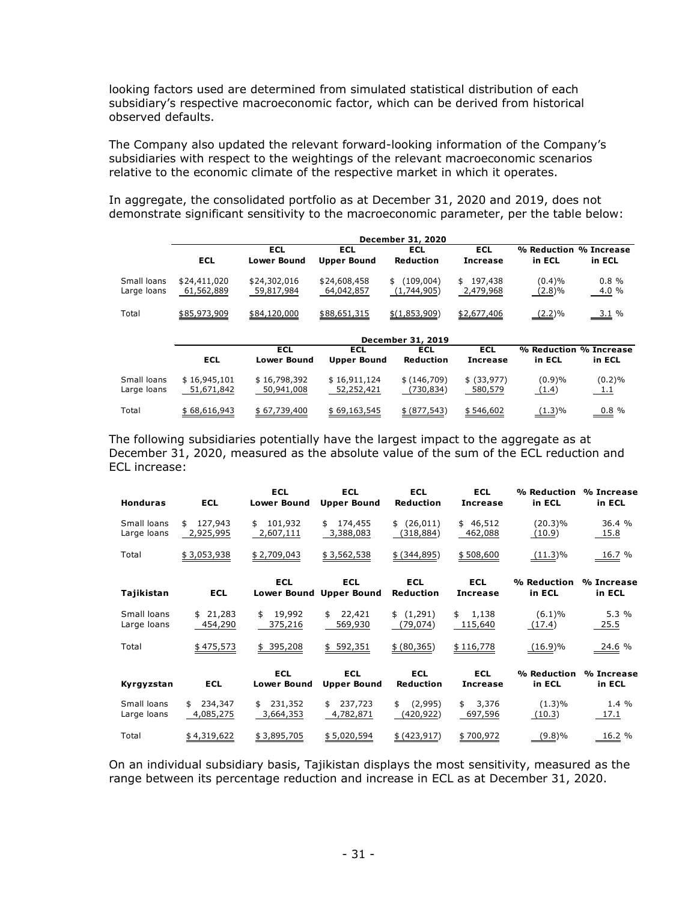looking factors used are determined from simulated statistical distribution of each subsidiary's respective macroeconomic factor, which can be derived from historical observed defaults.

The Company also updated the relevant forward-looking information of the Company's subsidiaries with respect to the weightings of the relevant macroeconomic scenarios relative to the economic climate of the respective market in which it operates.

In aggregate, the consolidated portfolio as at December 31, 2020 and 2019, does not demonstrate significant sensitivity to the macroeconomic parameter, per the table below:

|                            | <b>December 31, 2020</b>   |                                  |                                  |                                |                               |                                  |                   |
|----------------------------|----------------------------|----------------------------------|----------------------------------|--------------------------------|-------------------------------|----------------------------------|-------------------|
|                            | <b>ECL</b>                 | <b>ECL</b><br><b>Lower Bound</b> | <b>ECL</b><br><b>Upper Bound</b> | <b>ECL</b><br><b>Reduction</b> | <b>ECL</b><br><b>Increase</b> | % Reduction % Increase<br>in ECL | in ECL            |
| Small loans<br>Large loans | \$24,411,020<br>61,562,889 | \$24,302,016<br>59,817,984       | \$24,608,458<br>64,042,857       | (109,004)<br>\$<br>(1,744,905) | 197,438<br>\$<br>2,479,968    | (0.4)%<br>$(2.8)\%$              | 0.8%<br>4.0 %     |
| Total                      | \$85,973,909               | \$84,120,000                     | \$88,651,315                     | \$(1,853,909)                  | \$2,677,406                   | $(2.2)\%$                        | $\frac{3.1}{8}$ % |
|                            |                            |                                  |                                  | <b>December 31, 2019</b>       |                               |                                  |                   |
|                            | <b>ECL</b>                 | <b>ECL</b><br>Lower Bound        | <b>ECL</b><br><b>Upper Bound</b> | ECL<br><b>Reduction</b>        | <b>ECL</b><br><b>Increase</b> | % Reduction % Increase<br>in ECL | in ECL            |
| Small loans<br>Large loans | \$16,945,101<br>51,671,842 | \$16,798,392<br>50,941,008       | \$16,911,124<br>52,252,421       | \$(146,709)<br>(730,834)       | \$ (33,977)<br>580,579        | (0.9)%<br>(1.4)                  | (0.2)%<br>1.1     |
| Total                      | \$68,616,943               | \$67,739,400                     | \$69,163,545                     | \$ (877, 543)                  | \$546,602                     | $(1.3)\%$                        | 0.8%              |

The following subsidiaries potentially have the largest impact to the aggregate as at December 31, 2020, measured as the absolute value of the sum of the ECL reduction and ECL increase:

| <b>Honduras</b>            | <b>ECL</b>                 | <b>ECL</b><br><b>Lower Bound</b> | <b>ECL</b><br><b>Upper Bound</b> | <b>ECL</b><br><b>Reduction</b> | <b>ECL</b><br><b>Increase</b> | % Reduction<br>in ECL | % Increase<br>in ECL |
|----------------------------|----------------------------|----------------------------------|----------------------------------|--------------------------------|-------------------------------|-----------------------|----------------------|
| Small loans<br>Large loans | 127,943<br>\$<br>2,925,995 | 101,932<br>\$<br>2,607,111       | 174,455<br>\$<br>3,388,083       | \$(26,011)<br>(318, 884)       | \$46,512<br>462,088           | $(20.3)\%$<br>(10.9)  | 36.4 %<br>15.8       |
| Total                      | \$3,053,938                | \$2,709,043                      | \$3,562,538                      | \$ (344,895)                   | \$508,600                     | $(11.3)\%$            | 16.7%                |
| Tajikistan                 | <b>ECL</b>                 | <b>ECL</b><br><b>Lower Bound</b> | <b>ECL</b><br><b>Upper Bound</b> | <b>ECL</b><br>Reduction        | <b>ECL</b><br><b>Increase</b> | % Reduction<br>in ECL | % Increase<br>in ECL |
| Small loans<br>Large loans | \$21.283<br>454,290        | 19,992<br>\$.<br>375,216         | 22,421<br>\$<br>569,930          | \$(1,291)<br>(79,074)          | 1,138<br>\$<br>115,640        | (6.1)%<br>(17.4)      | 5.3%<br>25.5         |
| Total                      | \$475,573                  | \$395,208                        | \$592,351                        | \$ (80, 365)                   | \$116,778                     | $(16.9)\%$            | 24.6%                |
| Kyrgyzstan                 | <b>ECL</b>                 | <b>ECL</b><br><b>Lower Bound</b> | <b>ECL</b><br><b>Upper Bound</b> | <b>ECL</b><br><b>Reduction</b> | <b>ECL</b><br><b>Increase</b> | % Reduction<br>in ECL | % Increase<br>in ECL |
| Small loans<br>Large loans | \$234,347<br>4,085,275     | \$231,352<br>3,664,353           | \$237,723<br>4,782,871           | (2,995)<br>\$<br>(420,922)     | 3,376<br>\$<br>697,596        | (1.3)%<br>(10.3)      | 1.4 %<br>17.1        |
| Total                      | \$4,319,622                | \$3,895,705                      | \$5,020,594                      | \$ (423, 917)                  | \$700,972                     | (9.8)%                | 16.2 %               |

On an individual subsidiary basis, Tajikistan displays the most sensitivity, measured as the range between its percentage reduction and increase in ECL as at December 31, 2020.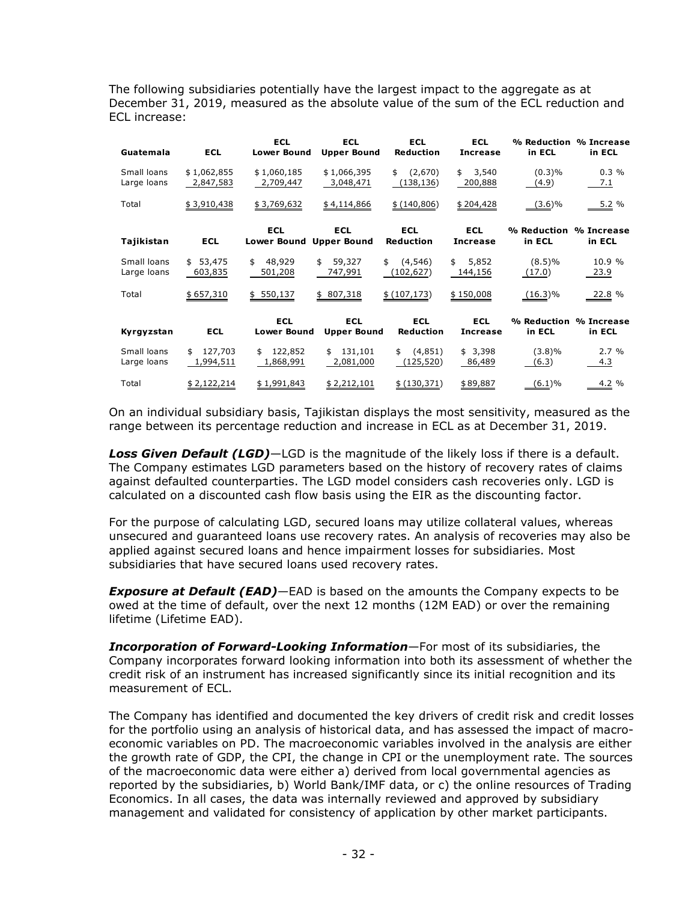The following subsidiaries potentially have the largest impact to the aggregate as at December 31, 2019, measured as the absolute value of the sum of the ECL reduction and ECL increase:

| Guatemala                  | <b>ECL</b>                 | <b>ECL</b><br><b>Lower Bound</b>      | <b>ECL</b><br><b>Upper Bound</b> | <b>ECL</b><br><b>Reduction</b> | <b>ECL</b><br><b>Increase</b> | % Reduction % Increase<br>in ECL | in ECL              |
|----------------------------|----------------------------|---------------------------------------|----------------------------------|--------------------------------|-------------------------------|----------------------------------|---------------------|
| Small loans<br>Large loans | \$1,062,855<br>2,847,583   | \$1,060,185<br>2,709,447              | \$1,066,395<br>3,048,471         | (2,670)<br>\$<br>(138, 136)    | 3,540<br>\$<br>200,888        | (0.3)%<br>(4.9)                  | 0.3%<br>7.1         |
| Total                      | <u>\$3,910,438</u>         | \$3,769,632                           | \$4,114,866                      | \$ (140,806)                   | \$204,428                     | $(3.6)\%$                        | $\frac{5.2}{5.2}$ % |
| Tajikistan                 | <b>ECL</b>                 | <b>ECL</b><br>Lower Bound Upper Bound | <b>ECL</b>                       | <b>ECL</b><br><b>Reduction</b> | <b>ECL</b><br><b>Increase</b> | % Reduction % Increase<br>in ECL | in ECL              |
| Small loans<br>Large loans | \$53,475<br>603,835        | 48,929<br>\$<br>501,208               | 59,327<br>\$<br>747,991          | (4,546)<br>\$<br>(102, 627)    | 5,852<br>\$<br>144,156        | $(8.5)\%$<br>(17.0)              | 10.9 %<br>23.9      |
| Total                      | \$657,310                  | \$550,137                             | \$807,318                        | \$ (107, 173)                  | \$150,008                     | $(16.3)\%$                       | 22.8%               |
| Kyrgyzstan                 | <b>ECL</b>                 | <b>ECL</b><br><b>Lower Bound</b>      | <b>ECL</b><br><b>Upper Bound</b> | <b>ECL</b><br><b>Reduction</b> | <b>ECL</b><br><b>Increase</b> | % Reduction % Increase<br>in ECL | in ECL              |
| Small loans<br>Large loans | 127,703<br>\$<br>1,994,511 | 122,852<br>\$<br>1,868,991            | 131,101<br>\$<br>2,081,000       | (4, 851)<br>\$<br>(125, 520)   | \$3,398<br>86,489             | $(3.8)\%$<br>(6.3)               | 2.7%<br>4.3         |
| Total                      | \$2,122,214                | \$1,991,843                           | \$2,212,101                      | \$(130, 371)                   | \$89,887                      | (6.1)%                           | 4.2 %               |

On an individual subsidiary basis, Tajikistan displays the most sensitivity, measured as the range between its percentage reduction and increase in ECL as at December 31, 2019.

**Loss Given Default (LGD)**—LGD is the magnitude of the likely loss if there is a default. The Company estimates LGD parameters based on the history of recovery rates of claims against defaulted counterparties. The LGD model considers cash recoveries only. LGD is calculated on a discounted cash flow basis using the EIR as the discounting factor.

For the purpose of calculating LGD, secured loans may utilize collateral values, whereas unsecured and guaranteed loans use recovery rates. An analysis of recoveries may also be applied against secured loans and hence impairment losses for subsidiaries. Most subsidiaries that have secured loans used recovery rates.

*Exposure at Default (EAD)*—EAD is based on the amounts the Company expects to be owed at the time of default, over the next 12 months (12M EAD) or over the remaining lifetime (Lifetime EAD).

*Incorporation of Forward-Looking Information*—For most of its subsidiaries, the Company incorporates forward looking information into both its assessment of whether the credit risk of an instrument has increased significantly since its initial recognition and its measurement of ECL.

The Company has identified and documented the key drivers of credit risk and credit losses for the portfolio using an analysis of historical data, and has assessed the impact of macroeconomic variables on PD. The macroeconomic variables involved in the analysis are either the growth rate of GDP, the CPI, the change in CPI or the unemployment rate. The sources of the macroeconomic data were either a) derived from local governmental agencies as reported by the subsidiaries, b) World Bank/IMF data, or c) the online resources of Trading Economics. In all cases, the data was internally reviewed and approved by subsidiary management and validated for consistency of application by other market participants.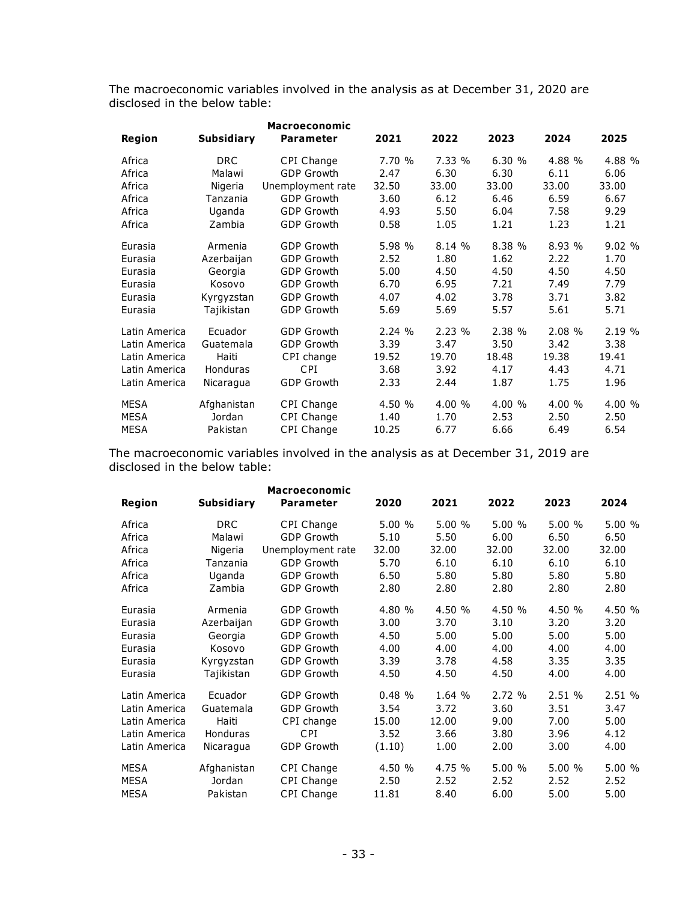The macroeconomic variables involved in the analysis as at December 31, 2020 are disclosed in the below table:

| Region        | <b>Subsidiary</b> | <b>Macroeconomic</b><br><b>Parameter</b> | 2021   | 2022   | 2023   | 2024   | 2025   |
|---------------|-------------------|------------------------------------------|--------|--------|--------|--------|--------|
| Africa        | DRC               | <b>CPI Change</b>                        | 7.70 % | 7.33%  | 6.30%  | 4.88 % | 4.88 % |
| Africa        | Malawi            | <b>GDP Growth</b>                        | 2.47   | 6.30   | 6.30   | 6.11   | 6.06   |
| Africa        | Nigeria           | Unemployment rate                        | 32.50  | 33.00  | 33.00  | 33.00  | 33.00  |
| Africa        | Tanzania          | <b>GDP Growth</b>                        | 3.60   | 6.12   | 6.46   | 6.59   | 6.67   |
| Africa        | Uganda            | <b>GDP Growth</b>                        | 4.93   | 5.50   | 6.04   | 7.58   | 9.29   |
| Africa        | Zambia            | <b>GDP Growth</b>                        | 0.58   | 1.05   | 1.21   | 1.23   | 1.21   |
| Eurasia       | Armenia           | <b>GDP Growth</b>                        | 5.98 % | 8.14 % | 8.38 % | 8.93%  | 9.02%  |
| Eurasia       | Azerbaijan        | <b>GDP Growth</b>                        | 2.52   | 1.80   | 1.62   | 2.22   | 1.70   |
| Eurasia       | Georgia           | <b>GDP Growth</b>                        | 5.00   | 4.50   | 4.50   | 4.50   | 4.50   |
| Eurasia       | Kosovo            | <b>GDP Growth</b>                        | 6.70   | 6.95   | 7.21   | 7.49   | 7.79   |
| Eurasia       | Kyrgyzstan        | <b>GDP Growth</b>                        | 4.07   | 4.02   | 3.78   | 3.71   | 3.82   |
| Eurasia       | Tajikistan        | <b>GDP Growth</b>                        | 5.69   | 5.69   | 5.57   | 5.61   | 5.71   |
| Latin America | Ecuador           | <b>GDP Growth</b>                        | 2.24%  | 2.23%  | 2.38 % | 2.08%  | 2.19 % |
| Latin America | Guatemala         | <b>GDP Growth</b>                        | 3.39   | 3.47   | 3.50   | 3.42   | 3.38   |
| Latin America | Haiti             | CPI change                               | 19.52  | 19.70  | 18.48  | 19.38  | 19.41  |
| Latin America | <b>Honduras</b>   | <b>CPI</b>                               | 3.68   | 3.92   | 4.17   | 4.43   | 4.71   |
| Latin America | Nicaragua         | <b>GDP Growth</b>                        | 2.33   | 2.44   | 1.87   | 1.75   | 1.96   |
| <b>MESA</b>   | Afghanistan       | CPI Change                               | 4.50 % | 4.00 % | 4.00 % | 4.00 % | 4.00 % |
| <b>MESA</b>   | Jordan            | CPI Change                               | 1.40   | 1.70   | 2.53   | 2.50   | 2.50   |
| <b>MESA</b>   | Pakistan          | CPI Change                               | 10.25  | 6.77   | 6.66   | 6.49   | 6.54   |

The macroeconomic variables involved in the analysis as at December 31, 2019 are disclosed in the below table:

| <b>Region</b> | <b>Subsidiary</b> | Macroeconomic<br><b>Parameter</b> | 2020   | 2021   | 2022   | 2023   | 2024   |
|---------------|-------------------|-----------------------------------|--------|--------|--------|--------|--------|
|               |                   |                                   |        |        |        |        |        |
| Africa        | DRC               | <b>CPI Change</b>                 | 5.00 % | 5.00%  | 5.00%  | 5.00%  | 5.00 % |
| Africa        | Malawi            | <b>GDP Growth</b>                 | 5.10   | 5.50   | 6.00   | 6.50   | 6.50   |
| Africa        | Nigeria           | Unemployment rate                 | 32.00  | 32.00  | 32.00  | 32.00  | 32.00  |
| Africa        | Tanzania          | <b>GDP Growth</b>                 | 5.70   | 6.10   | 6.10   | 6.10   | 6.10   |
| Africa        | Uganda            | <b>GDP Growth</b>                 | 6.50   | 5.80   | 5.80   | 5.80   | 5.80   |
| Africa        | Zambia            | <b>GDP Growth</b>                 | 2.80   | 2.80   | 2.80   | 2.80   | 2.80   |
| Eurasia       | Armenia           | <b>GDP Growth</b>                 | 4.80 % | 4.50 % | 4.50 % | 4.50 % | 4.50 % |
| Eurasia       | Azerbaijan        | <b>GDP Growth</b>                 | 3.00   | 3.70   | 3.10   | 3.20   | 3.20   |
| Eurasia       | Georgia           | <b>GDP Growth</b>                 | 4.50   | 5.00   | 5.00   | 5.00   | 5.00   |
| Eurasia       | Kosovo            | <b>GDP Growth</b>                 | 4.00   | 4.00   | 4.00   | 4.00   | 4.00   |
| Eurasia       | Kyrgyzstan        | <b>GDP Growth</b>                 | 3.39   | 3.78   | 4.58   | 3.35   | 3.35   |
| Eurasia       | Tajikistan        | <b>GDP Growth</b>                 | 4.50   | 4.50   | 4.50   | 4.00   | 4.00   |
| Latin America | Ecuador           | <b>GDP Growth</b>                 | 0.48%  | 1.64 % | 2.72 % | 2.51 % | 2.51 % |
| Latin America | Guatemala         | <b>GDP Growth</b>                 | 3.54   | 3.72   | 3.60   | 3.51   | 3.47   |
| Latin America | Haiti             | CPI change                        | 15.00  | 12.00  | 9.00   | 7.00   | 5.00   |
| Latin America | <b>Honduras</b>   | CPI                               | 3.52   | 3.66   | 3.80   | 3.96   | 4.12   |
| Latin America | Nicaragua         | <b>GDP Growth</b>                 | (1.10) | 1.00   | 2.00   | 3.00   | 4.00   |
| <b>MESA</b>   | Afghanistan       | CPI Change                        | 4.50 % | 4.75 % | 5.00%  | 5.00 % | 5.00 % |
| <b>MESA</b>   | Jordan            | CPI Change                        | 2.50   | 2.52   | 2.52   | 2.52   | 2.52   |
| <b>MESA</b>   | Pakistan          | CPI Change                        | 11.81  | 8.40   | 6.00   | 5.00   | 5.00   |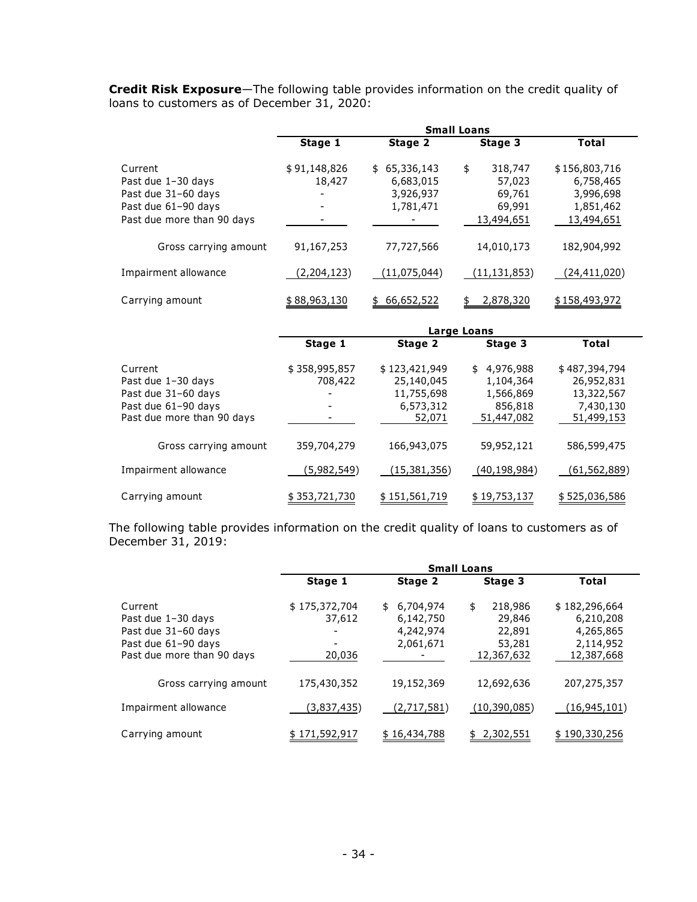**Credit Risk Exposure**—The following table provides information on the credit quality of loans to customers as of December 31, 2020:

|                            | <b>Small Loans</b> |                    |                 |                |  |  |  |
|----------------------------|--------------------|--------------------|-----------------|----------------|--|--|--|
|                            | Stage 1            | Stage 2            | Stage 3         | <b>Total</b>   |  |  |  |
| Current                    | \$91,148,826       | 65,336,143<br>\$   | \$<br>318,747   | \$156,803,716  |  |  |  |
| Past due 1-30 days         | 18,427             | 6,683,015          | 57,023          | 6,758,465      |  |  |  |
| Past due 31-60 days        |                    | 3,926,937          | 69,761          | 3,996,698      |  |  |  |
| Past due 61-90 days        |                    | 1,781,471          | 69,991          | 1,851,462      |  |  |  |
| Past due more than 90 days |                    |                    | 13,494,651      | 13,494,651     |  |  |  |
| Gross carrying amount      | 91,167,253         | 77,727,566         | 14,010,173      | 182,904,992    |  |  |  |
| Impairment allowance       | (2, 204, 123)      | (11, 075, 044)     | (11, 131, 853)  | (24, 411, 020) |  |  |  |
| Carrying amount            | \$88,963,130       | 66,652,522         | 2,878,320       | \$158,493,972  |  |  |  |
|                            |                    | <b>Large Loans</b> |                 |                |  |  |  |
|                            | Stage 1            | Stage 2            | Stage 3         | <b>Total</b>   |  |  |  |
| Current                    | \$358,995,857      | \$123,421,949      | 4,976,988<br>\$ | \$487,394,794  |  |  |  |
| Past due 1-30 days         | 708,422            | 25,140,045         | 1,104,364       | 26,952,831     |  |  |  |
| Past due 31-60 days        |                    | 11,755,698         | 1,566,869       | 13,322,567     |  |  |  |
| Past due 61-90 days        |                    | 6,573,312          | 856,818         | 7,430,130      |  |  |  |
| Past due more than 90 days |                    | 52,071             | 51,447,082      | 51,499,153     |  |  |  |
| Gross carrying amount      | 359,704,279        | 166,943,075        | 59,952,121      | 586,599,475    |  |  |  |
| Impairment allowance       | (5,982,549)        | (15, 381, 356)     | (40, 198, 984)  | (61, 562, 889) |  |  |  |
| Carrying amount            | \$353,721,730      | \$151,561,719      | \$19,753,137    | \$525,036,586  |  |  |  |

The following table provides information on the credit quality of loans to customers as of December 31, 2019:

|                                                                                                           | <b>Small Loans</b>                |                                                        |                                                           |                                                                    |  |
|-----------------------------------------------------------------------------------------------------------|-----------------------------------|--------------------------------------------------------|-----------------------------------------------------------|--------------------------------------------------------------------|--|
|                                                                                                           | Stage 1                           | Stage 2                                                | Stage 3                                                   | Total                                                              |  |
| Current<br>Past due 1-30 days<br>Past due 31-60 days<br>Past due 61-90 days<br>Past due more than 90 days | \$175,372,704<br>37,612<br>20,036 | 6,704,974<br>\$<br>6,142,750<br>4,242,974<br>2,061,671 | 218,986<br>\$<br>29,846<br>22,891<br>53,281<br>12,367,632 | \$182,296,664<br>6,210,208<br>4,265,865<br>2,114,952<br>12,387,668 |  |
| Gross carrying amount                                                                                     | 175,430,352                       | 19,152,369                                             | 12,692,636                                                | 207,275,357                                                        |  |
| Impairment allowance                                                                                      | (3,837,435)                       | (2,717,581)                                            | (10, 390, 085)                                            | (16,945,101)                                                       |  |
| Carrying amount                                                                                           | 171,592,917                       | \$16,434,788                                           | 2,302,551                                                 | \$190,330,256                                                      |  |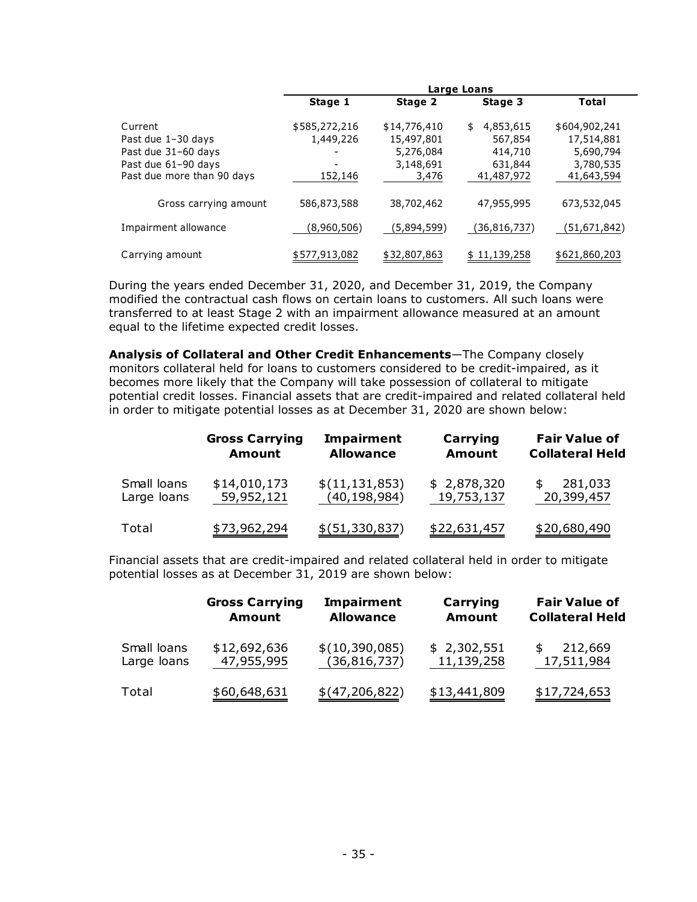|                                                                                                           | Large Loans                           |                                                               |                                                                |                                                                     |  |
|-----------------------------------------------------------------------------------------------------------|---------------------------------------|---------------------------------------------------------------|----------------------------------------------------------------|---------------------------------------------------------------------|--|
|                                                                                                           | Stage 1                               | Stage 2                                                       | Stage 3                                                        | Total                                                               |  |
| Current<br>Past due 1-30 days<br>Past due 31-60 days<br>Past due 61-90 days<br>Past due more than 90 days | \$585,272,216<br>1,449,226<br>152,146 | \$14,776,410<br>15,497,801<br>5,276,084<br>3,148,691<br>3,476 | 4,853,615<br>\$<br>567,854<br>414,710<br>631,844<br>41,487,972 | \$604,902,241<br>17,514,881<br>5,690,794<br>3,780,535<br>41,643,594 |  |
| Gross carrying amount                                                                                     | 586,873,588                           | 38,702,462                                                    | 47,955,995                                                     | 673,532,045                                                         |  |
| Impairment allowance                                                                                      | (8,960,506)                           | (5,894,599)                                                   | (36, 816, 737)                                                 | (51,671,842)                                                        |  |
| Carrying amount                                                                                           | \$577,913,082                         | \$32,807,863                                                  | \$11,139,258                                                   | \$621,860,203                                                       |  |

During the years ended December 31, 2020, and December 31, 2019, the Company modified the contractual cash flows on certain loans to customers. All such loans were transferred to at least Stage 2 with an impairment allowance measured at an amount equal to the lifetime expected credit losses.

**Analysis of Collateral and Other Credit Enhancements**—The Company closely monitors collateral held for loans to customers considered to be credit-impaired, as it becomes more likely that the Company will take possession of collateral to mitigate potential credit losses. Financial assets that are credit-impaired and related collateral held in order to mitigate potential losses as at December 31, 2020 are shown below:

|             | <b>Gross Carrying</b> | Impairment       | Carrying      | <b>Fair Value of</b>   |
|-------------|-----------------------|------------------|---------------|------------------------|
|             | <b>Amount</b>         | <b>Allowance</b> | <b>Amount</b> | <b>Collateral Held</b> |
| Small loans | \$14,010,173          | \$(11, 131, 853) | \$2,878,320   | 281,033                |
| Large loans | 59,952,121            | (40, 198, 984)   | 19,753,137    | 20,399,457             |
| Total       | \$73,962,294          | \$(51, 330, 837) | \$22,631,457  | \$20,680,490           |

Financial assets that are credit-impaired and related collateral held in order to mitigate potential losses as at December 31, 2019 are shown below:

|             | <b>Gross Carrying</b> | <b>Impairment</b> | Carrying      | <b>Fair Value of</b>   |
|-------------|-----------------------|-------------------|---------------|------------------------|
|             | <b>Amount</b>         | <b>Allowance</b>  | <b>Amount</b> | <b>Collateral Held</b> |
| Small loans | \$12,692,636          | \$(10, 390, 085)  | \$2,302,551   | 212,669                |
| Large loans | 47,955,995            | (36, 816, 737)    | 11,139,258    | 17,511,984             |
| Total       | \$60,648,631          | \$(47, 206, 822)  | \$13,441,809  | \$17,724,653           |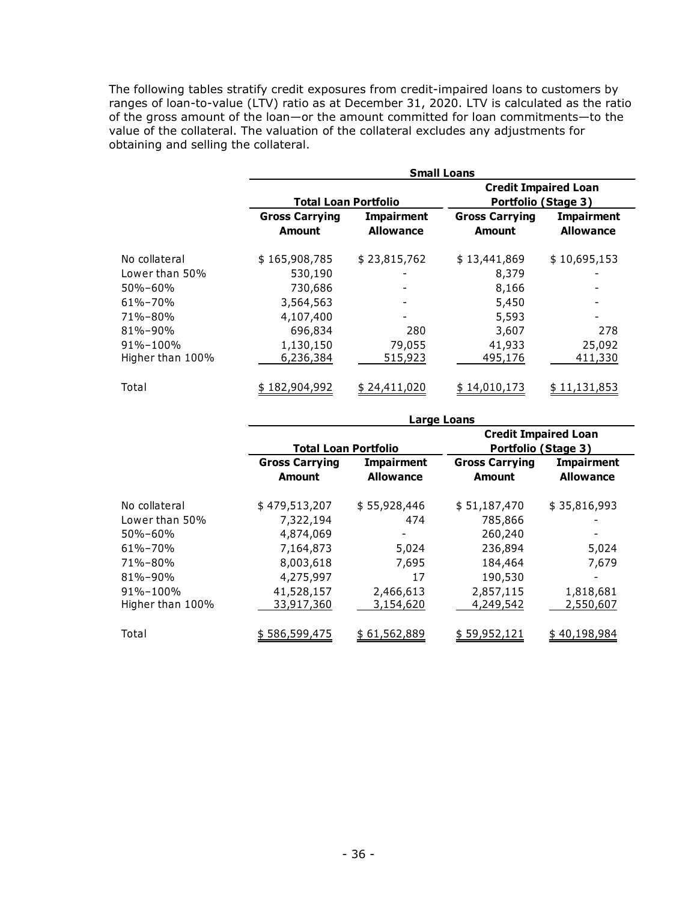The following tables stratify credit exposures from credit-impaired loans to customers by ranges of loan-to-value (LTV) ratio as at December 31, 2020. LTV is calculated as the ratio of the gross amount of the loan—or the amount committed for loan commitments—to the value of the collateral. The valuation of the collateral excludes any adjustments for obtaining and selling the collateral.

|                  | <b>Small Loans</b>                     |                                       |                                                    |                                       |  |
|------------------|----------------------------------------|---------------------------------------|----------------------------------------------------|---------------------------------------|--|
|                  | <b>Total Loan Portfolio</b>            |                                       | <b>Credit Impaired Loan</b><br>Portfolio (Stage 3) |                                       |  |
|                  | <b>Gross Carrying</b><br><b>Amount</b> | <b>Impairment</b><br><b>Allowance</b> | <b>Gross Carrying</b><br><b>Amount</b>             | <b>Impairment</b><br><b>Allowance</b> |  |
| No collateral    | \$165,908,785                          | \$23,815,762                          | \$13,441,869                                       | \$10,695,153                          |  |
| Lower than 50%   | 530,190                                |                                       | 8,379                                              |                                       |  |
| 50%-60%          | 730,686                                |                                       | 8,166                                              |                                       |  |
| 61%-70%          | 3,564,563                              |                                       | 5,450                                              |                                       |  |
| 71%-80%          | 4,107,400                              |                                       | 5,593                                              |                                       |  |
| 81%-90%          | 696,834                                | 280                                   | 3,607                                              | 278                                   |  |
| $91\% - 100\%$   | 1,130,150                              | 79,055                                | 41,933                                             | 25,092                                |  |
| Higher than 100% | 6,236,384                              | 515,923                               | 495,176                                            | 411,330                               |  |
| Total            | \$182,904,992                          | \$24,411,020                          | \$14,010,173                                       | \$11,131,853                          |  |

|                  | Large Loans                            |                                       |                                                    |                                       |  |  |
|------------------|----------------------------------------|---------------------------------------|----------------------------------------------------|---------------------------------------|--|--|
|                  | <b>Total Loan Portfolio</b>            |                                       | <b>Credit Impaired Loan</b><br>Portfolio (Stage 3) |                                       |  |  |
|                  | <b>Gross Carrying</b><br><b>Amount</b> | <b>Impairment</b><br><b>Allowance</b> | <b>Gross Carrying</b><br><b>Amount</b>             | <b>Impairment</b><br><b>Allowance</b> |  |  |
| No collateral    | \$479,513,207                          | \$55,928,446                          | \$51,187,470                                       | \$35,816,993                          |  |  |
| Lower than 50%   | 7,322,194                              | 474                                   | 785,866                                            |                                       |  |  |
| $50\% - 60\%$    | 4,874,069                              |                                       | 260,240                                            |                                       |  |  |
| $61\% - 70\%$    | 7,164,873                              | 5,024                                 | 236,894                                            | 5,024                                 |  |  |
| 71%-80%          | 8,003,618                              | 7,695                                 | 184,464                                            | 7,679                                 |  |  |
| $81\% - 90\%$    | 4,275,997                              | 17                                    | 190,530                                            |                                       |  |  |
| 91%-100%         | 41,528,157                             | 2,466,613                             | 2,857,115                                          | 1,818,681                             |  |  |
| Higher than 100% | 33,917,360                             | 3,154,620                             | 4,249,542                                          | 2,550,607                             |  |  |
| Total            | \$586,599,475                          | \$61,562,889                          | \$59,952,12                                        | \$40,198,984                          |  |  |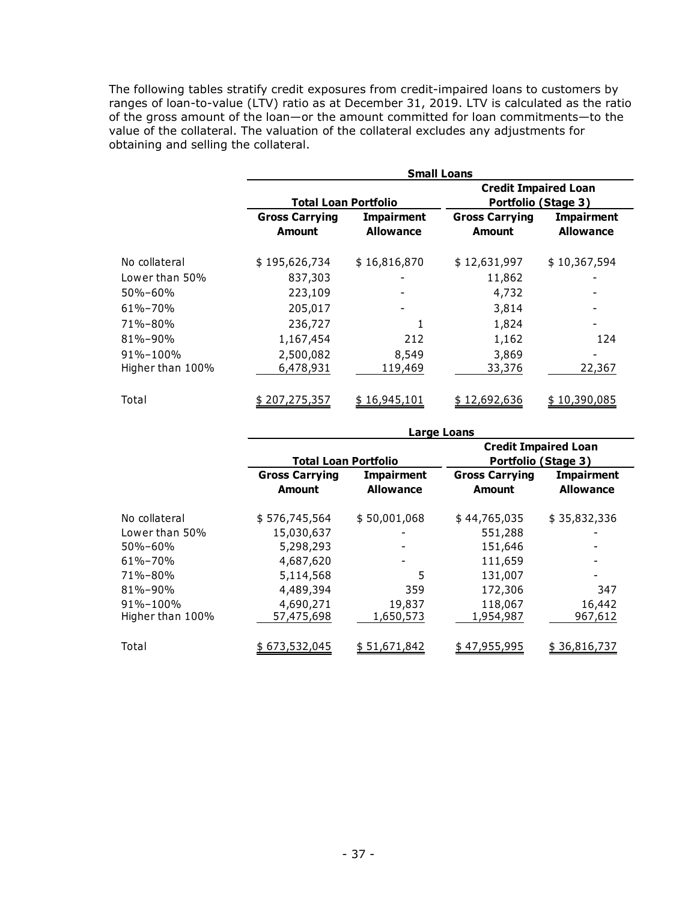The following tables stratify credit exposures from credit-impaired loans to customers by ranges of loan-to-value (LTV) ratio as at December 31, 2019. LTV is calculated as the ratio of the gross amount of the loan—or the amount committed for loan commitments—to the value of the collateral. The valuation of the collateral excludes any adjustments for obtaining and selling the collateral.

|                  | <b>Small Loans</b>                     |                                       |                                                    |                                       |  |  |
|------------------|----------------------------------------|---------------------------------------|----------------------------------------------------|---------------------------------------|--|--|
|                  | <b>Total Loan Portfolio</b>            |                                       | <b>Credit Impaired Loan</b><br>Portfolio (Stage 3) |                                       |  |  |
|                  | <b>Gross Carrying</b><br><b>Amount</b> | <b>Impairment</b><br><b>Allowance</b> | <b>Gross Carrying</b><br><b>Amount</b>             | <b>Impairment</b><br><b>Allowance</b> |  |  |
| No collateral    | \$195,626,734                          | \$16,816,870                          | \$12,631,997                                       | \$10,367,594                          |  |  |
| Lower than 50%   | 837,303                                |                                       | 11,862                                             |                                       |  |  |
| 50%-60%          | 223,109                                |                                       | 4,732                                              |                                       |  |  |
| 61%-70%          | 205,017                                |                                       | 3,814                                              |                                       |  |  |
| 71%-80%          | 236,727                                |                                       | 1,824                                              |                                       |  |  |
| $81\% - 90\%$    | 1,167,454                              | 212                                   | 1,162                                              | 124                                   |  |  |
| $91\% - 100\%$   | 2,500,082                              | 8,549                                 | 3,869                                              |                                       |  |  |
| Higher than 100% | 6,478,931                              | 119,469                               | 33,376                                             | 22,367                                |  |  |
| Total            | \$207,275,357                          | \$16,945,101                          | \$12,692,636                                       | \$10,390,085                          |  |  |

|                                    | <b>Large Loans</b>                     |                                       |                                                           |                                       |  |
|------------------------------------|----------------------------------------|---------------------------------------|-----------------------------------------------------------|---------------------------------------|--|
|                                    | <b>Total Loan Portfolio</b>            |                                       | <b>Credit Impaired Loan</b><br><b>Portfolio (Stage 3)</b> |                                       |  |
|                                    | <b>Gross Carrying</b><br><b>Amount</b> | <b>Impairment</b><br><b>Allowance</b> | <b>Gross Carrying</b><br><b>Amount</b>                    | <b>Impairment</b><br><b>Allowance</b> |  |
| No collateral                      | \$576,745,564                          | \$50,001,068                          | \$44,765,035                                              | \$35,832,336                          |  |
| Lower than 50%<br>50%-60%          | 15,030,637<br>5,298,293                |                                       | 551,288                                                   |                                       |  |
| $61\% - 70\%$                      | 4,687,620                              |                                       | 151,646<br>111,659                                        |                                       |  |
| 71%-80%                            | 5,114,568                              | 5                                     | 131,007                                                   |                                       |  |
| $81\% - 90\%$                      | 4,489,394                              | 359                                   | 172,306                                                   | 347                                   |  |
| $91\% - 100\%$<br>Higher than 100% | 4,690,271<br>57,475,698                | 19,837<br>1,650,573                   | 118,067<br>1,954,987                                      | 16,442<br>967,612                     |  |
| Total                              | \$673,532,045                          | \$51,671,842                          | \$47,955,995                                              | \$36,816,737                          |  |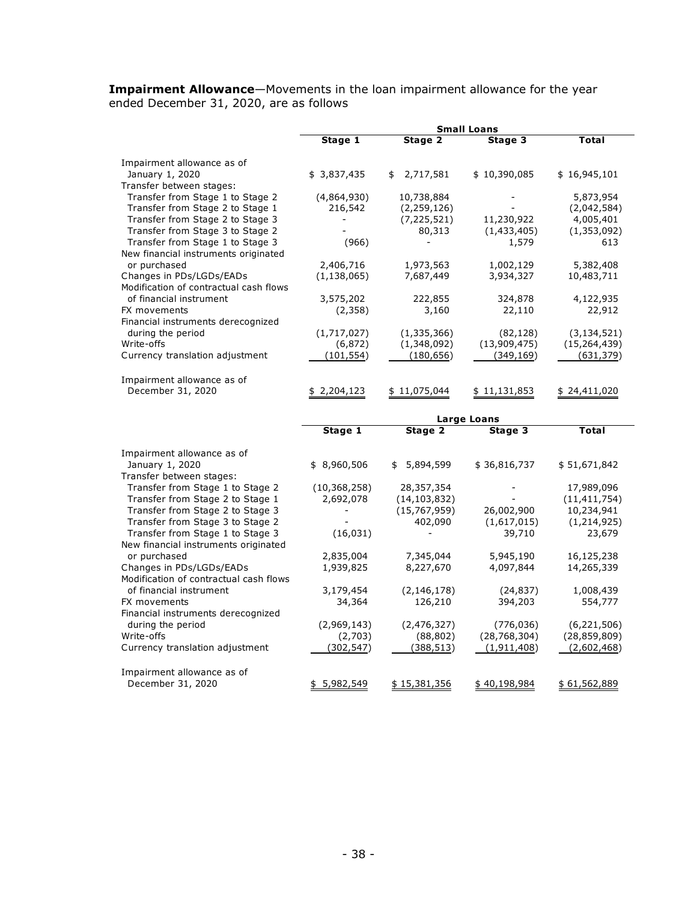**Impairment Allowance**—Movements in the loan impairment allowance for the year ended December 31, 2020, are as follows

|                                        | <b>Small Loans</b> |                          |                     |                |
|----------------------------------------|--------------------|--------------------------|---------------------|----------------|
|                                        | Stage 1            | Stage 2                  | Stage 3             | <b>Total</b>   |
| Impairment allowance as of             |                    |                          |                     |                |
| January 1, 2020                        | \$3,837,435        | 2,717,581<br>\$          | \$10,390,085        | \$16,945,101   |
| Transfer between stages:               |                    |                          |                     |                |
| Transfer from Stage 1 to Stage 2       | (4,864,930)        | 10,738,884               |                     | 5,873,954      |
| Transfer from Stage 2 to Stage 1       | 216,542            | (2, 259, 126)            |                     | (2,042,584)    |
| Transfer from Stage 2 to Stage 3       |                    | (7, 225, 521)            | 11,230,922          | 4,005,401      |
| Transfer from Stage 3 to Stage 2       |                    | 80,313                   | (1,433,405)         | (1, 353, 092)  |
| Transfer from Stage 1 to Stage 3       | (966)              |                          | 1,579               | 613            |
| New financial instruments originated   |                    |                          |                     |                |
| or purchased                           | 2,406,716          | 1,973,563                | 1,002,129           | 5,382,408      |
| Changes in PDs/LGDs/EADs               | (1, 138, 065)      | 7,687,449                | 3,934,327           | 10,483,711     |
| Modification of contractual cash flows |                    |                          |                     |                |
| of financial instrument                | 3,575,202          | 222,855                  | 324,878             | 4,122,935      |
| FX movements                           | (2, 358)           | 3,160                    | 22,110              | 22,912         |
| Financial instruments derecognized     |                    |                          |                     |                |
| during the period                      | (1,717,027)        | (1,335,366)              | (82, 128)           | (3, 134, 521)  |
| Write-offs                             | (6, 872)           | (1,348,092)              | (13,909,475)        | (15, 264, 439) |
| Currency translation adjustment        | (101, 554)         | (180, 656)               | (349, 169)          | (631, 379)     |
|                                        |                    |                          |                     |                |
| Impairment allowance as of             |                    |                          |                     |                |
| December 31, 2020                      | \$2,204,123        | \$11,075,044             | <u>\$11,131,853</u> | \$24,411,020   |
|                                        |                    |                          |                     |                |
|                                        |                    |                          |                     |                |
|                                        |                    |                          | Large Loans         |                |
|                                        | Stage 1            | Stage 2                  | Stage 3             | Total          |
|                                        |                    |                          |                     |                |
| Impairment allowance as of             |                    |                          |                     |                |
| January 1, 2020                        | \$8,960,506        | 5,894,599<br>\$          | \$36,816,737        | \$51,671,842   |
| Transfer between stages:               |                    |                          |                     |                |
| Transfer from Stage 1 to Stage 2       | (10, 368, 258)     | 28,357,354               |                     | 17,989,096     |
| Transfer from Stage 2 to Stage 1       | 2,692,078          | (14, 103, 832)           |                     | (11, 411, 754) |
| Transfer from Stage 2 to Stage 3       |                    | (15, 767, 959)           | 26,002,900          | 10,234,941     |
| Transfer from Stage 3 to Stage 2       |                    | 402,090                  | (1,617,015)         | (1, 214, 925)  |
| Transfer from Stage 1 to Stage 3       | (16, 031)          | $\overline{\phantom{a}}$ | 39,710              | 23,679         |
| New financial instruments originated   |                    |                          |                     |                |
| or purchased                           | 2,835,004          | 7,345,044                | 5,945,190           | 16,125,238     |
| Changes in PDs/LGDs/EADs               | 1,939,825          | 8,227,670                | 4,097,844           | 14,265,339     |
| Modification of contractual cash flows |                    |                          |                     |                |
| of financial instrument                | 3,179,454          | (2, 146, 178)            | (24, 837)           | 1,008,439      |
| <b>FX</b> movements                    | 34,364             | 126,210                  | 394,203             | 554,777        |
| Financial instruments derecognized     |                    |                          |                     |                |
| during the period                      | (2,969,143)        | (2,476,327)              | (776, 036)          | (6, 221, 506)  |
| Write-offs                             | (2,703)            | (88, 802)                | (28, 768, 304)      | (28, 859, 809) |
| Currency translation adjustment        | (302, 547)         | (388, 513)               | (1, 911, 408)       | (2,602,468)    |
| Impairment allowance as of             |                    |                          |                     |                |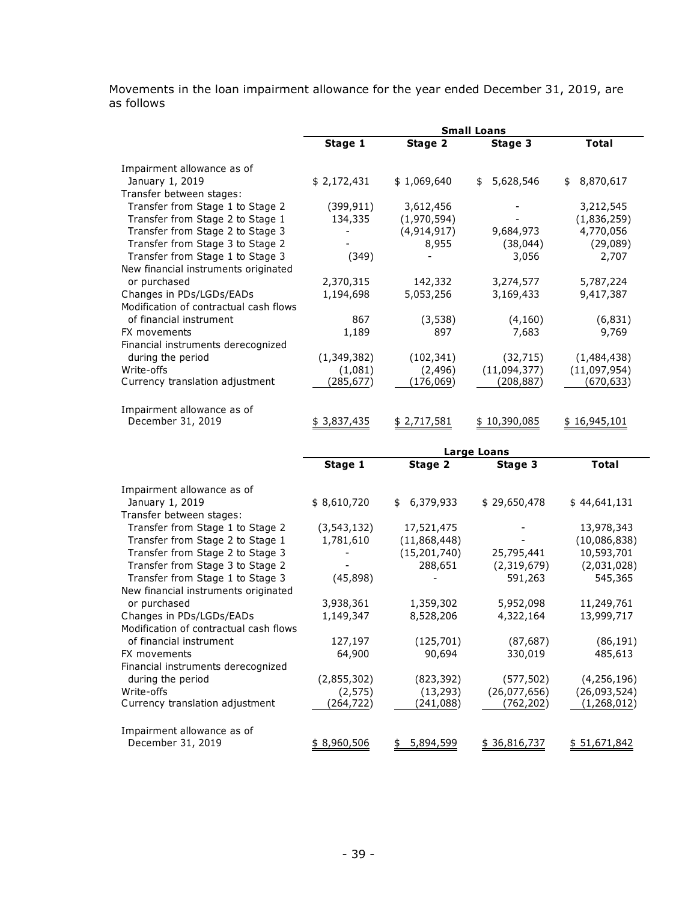Movements in the loan impairment allowance for the year ended December 31, 2019, are as follows

|                                        |               |                 | <b>Small Loans</b> |                 |
|----------------------------------------|---------------|-----------------|--------------------|-----------------|
|                                        | Stage 1       | Stage 2         | Stage 3            | <b>Total</b>    |
| Impairment allowance as of             |               |                 |                    |                 |
| January 1, 2019                        | \$2,172,431   | \$1,069,640     | 5,628,546<br>\$    | 8,870,617<br>\$ |
| Transfer between stages:               |               |                 |                    |                 |
| Transfer from Stage 1 to Stage 2       | (399, 911)    | 3,612,456       |                    | 3,212,545       |
| Transfer from Stage 2 to Stage 1       | 134,335       | (1,970,594)     |                    | (1,836,259)     |
| Transfer from Stage 2 to Stage 3       |               | (4, 914, 917)   | 9,684,973          | 4,770,056       |
| Transfer from Stage 3 to Stage 2       |               | 8,955           | (38, 044)          | (29,089)        |
| Transfer from Stage 1 to Stage 3       | (349)         |                 | 3,056              | 2,707           |
| New financial instruments originated   |               |                 |                    |                 |
| or purchased                           | 2,370,315     | 142,332         | 3,274,577          | 5,787,224       |
| Changes in PDs/LGDs/EADs               | 1,194,698     | 5,053,256       | 3,169,433          | 9,417,387       |
| Modification of contractual cash flows |               |                 |                    |                 |
| of financial instrument                | 867           | (3, 538)        | (4, 160)           | (6, 831)        |
| FX movements                           | 1,189         | 897             | 7,683              | 9,769           |
| Financial instruments derecognized     |               |                 |                    |                 |
| during the period                      | (1, 349, 382) | (102, 341)      | (32, 715)          | (1,484,438)     |
| Write-offs                             | (1,081)       | (2, 496)        | (11,094,377)       | (11,097,954)    |
| Currency translation adjustment        | (285, 677)    | (176,069)       | (208, 887)         | (670, 633)      |
|                                        |               |                 |                    |                 |
| Impairment allowance as of             |               |                 |                    |                 |
| December 31, 2019                      | \$3,837,435   | \$2,717,581     | \$10,390,085       | \$16,945,101    |
|                                        |               |                 |                    |                 |
|                                        |               |                 |                    |                 |
|                                        |               |                 | <b>Large Loans</b> |                 |
|                                        | Stage 1       | Stage 2         | Stage 3            | <b>Total</b>    |
|                                        |               |                 |                    |                 |
| Impairment allowance as of             |               |                 |                    |                 |
| January 1, 2019                        | \$8,610,720   | 6,379,933<br>\$ | \$29,650,478       | \$44,641,131    |
| Transfer between stages:               |               |                 |                    |                 |
| Transfer from Stage 1 to Stage 2       | (3, 543, 132) | 17,521,475      |                    | 13,978,343      |
| Transfer from Stage 2 to Stage 1       | 1,781,610     | (11,868,448)    |                    | (10,086,838)    |
| Transfer from Stage 2 to Stage 3       |               | (15, 201, 740)  | 25,795,441         | 10,593,701      |
| Transfer from Stage 3 to Stage 2       |               | 288,651         | (2,319,679)        | (2,031,028)     |
| Transfer from Stage 1 to Stage 3       | (45,898)      |                 | 591,263            | 545,365         |
| New financial instruments originated   |               |                 |                    |                 |
| or purchased                           | 3,938,361     | 1,359,302       | 5,952,098          | 11,249,761      |
| Changes in PDs/LGDs/EADs               | 1,149,347     | 8,528,206       | 4,322,164          | 13,999,717      |
| Modification of contractual cash flows |               |                 |                    |                 |
| of financial instrument                | 127,197       | (125, 701)      | (87, 687)          | (86, 191)       |
| FX movements                           | 64,900        | 90,694          | 330,019            | 485,613         |
| Financial instruments derecognized     |               |                 |                    |                 |
| during the period                      | (2,855,302)   | (823, 392)      | (577, 502)         | (4, 256, 196)   |
| Write-offs                             | (2, 575)      | (13, 293)       | (26,077,656)       | (26,093,524)    |
| Currency translation adjustment        | (264, 722)    | (241, 088)      | (762, 202)         | (1, 268, 012)   |
| Impairment allowance as of             |               |                 |                    |                 |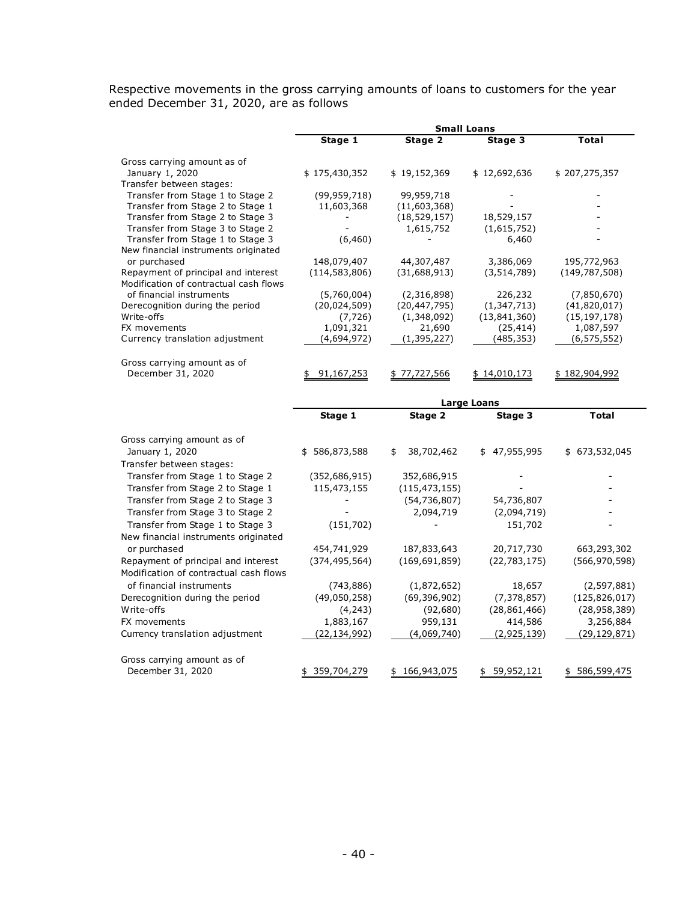Respective movements in the gross carrying amounts of loans to customers for the year ended December 31, 2020, are as follows

|                                        | <b>Small Loans</b> |                |               |                 |  |
|----------------------------------------|--------------------|----------------|---------------|-----------------|--|
|                                        | Stage 1            | Stage 2        | Stage 3       | Total           |  |
| Gross carrying amount as of            |                    |                |               |                 |  |
| January 1, 2020                        | \$175,430,352      | \$19,152,369   | \$12,692,636  | \$207,275,357   |  |
| Transfer between stages:               |                    |                |               |                 |  |
| Transfer from Stage 1 to Stage 2       | (99, 959, 718)     | 99,959,718     |               |                 |  |
| Transfer from Stage 2 to Stage 1       | 11,603,368         | (11,603,368)   |               |                 |  |
| Transfer from Stage 2 to Stage 3       |                    | (18, 529, 157) | 18,529,157    |                 |  |
| Transfer from Stage 3 to Stage 2       |                    | 1,615,752      | (1,615,752)   |                 |  |
| Transfer from Stage 1 to Stage 3       | (6, 460)           |                | 6,460         |                 |  |
| New financial instruments originated   |                    |                |               |                 |  |
| or purchased                           | 148,079,407        | 44,307,487     | 3,386,069     | 195,772,963     |  |
| Repayment of principal and interest    | (114, 583, 806)    | (31,688,913)   | (3,514,789)   | (149, 787, 508) |  |
| Modification of contractual cash flows |                    |                |               |                 |  |
| of financial instruments               | (5,760,004)        | (2,316,898)    | 226,232       | (7,850,670)     |  |
| Derecognition during the period        | (20, 024, 509)     | (20, 447, 795) | (1, 347, 713) | (41,820,017)    |  |
| Write-offs                             | (7, 726)           | (1,348,092)    | (13,841,360)  | (15, 197, 178)  |  |
| FX movements                           | 1,091,321          | 21,690         | (25, 414)     | 1,087,597       |  |
| Currency translation adjustment        | (4,694,972)        | (1, 395, 227)  | (485,353)     | (6,575,552)     |  |
| Gross carrying amount as of            |                    |                |               |                 |  |
| December 31, 2020                      | 91,167,253<br>\$   | \$77,727,566   | \$14,010,173  | \$182,904,992   |  |

|                                        | Large Loans       |                  |                |                 |  |
|----------------------------------------|-------------------|------------------|----------------|-----------------|--|
|                                        | Stage 1           | Stage 2          | Stage 3        | Total           |  |
| Gross carrying amount as of            |                   |                  |                |                 |  |
| January 1, 2020                        | 586,873,588<br>\$ | 38,702,462<br>\$ | \$47,955,995   | \$673,532,045   |  |
| Transfer between stages:               |                   |                  |                |                 |  |
| Transfer from Stage 1 to Stage 2       | (352, 686, 915)   | 352,686,915      |                |                 |  |
| Transfer from Stage 2 to Stage 1       | 115,473,155       | (115, 473, 155)  |                |                 |  |
| Transfer from Stage 2 to Stage 3       |                   | (54, 736, 807)   | 54,736,807     |                 |  |
| Transfer from Stage 3 to Stage 2       |                   | 2,094,719        | (2,094,719)    |                 |  |
| Transfer from Stage 1 to Stage 3       | (151, 702)        |                  | 151,702        |                 |  |
| New financial instruments originated   |                   |                  |                |                 |  |
| or purchased                           | 454,741,929       | 187,833,643      | 20,717,730     | 663,293,302     |  |
| Repayment of principal and interest    | (374, 495, 564)   | (169, 691, 859)  | (22, 783, 175) | (566, 970, 598) |  |
| Modification of contractual cash flows |                   |                  |                |                 |  |
| of financial instruments               | (743, 886)        | (1,872,652)      | 18,657         | (2,597,881)     |  |
| Derecognition during the period        | (49,050,258)      | (69, 396, 902)   | (7,378,857)    | (125, 826, 017) |  |
| Write-offs                             | (4, 243)          | (92,680)         | (28, 861, 466) | (28, 958, 389)  |  |
| FX movements                           | 1,883,167         | 959,131          | 414,586        | 3,256,884       |  |
| Currency translation adjustment        | (22,134,992)      | (4,069,740)      | (2,925,139)    | (29,129,871)    |  |
| Gross carrying amount as of            |                   |                  |                |                 |  |
| December 31, 2020                      | 359,704,279       | 166,943,075      | 59,952,121     | 586,599,475     |  |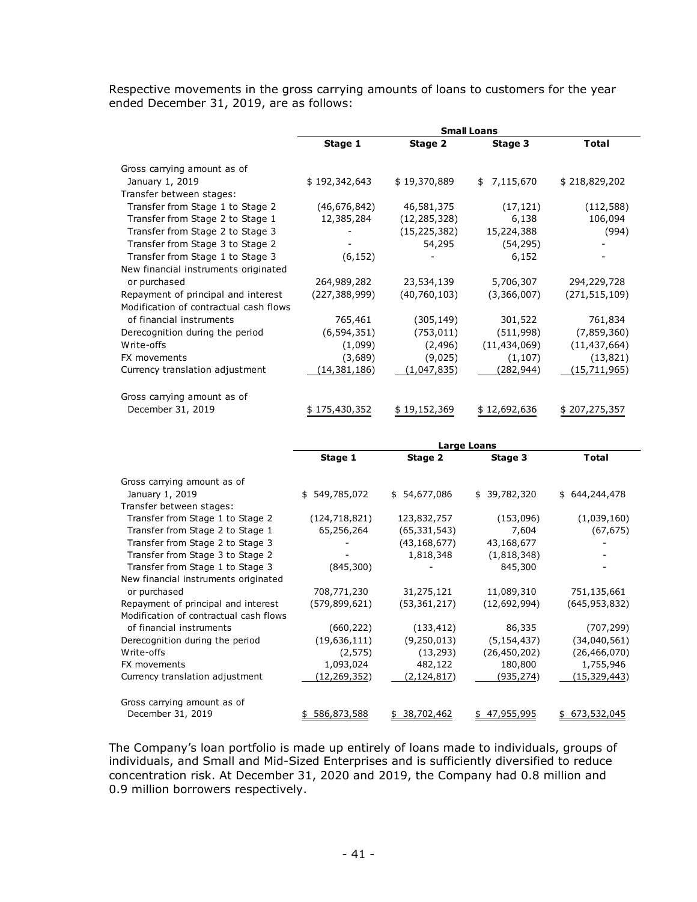Respective movements in the gross carrying amounts of loans to customers for the year ended December 31, 2019, are as follows:

|                                        | <b>Small Loans</b> |                |                 |                 |
|----------------------------------------|--------------------|----------------|-----------------|-----------------|
|                                        | Stage 1            | Stage 2        | Stage 3         | Total           |
| Gross carrying amount as of            |                    |                |                 |                 |
| January 1, 2019                        | \$192,342,643      | \$19,370,889   | 7,115,670<br>\$ | \$218,829,202   |
| Transfer between stages:               |                    |                |                 |                 |
| Transfer from Stage 1 to Stage 2       | (46, 676, 842)     | 46,581,375     | (17, 121)       | (112, 588)      |
| Transfer from Stage 2 to Stage 1       | 12,385,284         | (12, 285, 328) | 6,138           | 106,094         |
| Transfer from Stage 2 to Stage 3       |                    | (15, 225, 382) | 15,224,388      | (994)           |
| Transfer from Stage 3 to Stage 2       |                    | 54,295         | (54, 295)       |                 |
| Transfer from Stage 1 to Stage 3       | (6, 152)           |                | 6,152           |                 |
| New financial instruments originated   |                    |                |                 |                 |
| or purchased                           | 264,989,282        | 23,534,139     | 5,706,307       | 294,229,728     |
| Repayment of principal and interest    | (227,388,999)      | (40, 760, 103) | (3,366,007)     | (271, 515, 109) |
| Modification of contractual cash flows |                    |                |                 |                 |
| of financial instruments               | 765,461            | (305, 149)     | 301,522         | 761,834         |
| Derecognition during the period        | (6, 594, 351)      | (753, 011)     | (511, 998)      | (7,859,360)     |
| Write-offs                             | (1,099)            | (2, 496)       | (11, 434, 069)  | (11, 437, 664)  |
| FX movements                           | (3,689)            | (9,025)        | (1, 107)        | (13, 821)       |
| Currency translation adjustment        | (14, 381, 186)     | (1,047,835)    | (282,944)       | (15,711,965)    |
| Gross carrying amount as of            |                    |                |                 |                 |
| December 31, 2019                      | 175,430,352        | \$19,152,369   | \$12,692,636    | \$207,275,357   |

|                                        | <b>Large Loans</b> |                |                |                 |  |  |
|----------------------------------------|--------------------|----------------|----------------|-----------------|--|--|
|                                        | Stage 1            | Stage 2        | Stage 3        | <b>Total</b>    |  |  |
| Gross carrying amount as of            |                    |                |                |                 |  |  |
| January 1, 2019                        | 549,785,072<br>\$  | \$54,677,086   | \$39,782,320   | \$644,244,478   |  |  |
| Transfer between stages:               |                    |                |                |                 |  |  |
| Transfer from Stage 1 to Stage 2       | (124, 718, 821)    | 123,832,757    | (153,096)      | (1,039,160)     |  |  |
| Transfer from Stage 2 to Stage 1       | 65,256,264         | (65, 331, 543) | 7,604          | (67, 675)       |  |  |
| Transfer from Stage 2 to Stage 3       |                    | (43, 168, 677) | 43,168,677     |                 |  |  |
| Transfer from Stage 3 to Stage 2       |                    | 1,818,348      | (1,818,348)    |                 |  |  |
| Transfer from Stage 1 to Stage 3       | (845, 300)         |                | 845,300        |                 |  |  |
| New financial instruments originated   |                    |                |                |                 |  |  |
| or purchased                           | 708,771,230        | 31,275,121     | 11,089,310     | 751,135,661     |  |  |
| Repayment of principal and interest    | (579, 899, 621)    | (53, 361, 217) | (12,692,994)   | (645, 953, 832) |  |  |
| Modification of contractual cash flows |                    |                |                |                 |  |  |
| of financial instruments               | (660, 222)         | (133, 412)     | 86,335         | (707, 299)      |  |  |
| Derecognition during the period        | (19, 636, 111)     | (9,250,013)    | (5, 154, 437)  | (34,040,561)    |  |  |
| Write-offs                             | (2, 575)           | (13, 293)      | (26, 450, 202) | (26, 466, 070)  |  |  |
| <b>FX</b> movements                    | 1,093,024          | 482,122        | 180,800        | 1,755,946       |  |  |
| Currency translation adjustment        | (12, 269, 352)     | (2, 124, 817)  | (935, 274)     | (15,329,443)    |  |  |
| Gross carrying amount as of            |                    |                |                |                 |  |  |
| December 31, 2019                      | \$586,873,588      | \$38,702,462   | \$47,955,995   | \$673,532,045   |  |  |

The Company's loan portfolio is made up entirely of loans made to individuals, groups of individuals, and Small and Mid-Sized Enterprises and is sufficiently diversified to reduce concentration risk. At December 31, 2020 and 2019, the Company had 0.8 million and 0.9 million borrowers respectively.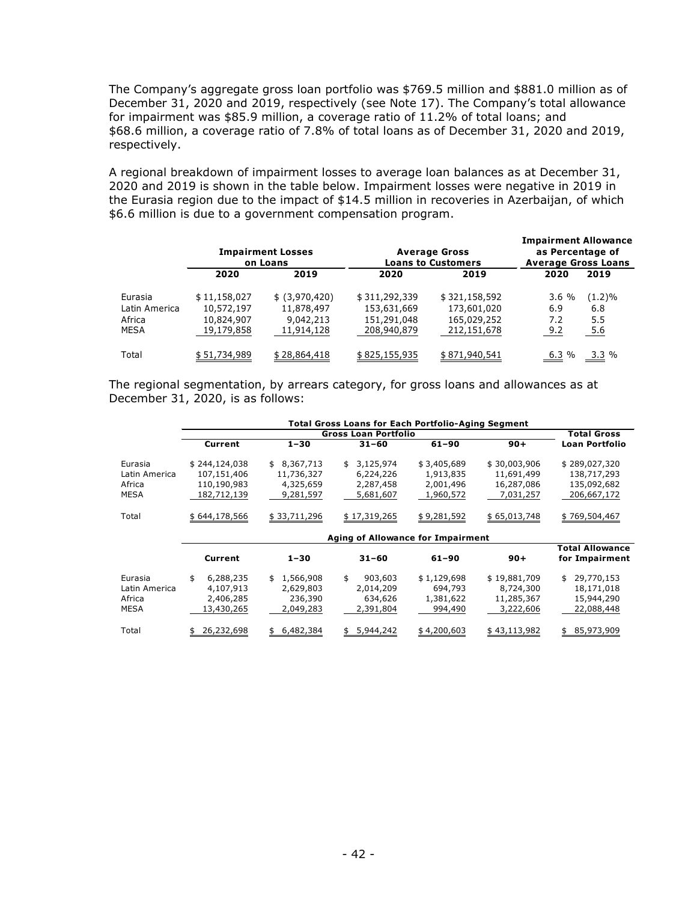The Company's aggregate gross loan portfolio was \$769.5 million and \$881.0 million as of December 31, 2020 and 2019, respectively (see Note 17). The Company's total allowance for impairment was \$85.9 million, a coverage ratio of 11.2% of total loans; and \$68.6 million, a coverage ratio of 7.8% of total loans as of December 31, 2020 and 2019, respectively.

A regional breakdown of impairment losses to average loan balances as at December 31, 2020 and 2019 is shown in the table below. Impairment losses were negative in 2019 in the Eurasia region due to the impact of \$14.5 million in recoveries in Azerbaijan, of which \$6.6 million is due to a government compensation program.

|                                                   | <b>Impairment Losses</b><br>on Loans                   |                                                         |                                                            | <b>Average Gross</b><br><b>Loans to Customers</b>          | <b>Impairment Allowance</b><br>as Percentage of<br><b>Average Gross Loans</b> |                                |
|---------------------------------------------------|--------------------------------------------------------|---------------------------------------------------------|------------------------------------------------------------|------------------------------------------------------------|-------------------------------------------------------------------------------|--------------------------------|
|                                                   | 2020                                                   | 2019                                                    | 2020                                                       | 2019                                                       | 2020                                                                          | 2019                           |
| Eurasia<br>Latin America<br>Africa<br><b>MESA</b> | \$11,158,027<br>10,572,197<br>10,824,907<br>19,179,858 | \$ (3,970,420)<br>11,878,497<br>9,042,213<br>11,914,128 | \$311,292,339<br>153,631,669<br>151,291,048<br>208,940,879 | \$321,158,592<br>173,601,020<br>165,029,252<br>212,151,678 | 3.6%<br>6.9<br>7.2<br>9.2                                                     | $(1.2)\%$<br>6.8<br>5.5<br>5.6 |
| Total                                             | \$51,734,989                                           | \$28,864,418                                            | \$825,155,935                                              | \$871,940,541                                              | 6.3%                                                                          | 3.3%                           |

The regional segmentation, by arrears category, for gross loans and allowances as at December 31, 2020, is as follows:

|                                                   | <b>Total Gross Loans for Each Portfolio-Aging Segment</b>  |                                                      |                                                        |                                                    |                                                       |                                                            |  |
|---------------------------------------------------|------------------------------------------------------------|------------------------------------------------------|--------------------------------------------------------|----------------------------------------------------|-------------------------------------------------------|------------------------------------------------------------|--|
|                                                   |                                                            |                                                      | <b>Gross Loan Portfolio</b>                            |                                                    |                                                       | <b>Total Gross</b>                                         |  |
|                                                   | Current                                                    | $1 - 30$                                             | $31 - 60$                                              | $61 - 90$                                          | $90+$                                                 | <b>Loan Portfolio</b>                                      |  |
| Eurasia<br>Latin America<br>Africa<br><b>MESA</b> | \$244,124,038<br>107,151,406<br>110,190,983<br>182,712,139 | \$8,367,713<br>11,736,327<br>4,325,659<br>9,281,597  | 3,125,974<br>\$<br>6,224,226<br>2,287,458<br>5,681,607 | \$3,405,689<br>1,913,835<br>2,001,496<br>1,960,572 | \$30,003,906<br>11,691,499<br>16,287,086<br>7,031,257 | \$289,027,320<br>138,717,293<br>135,092,682<br>206,667,172 |  |
| Total                                             | \$ 644,178,566                                             | \$33,711,296                                         | \$17,319,265                                           | \$9,281,592                                        | \$65,013,748                                          | \$769,504,467                                              |  |
|                                                   | Aging of Allowance for Impairment                          |                                                      |                                                        |                                                    |                                                       |                                                            |  |
|                                                   |                                                            |                                                      |                                                        |                                                    |                                                       | <b>Total Allowance</b>                                     |  |
|                                                   | Current                                                    | $1 - 30$                                             | $31 - 60$                                              | $61 - 90$                                          | $90+$                                                 | for Impairment                                             |  |
| Eurasia<br>Latin America<br>Africa<br><b>MESA</b> | \$<br>6,288,235<br>4,107,913<br>2,406,285<br>13,430,265    | 1,566,908<br>\$<br>2,629,803<br>236,390<br>2,049,283 | \$<br>903,603<br>2,014,209<br>634,626<br>2,391,804     | \$1,129,698<br>694,793<br>1,381,622<br>994,490     | \$19,881,709<br>8,724,300<br>11,285,367<br>3,222,606  | 29,770,153<br>\$<br>18,171,018<br>15,944,290<br>22,088,448 |  |
| Total                                             | 26,232,698                                                 | 6,482,384<br>\$                                      | 5,944,242<br>\$                                        | \$4,200,603                                        | \$43,113,982                                          | 85,973,909<br>\$                                           |  |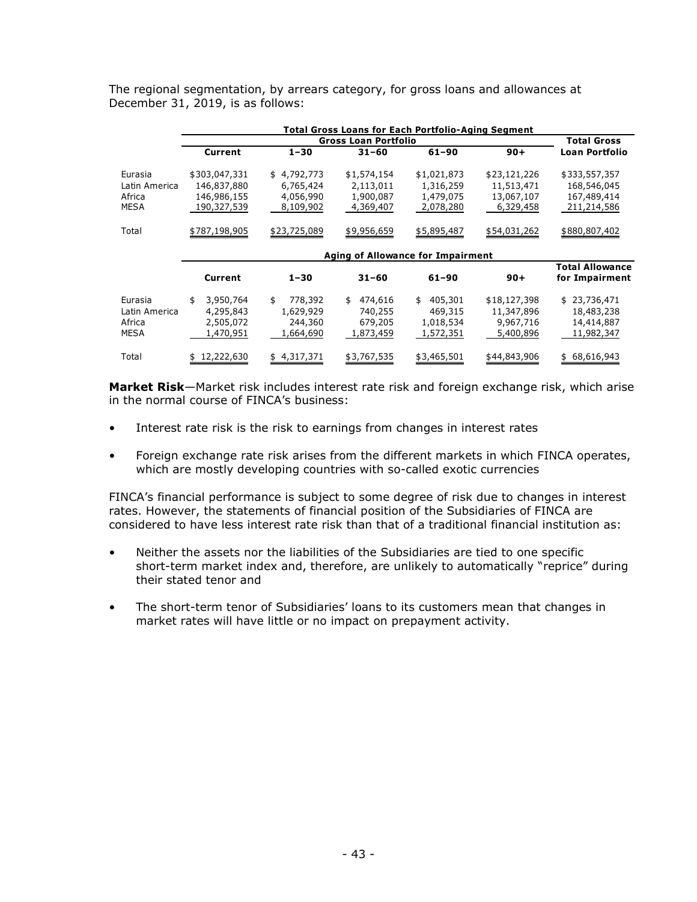|                                                   | <b>Total Gross Loans for Each Portfolio-Aging Segment</b>  |                                                    |                                                    |                                                    |                                                       |                                                            |  |
|---------------------------------------------------|------------------------------------------------------------|----------------------------------------------------|----------------------------------------------------|----------------------------------------------------|-------------------------------------------------------|------------------------------------------------------------|--|
|                                                   |                                                            |                                                    | <b>Gross Loan Portfolio</b>                        |                                                    |                                                       | <b>Total Gross</b>                                         |  |
|                                                   | Current                                                    | $1 - 30$                                           | $31 - 60$                                          | $61 - 90$                                          | $90+$                                                 | <b>Loan Portfolio</b>                                      |  |
| Eurasia<br>Latin America<br>Africa<br><b>MESA</b> | \$303,047,331<br>146,837,880<br>146,986,155<br>190,327,539 | \$4,792,773<br>6,765,424<br>4,056,990<br>8,109,902 | \$1,574,154<br>2,113,011<br>1,900,087<br>4,369,407 | \$1,021,873<br>1,316,259<br>1,479,075<br>2,078,280 | \$23,121,226<br>11,513,471<br>13,067,107<br>6,329,458 | \$333,557,357<br>168,546,045<br>167,489,414<br>211,214,586 |  |
| Total                                             | \$787,198,905                                              | \$23,725,089                                       | \$9,956,659                                        | \$5,895,487                                        | \$54,031,262                                          | \$880,807,402                                              |  |
|                                                   |                                                            |                                                    | Aging of Allowance for Impairment                  |                                                    |                                                       |                                                            |  |
|                                                   | Current                                                    | $1 - 30$                                           | $31 - 60$                                          | $61 - 90$                                          | $90+$                                                 | <b>Total Allowance</b><br>for Impairment                   |  |
|                                                   |                                                            |                                                    |                                                    |                                                    |                                                       |                                                            |  |
| Eurasia<br>Latin America<br>Africa<br><b>MESA</b> | 3,950,764<br>\$<br>4,295,843<br>2,505,072<br>1,470,951     | \$<br>778,392<br>1,629,929<br>244,360<br>1,664,690 | 474,616<br>\$<br>740,255<br>679,205<br>1,873,459   | 405,301<br>\$<br>469,315<br>1,018,534<br>1,572,351 | \$18,127,398<br>11,347,896<br>9,967,716<br>5,400,896  | 23,736,471<br>\$<br>18,483,238<br>14,414,887<br>11,982,347 |  |
| Total                                             | 12,222,630                                                 | \$4,317,371                                        | \$3,767,535                                        | \$3,465,501                                        | \$44,843,906                                          | 68,616,943<br>\$                                           |  |

The regional segmentation, by arrears category, for gross loans and allowances at December 31, 2019, is as follows:

**Market Risk**—Market risk includes interest rate risk and foreign exchange risk, which arise in the normal course of FINCA's business:

- Interest rate risk is the risk to earnings from changes in interest rates
- Foreign exchange rate risk arises from the different markets in which FINCA operates, which are mostly developing countries with so-called exotic currencies

FINCA's financial performance is subject to some degree of risk due to changes in interest rates. However, the statements of financial position of the Subsidiaries of FINCA are considered to have less interest rate risk than that of a traditional financial institution as:

- Neither the assets nor the liabilities of the Subsidiaries are tied to one specific short-term market index and, therefore, are unlikely to automatically "reprice" during their stated tenor and
- The short-term tenor of Subsidiaries' loans to its customers mean that changes in market rates will have little or no impact on prepayment activity.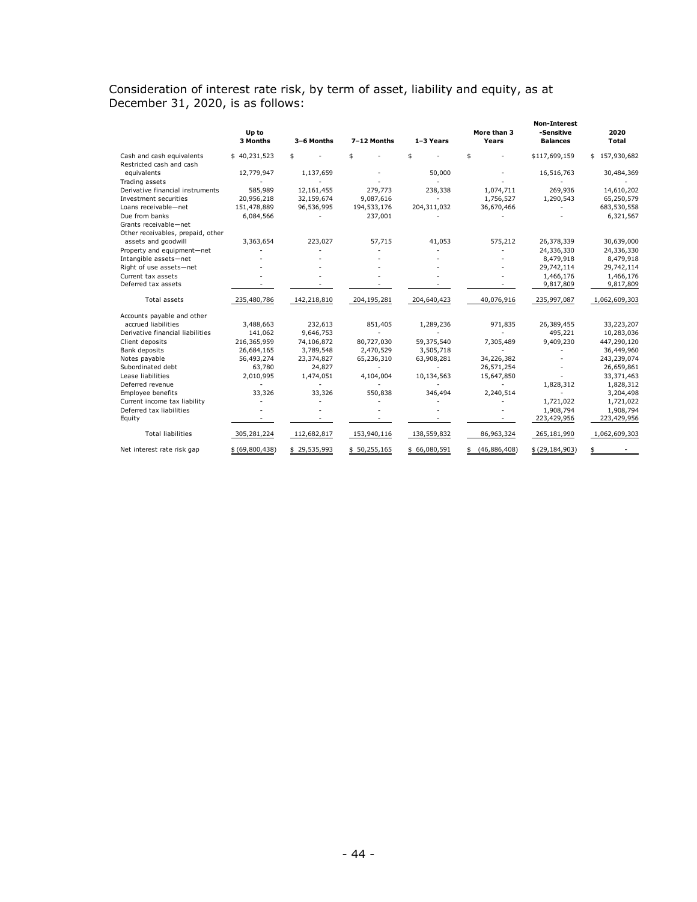#### Consideration of interest rate risk, by term of asset, liability and equity, as at December 31, 2020, is as follows:

|                                   | Up to<br>3 Months | 3-6 Months   | 7-12 Months  | 1-3 Years    | More than 3<br>Years | <b>Non-Interest</b><br>-Sensitive<br><b>Balances</b> | 2020<br>Total |
|-----------------------------------|-------------------|--------------|--------------|--------------|----------------------|------------------------------------------------------|---------------|
| Cash and cash equivalents         | \$40,231,523      | \$           | \$           | \$           | \$                   | \$117,699,159                                        | \$157,930,682 |
| Restricted cash and cash          |                   |              |              |              |                      |                                                      |               |
| equivalents                       | 12,779,947        | 1,137,659    |              | 50,000       |                      | 16,516,763                                           | 30,484,369    |
| Trading assets                    |                   |              |              |              |                      |                                                      |               |
| Derivative financial instruments  | 585,989           | 12, 161, 455 | 279,773      | 238,338      | 1,074,711            | 269,936                                              | 14,610,202    |
| Investment securities             | 20,956,218        | 32,159,674   | 9,087,616    |              | 1,756,527            | 1,290,543                                            | 65,250,579    |
| Loans receivable-net              | 151,478,889       | 96,536,995   | 194,533,176  | 204,311,032  | 36,670,466           |                                                      | 683,530,558   |
| Due from banks                    | 6,084,566         |              | 237,001      |              |                      |                                                      | 6,321,567     |
| Grants receivable-net             |                   |              |              |              |                      |                                                      |               |
| Other receivables, prepaid, other |                   |              |              |              |                      |                                                      |               |
| assets and goodwill               | 3,363,654         | 223,027      | 57,715       | 41,053       | 575,212              | 26,378,339                                           | 30,639,000    |
| Property and equipment-net        |                   |              |              |              |                      | 24,336,330                                           | 24,336,330    |
| Intangible assets-net             |                   |              |              |              |                      | 8,479,918                                            | 8,479,918     |
| Right of use assets-net           |                   |              |              |              |                      | 29,742,114                                           | 29,742,114    |
| Current tax assets                |                   |              |              |              |                      | 1,466,176                                            | 1,466,176     |
| Deferred tax assets               |                   |              |              |              |                      | 9,817,809                                            | 9,817,809     |
| Total assets                      | 235,480,786       | 142,218,810  | 204,195,281  | 204,640,423  | 40,076,916           | 235,997,087                                          | 1,062,609,303 |
| Accounts payable and other        |                   |              |              |              |                      |                                                      |               |
| accrued liabilities               | 3,488,663         | 232,613      | 851,405      | 1,289,236    | 971,835              | 26,389,455                                           | 33,223,207    |
| Derivative financial liabilities  | 141,062           | 9,646,753    |              |              |                      | 495,221                                              | 10,283,036    |
| Client deposits                   | 216,365,959       | 74,106,872   | 80,727,030   | 59,375,540   | 7,305,489            | 9,409,230                                            | 447,290,120   |
| Bank deposits                     | 26,684,165        | 3,789,548    | 2,470,529    | 3,505,718    |                      |                                                      | 36,449,960    |
| Notes payable                     | 56,493,274        | 23,374,827   | 65,236,310   | 63,908,281   | 34,226,382           |                                                      | 243,239,074   |
| Subordinated debt                 | 63,780            | 24,827       |              |              | 26,571,254           |                                                      | 26,659,861    |
| Lease liabilities                 | 2,010,995         | 1,474,051    | 4,104,004    | 10,134,563   | 15,647,850           |                                                      | 33,371,463    |
| Deferred revenue                  |                   |              |              |              |                      | 1,828,312                                            | 1,828,312     |
| Employee benefits                 | 33,326            | 33,326       | 550,838      | 346,494      | 2,240,514            |                                                      | 3,204,498     |
| Current income tax liability      |                   |              |              |              |                      | 1,721,022                                            | 1,721,022     |
| Deferred tax liabilities          |                   |              |              |              |                      | 1,908,794                                            | 1,908,794     |
| Equity                            |                   |              |              |              |                      | 223,429,956                                          | 223,429,956   |
| <b>Total liabilities</b>          | 305,281,224       | 112,682,817  | 153,940,116  | 138,559,832  | 86,963,324           | 265,181,990                                          | 1,062,609,303 |
| Net interest rate risk gap        | \$ (69,800,438)   | \$29,535,993 | \$50,255,165 | \$66,080,591 | (46, 886, 408)<br>\$ | \$ (29, 184, 903)                                    | \$            |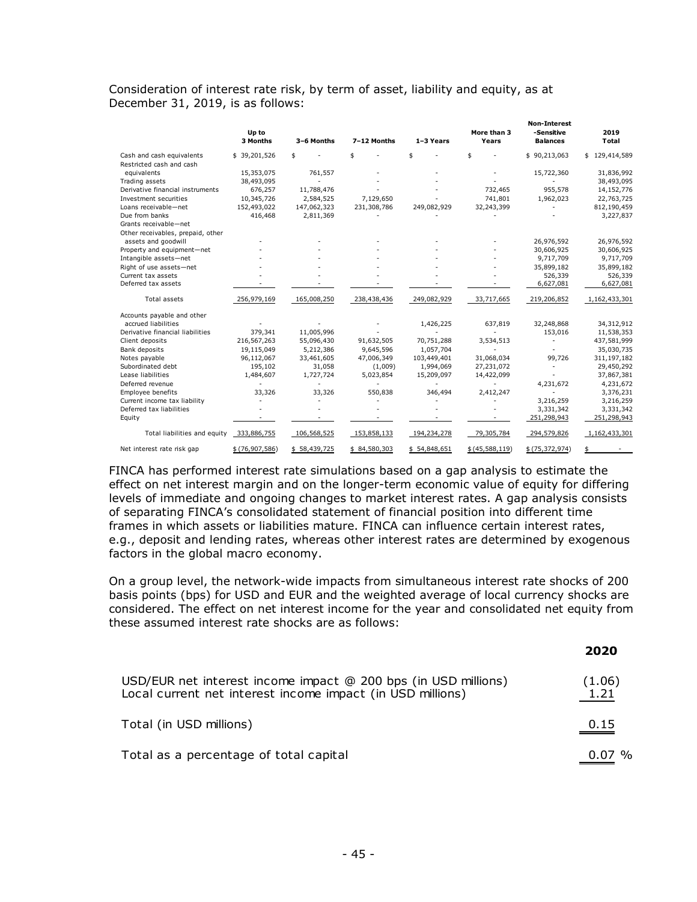Consideration of interest rate risk, by term of asset, liability and equity, as at December 31, 2019, is as follows:

|                                   | Up to<br>3 Months | 3-6 Months     | 7-12 Months  | 1-3 Years    | More than 3<br>Years | <b>Non-Interest</b><br>-Sensitive<br><b>Balances</b> | 2019<br>Total |
|-----------------------------------|-------------------|----------------|--------------|--------------|----------------------|------------------------------------------------------|---------------|
| Cash and cash equivalents         | \$39,201,526      | \$             | \$           | \$           | \$                   | \$90,213,063                                         | \$129,414,589 |
| Restricted cash and cash          |                   |                |              |              |                      |                                                      |               |
| equivalents                       | 15,353,075        | 761,557        |              |              |                      | 15,722,360                                           | 31,836,992    |
| Trading assets                    | 38,493,095        | $\overline{a}$ |              |              |                      |                                                      | 38,493,095    |
| Derivative financial instruments  | 676,257           | 11,788,476     |              |              | 732,465              | 955,578                                              | 14,152,776    |
| Investment securities             | 10,345,726        | 2,584,525      | 7,129,650    |              | 741,801              | 1,962,023                                            | 22,763,725    |
| Loans receivable-net              | 152,493,022       | 147,062,323    | 231,308,786  | 249,082,929  | 32,243,399           |                                                      | 812,190,459   |
| Due from banks                    | 416,468           | 2,811,369      |              |              |                      |                                                      | 3,227,837     |
| Grants receivable-net             |                   |                |              |              |                      |                                                      |               |
| Other receivables, prepaid, other |                   |                |              |              |                      |                                                      |               |
| assets and goodwill               |                   |                |              |              |                      | 26,976,592                                           | 26,976,592    |
| Property and equipment-net        |                   |                |              |              |                      | 30,606,925                                           | 30,606,925    |
| Intangible assets-net             |                   |                |              |              |                      | 9,717,709                                            | 9,717,709     |
| Right of use assets-net           |                   |                |              |              |                      | 35,899,182                                           | 35,899,182    |
| Current tax assets                |                   |                |              |              |                      | 526,339                                              | 526,339       |
| Deferred tax assets               |                   |                |              |              |                      | 6,627,081                                            | 6,627,081     |
| Total assets                      | 256,979,169       | 165,008,250    | 238,438,436  | 249,082,929  | 33,717,665           | 219,206,852                                          | 1,162,433,301 |
| Accounts payable and other        |                   |                |              |              |                      |                                                      |               |
| accrued liabilities               |                   |                |              | 1,426,225    | 637,819              | 32,248,868                                           | 34,312,912    |
| Derivative financial liabilities  | 379,341           | 11,005,996     |              |              |                      | 153,016                                              | 11,538,353    |
| Client deposits                   | 216,567,263       | 55,096,430     | 91,632,505   | 70,751,288   | 3,534,513            |                                                      | 437,581,999   |
| Bank deposits                     | 19,115,049        | 5,212,386      | 9,645,596    | 1,057,704    |                      |                                                      | 35,030,735    |
| Notes payable                     | 96,112,067        | 33,461,605     | 47,006,349   | 103,449,401  | 31,068,034           | 99,726                                               | 311,197,182   |
| Subordinated debt                 | 195,102           | 31,058         | (1,009)      | 1,994,069    | 27,231,072           | ۰                                                    | 29,450,292    |
| Lease liabilities                 | 1,484,607         | 1,727,724      | 5,023,854    | 15,209,097   | 14,422,099           |                                                      | 37,867,381    |
| Deferred revenue                  |                   |                |              |              |                      | 4,231,672                                            | 4,231,672     |
| Employee benefits                 | 33,326            | 33,326         | 550,838      | 346,494      | 2,412,247            |                                                      | 3,376,231     |
| Current income tax liability      |                   |                |              |              |                      | 3,216,259                                            | 3,216,259     |
| Deferred tax liabilities          |                   |                |              |              |                      | 3,331,342                                            | 3,331,342     |
| Equity                            |                   |                |              |              |                      | 251,298,943                                          | 251,298,943   |
| Total liabilities and equity      | 333,886,755       | 106,568,525    | 153,858,133  | 194,234,278  | 79,305,784           | 294,579,826                                          | 1,162,433,301 |
| Net interest rate risk gap        | \$ (76,907,586)   | \$58,439,725   | \$84,580,303 | \$54,848,651 | \$ (45,588,119)      | \$ (75, 372, 974)                                    | \$            |

FINCA has performed interest rate simulations based on a gap analysis to estimate the effect on net interest margin and on the longer-term economic value of equity for differing levels of immediate and ongoing changes to market interest rates. A gap analysis consists of separating FINCA's consolidated statement of financial position into different time frames in which assets or liabilities mature. FINCA can influence certain interest rates, e.g., deposit and lending rates, whereas other interest rates are determined by exogenous factors in the global macro economy.

On a group level, the network-wide impacts from simultaneous interest rate shocks of 200 basis points (bps) for USD and EUR and the weighted average of local currency shocks are considered. The effect on net interest income for the year and consolidated net equity from these assumed interest rate shocks are as follows:

|                                                                                                                              | 2020           |
|------------------------------------------------------------------------------------------------------------------------------|----------------|
| USD/EUR net interest income impact @ 200 bps (in USD millions)<br>Local current net interest income impact (in USD millions) | (1.06)<br>1.21 |
| Total (in USD millions)                                                                                                      | 0.15           |
| Total as a percentage of total capital                                                                                       | $\sim$ %       |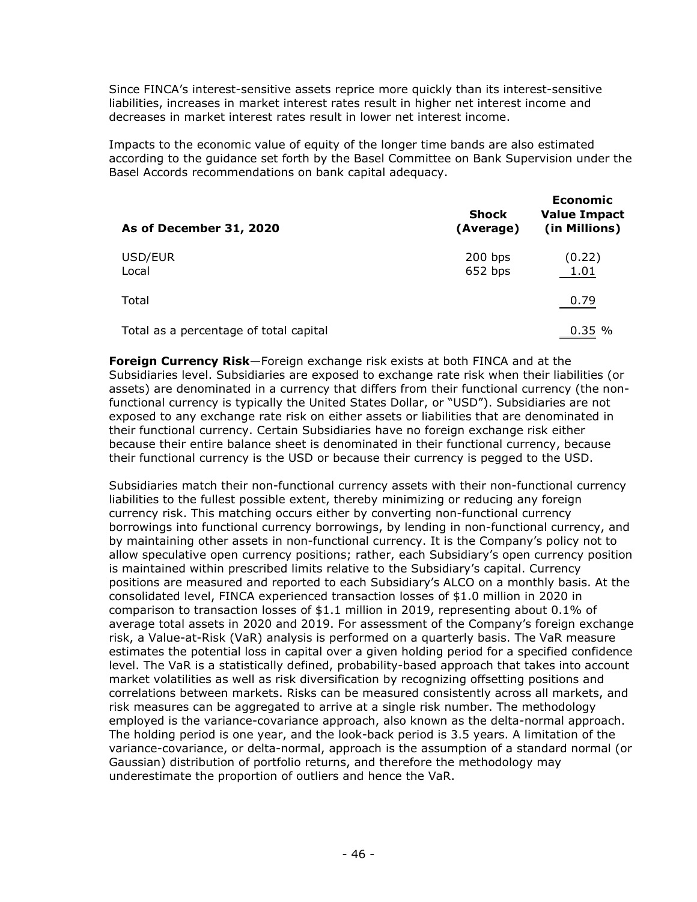Since FINCA's interest-sensitive assets reprice more quickly than its interest-sensitive liabilities, increases in market interest rates result in higher net interest income and decreases in market interest rates result in lower net interest income.

Impacts to the economic value of equity of the longer time bands are also estimated according to the guidance set forth by the Basel Committee on Bank Supervision under the Basel Accords recommendations on bank capital adequacy.

| As of December 31, 2020                | <b>Shock</b><br>(Average) | <b>Economic</b><br><b>Value Impact</b><br>(in Millions) |
|----------------------------------------|---------------------------|---------------------------------------------------------|
| USD/EUR<br>Local                       | $200$ bps<br>$652$ bps    | (0.22)<br>1.01                                          |
| Total                                  |                           | 0.79                                                    |
| Total as a percentage of total capital |                           | 0.35%                                                   |

**Foreign Currency Risk**—Foreign exchange risk exists at both FINCA and at the Subsidiaries level. Subsidiaries are exposed to exchange rate risk when their liabilities (or assets) are denominated in a currency that differs from their functional currency (the nonfunctional currency is typically the United States Dollar, or "USD"). Subsidiaries are not exposed to any exchange rate risk on either assets or liabilities that are denominated in their functional currency. Certain Subsidiaries have no foreign exchange risk either because their entire balance sheet is denominated in their functional currency, because their functional currency is the USD or because their currency is pegged to the USD.

Subsidiaries match their non-functional currency assets with their non-functional currency liabilities to the fullest possible extent, thereby minimizing or reducing any foreign currency risk. This matching occurs either by converting non-functional currency borrowings into functional currency borrowings, by lending in non-functional currency, and by maintaining other assets in non-functional currency. It is the Company's policy not to allow speculative open currency positions; rather, each Subsidiary's open currency position is maintained within prescribed limits relative to the Subsidiary's capital. Currency positions are measured and reported to each Subsidiary's ALCO on a monthly basis. At the consolidated level, FINCA experienced transaction losses of \$1.0 million in 2020 in comparison to transaction losses of \$1.1 million in 2019, representing about 0.1% of average total assets in 2020 and 2019. For assessment of the Company's foreign exchange risk, a Value-at-Risk (VaR) analysis is performed on a quarterly basis. The VaR measure estimates the potential loss in capital over a given holding period for a specified confidence level. The VaR is a statistically defined, probability-based approach that takes into account market volatilities as well as risk diversification by recognizing offsetting positions and correlations between markets. Risks can be measured consistently across all markets, and risk measures can be aggregated to arrive at a single risk number. The methodology employed is the variance-covariance approach, also known as the delta-normal approach. The holding period is one year, and the look-back period is 3.5 years. A limitation of the variance-covariance, or delta-normal, approach is the assumption of a standard normal (or Gaussian) distribution of portfolio returns, and therefore the methodology may underestimate the proportion of outliers and hence the VaR.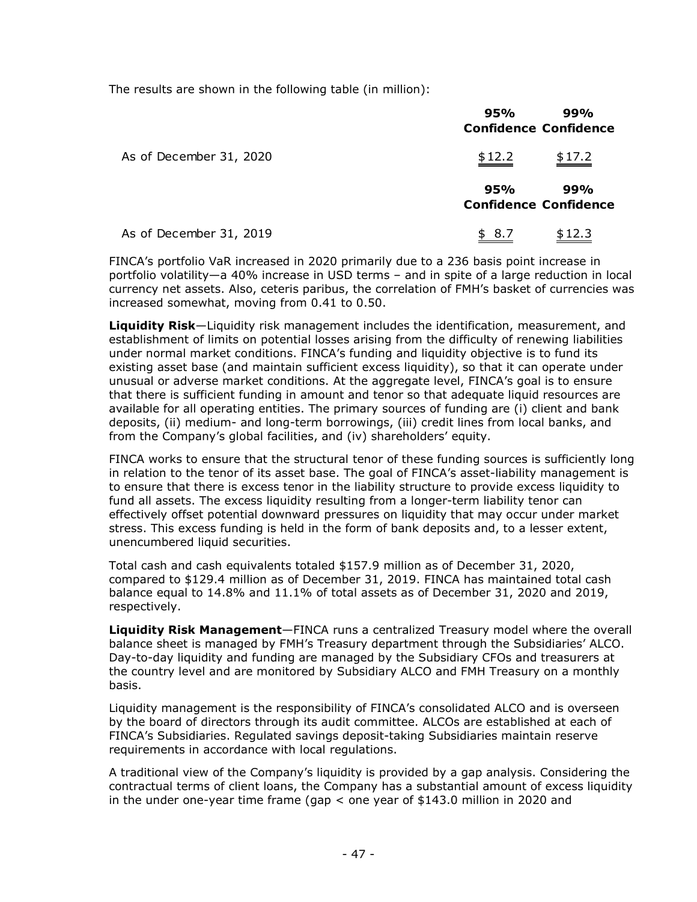The results are shown in the following table (in million):

|                         | 95%        | 99%<br><b>Confidence Confidence</b>    |
|-------------------------|------------|----------------------------------------|
| As of December 31, 2020 | \$12.2     | \$17.2                                 |
|                         | 95%        | $99\%$<br><b>Confidence Confidence</b> |
| As of December 31, 2019 | -8.7<br>\$ | \$12.3                                 |

FINCA's portfolio VaR increased in 2020 primarily due to a 236 basis point increase in portfolio volatility—a 40% increase in USD terms – and in spite of a large reduction in local currency net assets. Also, ceteris paribus, the correlation of FMH's basket of currencies was increased somewhat, moving from 0.41 to 0.50.

**Liquidity Risk**—Liquidity risk management includes the identification, measurement, and establishment of limits on potential losses arising from the difficulty of renewing liabilities under normal market conditions. FINCA's funding and liquidity objective is to fund its existing asset base (and maintain sufficient excess liquidity), so that it can operate under unusual or adverse market conditions. At the aggregate level, FINCA's goal is to ensure that there is sufficient funding in amount and tenor so that adequate liquid resources are available for all operating entities. The primary sources of funding are (i) client and bank deposits, (ii) medium- and long-term borrowings, (iii) credit lines from local banks, and from the Company's global facilities, and (iv) shareholders' equity.

FINCA works to ensure that the structural tenor of these funding sources is sufficiently long in relation to the tenor of its asset base. The goal of FINCA's asset-liability management is to ensure that there is excess tenor in the liability structure to provide excess liquidity to fund all assets. The excess liquidity resulting from a longer-term liability tenor can effectively offset potential downward pressures on liquidity that may occur under market stress. This excess funding is held in the form of bank deposits and, to a lesser extent, unencumbered liquid securities.

Total cash and cash equivalents totaled \$157.9 million as of December 31, 2020, compared to \$129.4 million as of December 31, 2019. FINCA has maintained total cash balance equal to 14.8% and 11.1% of total assets as of December 31, 2020 and 2019, respectively.

**Liquidity Risk Management**—FINCA runs a centralized Treasury model where the overall balance sheet is managed by FMH's Treasury department through the Subsidiaries' ALCO. Day-to-day liquidity and funding are managed by the Subsidiary CFOs and treasurers at the country level and are monitored by Subsidiary ALCO and FMH Treasury on a monthly basis.

Liquidity management is the responsibility of FINCA's consolidated ALCO and is overseen by the board of directors through its audit committee. ALCOs are established at each of FINCA's Subsidiaries. Regulated savings deposit-taking Subsidiaries maintain reserve requirements in accordance with local regulations.

A traditional view of the Company's liquidity is provided by a gap analysis. Considering the contractual terms of client loans, the Company has a substantial amount of excess liquidity in the under one-year time frame (gap < one year of \$143.0 million in 2020 and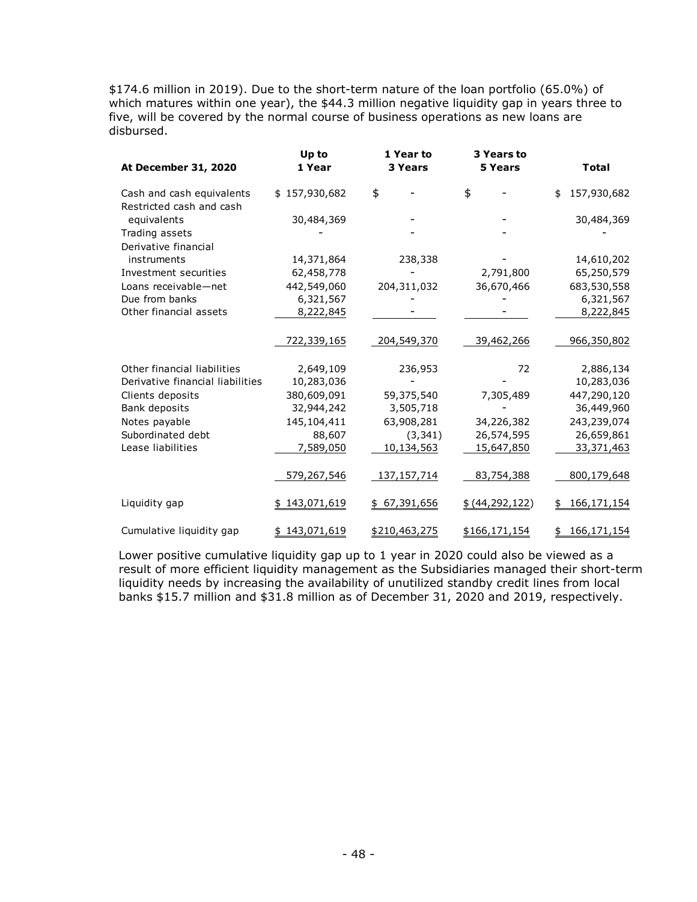\$174.6 million in 2019). Due to the short-term nature of the loan portfolio (65.0%) of which matures within one year), the \$44.3 million negative liquidity gap in years three to five, will be covered by the normal course of business operations as new loans are disbursed.

| <b>At December 31, 2020</b>                           | Up to<br>1 Year | 1 Year to<br>3 Years | 3 Years to<br><b>5 Years</b> | <b>Total</b>             |
|-------------------------------------------------------|-----------------|----------------------|------------------------------|--------------------------|
| Cash and cash equivalents<br>Restricted cash and cash | \$157,930,682   | \$                   | \$                           | 157,930,682<br>\$        |
| equivalents                                           | 30,484,369      |                      |                              | 30,484,369               |
| Trading assets                                        |                 |                      |                              |                          |
| Derivative financial                                  |                 |                      |                              |                          |
| instruments                                           | 14,371,864      | 238,338              |                              | 14,610,202               |
| Investment securities                                 | 62,458,778      |                      | 2,791,800                    | 65,250,579               |
| Loans receivable-net                                  | 442,549,060     | 204,311,032          | 36,670,466                   | 683,530,558              |
| Due from banks                                        | 6,321,567       |                      |                              | 6,321,567                |
| Other financial assets                                | 8,222,845       |                      |                              | 8,222,845                |
|                                                       |                 |                      |                              |                          |
|                                                       | 722,339,165     | 204,549,370          | 39,462,266                   | 966,350,802              |
|                                                       |                 |                      |                              |                          |
| Other financial liabilities                           | 2,649,109       | 236,953              | 72                           | 2,886,134                |
| Derivative financial liabilities                      | 10,283,036      |                      |                              | 10,283,036               |
| Clients deposits                                      | 380,609,091     | 59,375,540           | 7,305,489                    | 447,290,120              |
| Bank deposits                                         | 32,944,242      | 3,505,718            |                              | 36,449,960               |
| Notes payable                                         | 145,104,411     | 63,908,281           | 34,226,382                   | 243,239,074              |
| Subordinated debt                                     | 88,607          | (3, 341)             | 26,574,595                   | 26,659,861               |
| Lease liabilities                                     | 7,589,050       | 10,134,563           | 15,647,850                   | 33, 371, 463             |
|                                                       |                 |                      |                              |                          |
|                                                       | 579,267,546     | 137, 157, 714        | 83,754,388                   | 800,179,648              |
|                                                       |                 |                      |                              |                          |
| Liquidity gap                                         | \$143,071,619   | \$67,391,656         | <u>\$(44,292,122)</u>        | <u>166,171,154</u><br>\$ |
|                                                       |                 |                      |                              |                          |
| Cumulative liquidity gap                              | \$143,071,619   | \$210,463,275        | \$166,171,154                | 166, 171, 154<br>\$      |

Lower positive cumulative liquidity gap up to 1 year in 2020 could also be viewed as a result of more efficient liquidity management as the Subsidiaries managed their short-term liquidity needs by increasing the availability of unutilized standby credit lines from local banks \$15.7 million and \$31.8 million as of December 31, 2020 and 2019, respectively.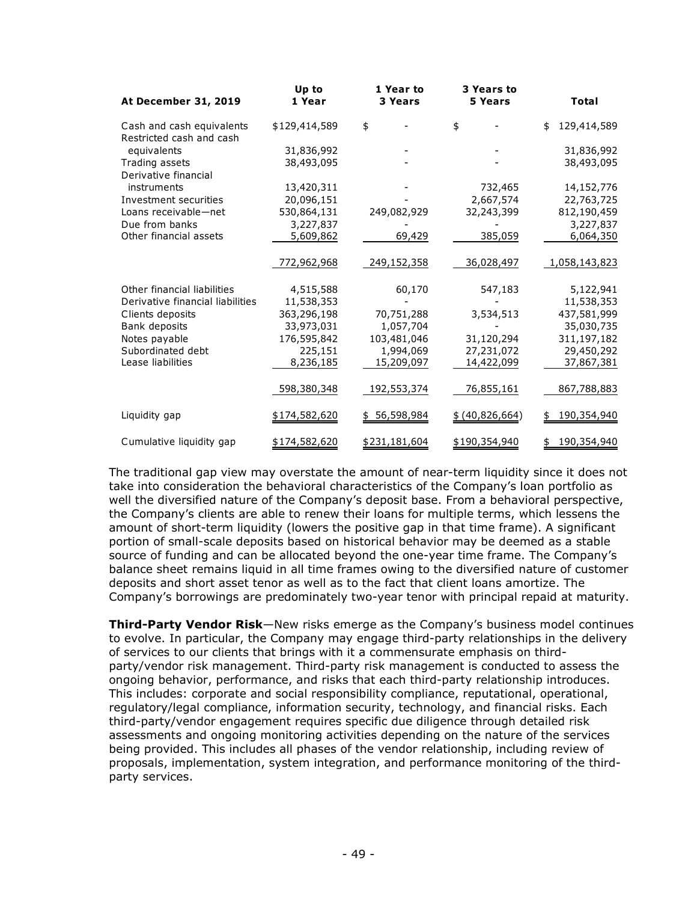| <b>At December 31, 2019</b>                           | Up to<br>1 Year | 1 Year to<br>3 Years | 3 Years to<br>5 Years | <b>Total</b>      |
|-------------------------------------------------------|-----------------|----------------------|-----------------------|-------------------|
| Cash and cash equivalents<br>Restricted cash and cash | \$129,414,589   | \$                   | \$                    | 129,414,589<br>\$ |
| equivalents                                           | 31,836,992      |                      |                       | 31,836,992        |
| Trading assets<br>Derivative financial                | 38,493,095      |                      |                       | 38,493,095        |
| instruments                                           | 13,420,311      |                      | 732,465               | 14,152,776        |
| Investment securities                                 | 20,096,151      |                      | 2,667,574             | 22,763,725        |
| Loans receivable-net                                  | 530,864,131     | 249,082,929          | 32,243,399            | 812,190,459       |
| Due from banks                                        | 3,227,837       |                      |                       | 3,227,837         |
| Other financial assets                                | 5,609,862       | 69,429               | 385,059               | 6,064,350         |
|                                                       | 772,962,968     | 249,152,358          | 36,028,497            | 1,058,143,823     |
| Other financial liabilities                           | 4,515,588       | 60,170               | 547,183               | 5,122,941         |
| Derivative financial liabilities                      | 11,538,353      |                      |                       | 11,538,353        |
| Clients deposits                                      | 363,296,198     | 70,751,288           | 3,534,513             | 437,581,999       |
| Bank deposits                                         | 33,973,031      | 1,057,704            |                       | 35,030,735        |
| Notes payable                                         | 176,595,842     | 103,481,046          | 31,120,294            | 311,197,182       |
| Subordinated debt                                     | 225,151         | 1,994,069            | 27,231,072            | 29,450,292        |
| Lease liabilities                                     | 8,236,185       | 15,209,097           | 14,422,099            | 37,867,381        |
|                                                       | 598,380,348     | <u>192,553,374</u>   | <u>76,855,161</u>     | 867,788,883       |
| Liquidity gap                                         | \$174,582,620   | \$56,598,984         | \$ (40,826,664)       | 190,354,940       |
| Cumulative liquidity gap                              | \$174,582,620   | \$231,181,604        | \$190,354,940         | 190,354,940       |

The traditional gap view may overstate the amount of near-term liquidity since it does not take into consideration the behavioral characteristics of the Company's loan portfolio as well the diversified nature of the Company's deposit base. From a behavioral perspective, the Company's clients are able to renew their loans for multiple terms, which lessens the amount of short-term liquidity (lowers the positive gap in that time frame). A significant portion of small-scale deposits based on historical behavior may be deemed as a stable source of funding and can be allocated beyond the one-year time frame. The Company's balance sheet remains liquid in all time frames owing to the diversified nature of customer deposits and short asset tenor as well as to the fact that client loans amortize. The Company's borrowings are predominately two-year tenor with principal repaid at maturity.

**Third-Party Vendor Risk**—New risks emerge as the Company's business model continues to evolve. In particular, the Company may engage third-party relationships in the delivery of services to our clients that brings with it a commensurate emphasis on thirdparty/vendor risk management. Third-party risk management is conducted to assess the ongoing behavior, performance, and risks that each third-party relationship introduces. This includes: corporate and social responsibility compliance, reputational, operational, regulatory/legal compliance, information security, technology, and financial risks. Each third-party/vendor engagement requires specific due diligence through detailed risk assessments and ongoing monitoring activities depending on the nature of the services being provided. This includes all phases of the vendor relationship, including review of proposals, implementation, system integration, and performance monitoring of the thirdparty services.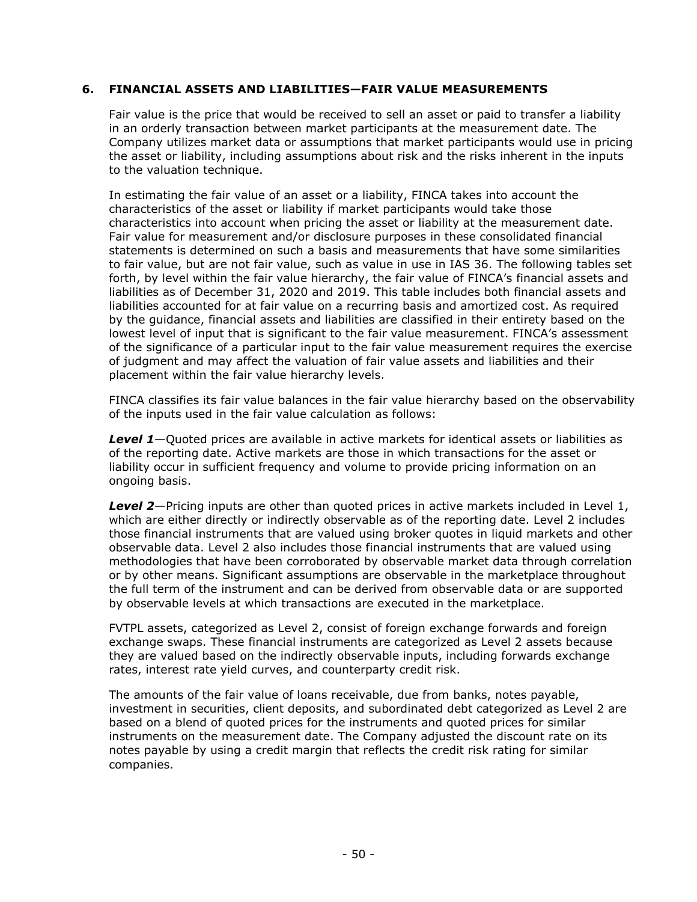### **6. FINANCIAL ASSETS AND LIABILITIES—FAIR VALUE MEASUREMENTS**

Fair value is the price that would be received to sell an asset or paid to transfer a liability in an orderly transaction between market participants at the measurement date. The Company utilizes market data or assumptions that market participants would use in pricing the asset or liability, including assumptions about risk and the risks inherent in the inputs to the valuation technique.

In estimating the fair value of an asset or a liability, FINCA takes into account the characteristics of the asset or liability if market participants would take those characteristics into account when pricing the asset or liability at the measurement date. Fair value for measurement and/or disclosure purposes in these consolidated financial statements is determined on such a basis and measurements that have some similarities to fair value, but are not fair value, such as value in use in IAS 36. The following tables set forth, by level within the fair value hierarchy, the fair value of FINCA's financial assets and liabilities as of December 31, 2020 and 2019. This table includes both financial assets and liabilities accounted for at fair value on a recurring basis and amortized cost. As required by the guidance, financial assets and liabilities are classified in their entirety based on the lowest level of input that is significant to the fair value measurement. FINCA's assessment of the significance of a particular input to the fair value measurement requires the exercise of judgment and may affect the valuation of fair value assets and liabilities and their placement within the fair value hierarchy levels.

FINCA classifies its fair value balances in the fair value hierarchy based on the observability of the inputs used in the fair value calculation as follows:

*Level 1*—Quoted prices are available in active markets for identical assets or liabilities as of the reporting date. Active markets are those in which transactions for the asset or liability occur in sufficient frequency and volume to provide pricing information on an ongoing basis.

*Level 2*—Pricing inputs are other than quoted prices in active markets included in Level 1, which are either directly or indirectly observable as of the reporting date. Level 2 includes those financial instruments that are valued using broker quotes in liquid markets and other observable data. Level 2 also includes those financial instruments that are valued using methodologies that have been corroborated by observable market data through correlation or by other means. Significant assumptions are observable in the marketplace throughout the full term of the instrument and can be derived from observable data or are supported by observable levels at which transactions are executed in the marketplace.

FVTPL assets, categorized as Level 2, consist of foreign exchange forwards and foreign exchange swaps. These financial instruments are categorized as Level 2 assets because they are valued based on the indirectly observable inputs, including forwards exchange rates, interest rate yield curves, and counterparty credit risk.

The amounts of the fair value of loans receivable, due from banks, notes payable, investment in securities, client deposits, and subordinated debt categorized as Level 2 are based on a blend of quoted prices for the instruments and quoted prices for similar instruments on the measurement date. The Company adjusted the discount rate on its notes payable by using a credit margin that reflects the credit risk rating for similar companies.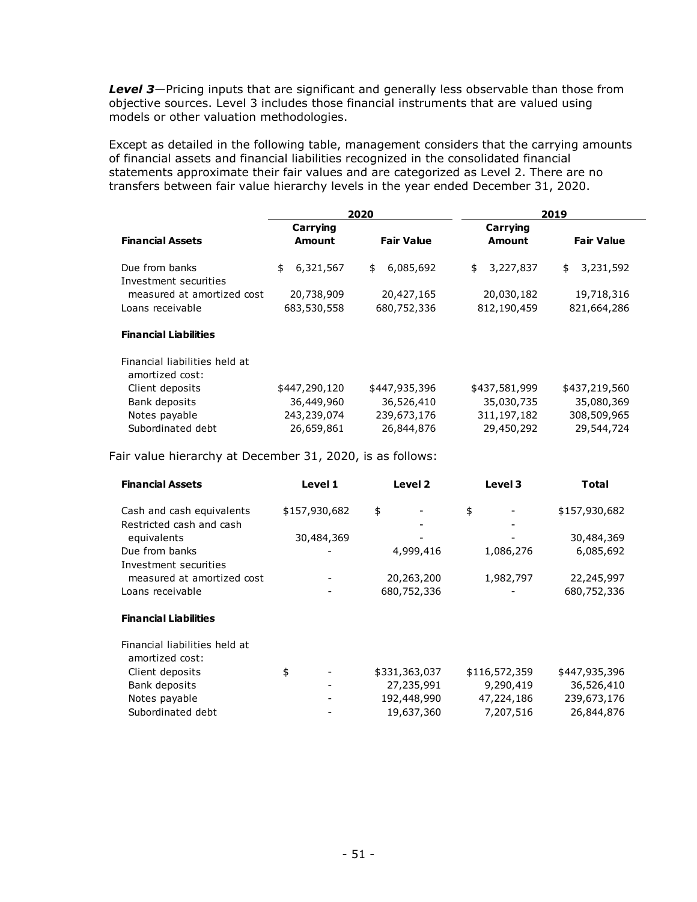*Level 3*—Pricing inputs that are significant and generally less observable than those from objective sources. Level 3 includes those financial instruments that are valued using models or other valuation methodologies.

Except as detailed in the following table, management considers that the carrying amounts of financial assets and financial liabilities recognized in the consolidated financial statements approximate their fair values and are categorized as Level 2. There are no transfers between fair value hierarchy levels in the year ended December 31, 2020.

|                                                  |                    | 2020              | 2019               |                   |  |
|--------------------------------------------------|--------------------|-------------------|--------------------|-------------------|--|
| <b>Financial Assets</b>                          | Carrying<br>Amount | <b>Fair Value</b> | Carrying<br>Amount | <b>Fair Value</b> |  |
|                                                  |                    |                   |                    |                   |  |
| Due from banks<br>Investment securities          | 6,321,567<br>\$    | 6,085,692<br>\$   | 3,227,837<br>\$    | 3,231,592<br>\$   |  |
| measured at amortized cost                       | 20,738,909         | 20,427,165        | 20,030,182         | 19,718,316        |  |
| Loans receivable                                 | 683,530,558        | 680,752,336       | 812,190,459        | 821,664,286       |  |
| <b>Financial Liabilities</b>                     |                    |                   |                    |                   |  |
| Financial liabilities held at<br>amortized cost: |                    |                   |                    |                   |  |
| Client deposits                                  | \$447,290,120      | \$447,935,396     | \$437,581,999      | \$437,219,560     |  |
| Bank deposits                                    | 36,449,960         | 36,526,410        | 35,030,735         | 35,080,369        |  |
| Notes payable                                    | 243,239,074        | 239,673,176       | 311,197,182        | 308,509,965       |  |
| Subordinated debt                                | 26,659,861         | 26,844,876        | 29,450,292         | 29,544,724        |  |

Fair value hierarchy at December 31, 2020, is as follows:

| <b>Financial Assets</b>                               | Level 1                  | Level 2       | Level 3       | Total         |
|-------------------------------------------------------|--------------------------|---------------|---------------|---------------|
| Cash and cash equivalents<br>Restricted cash and cash | \$157,930,682            | \$            | \$            | \$157,930,682 |
| equivalents                                           | 30,484,369               |               |               | 30,484,369    |
| Due from banks                                        |                          | 4,999,416     | 1,086,276     | 6,085,692     |
| Investment securities                                 |                          |               |               |               |
| measured at amortized cost                            |                          | 20,263,200    | 1,982,797     | 22,245,997    |
| Loans receivable                                      |                          | 680,752,336   |               | 680,752,336   |
| <b>Financial Liabilities</b>                          |                          |               |               |               |
| Financial liabilities held at<br>amortized cost:      |                          |               |               |               |
| Client deposits                                       | \$                       | \$331,363,037 | \$116,572,359 | \$447,935,396 |
| Bank deposits                                         | $\overline{\phantom{a}}$ | 27,235,991    | 9,290,419     | 36,526,410    |
| Notes payable                                         |                          | 192,448,990   | 47,224,186    | 239,673,176   |
| Subordinated debt                                     |                          | 19,637,360    | 7,207,516     | 26,844,876    |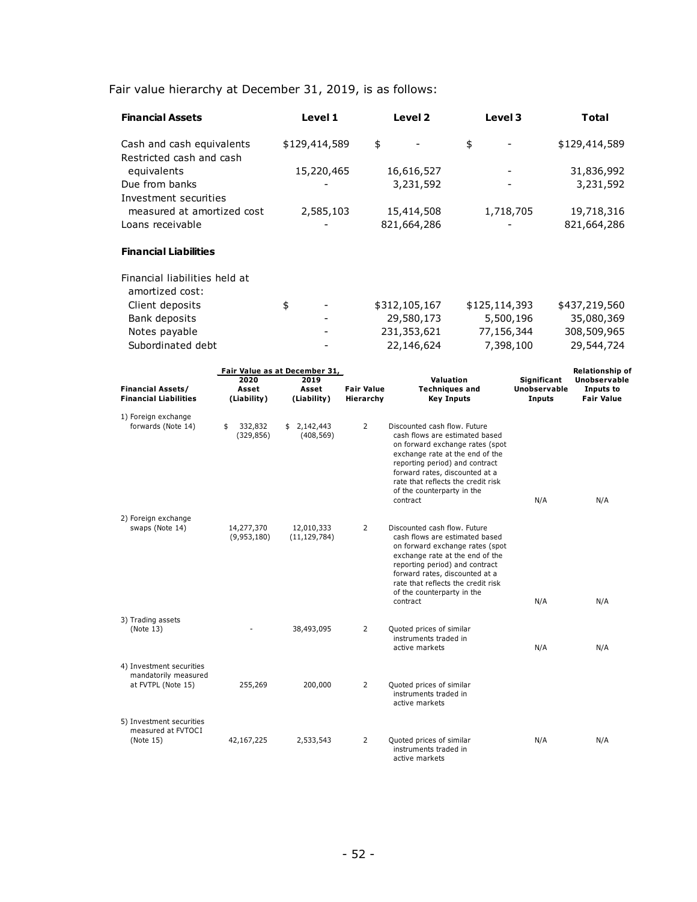# Fair value hierarchy at December 31, 2019, is as follows:

| <b>Financial Assets</b>                                                |                             | Level 1                                        |                   | Level <sub>2</sub>                                                                                                                                                                                                                                                                       | Level 3                 |                                    | <b>Total</b>                                                             |
|------------------------------------------------------------------------|-----------------------------|------------------------------------------------|-------------------|------------------------------------------------------------------------------------------------------------------------------------------------------------------------------------------------------------------------------------------------------------------------------------------|-------------------------|------------------------------------|--------------------------------------------------------------------------|
| Cash and cash equivalents<br>Restricted cash and cash                  |                             | \$129,414,589                                  | \$                |                                                                                                                                                                                                                                                                                          | \$                      |                                    | \$129,414,589                                                            |
| equivalents<br>Due from banks<br>Investment securities                 |                             | 15,220,465                                     |                   | 16,616,527<br>3,231,592                                                                                                                                                                                                                                                                  |                         |                                    | 31,836,992<br>3,231,592                                                  |
| measured at amortized cost<br>Loans receivable                         |                             | 2,585,103                                      |                   | 15,414,508<br>821,664,286                                                                                                                                                                                                                                                                | 1,718,705               |                                    | 19,718,316<br>821,664,286                                                |
| <b>Financial Liabilities</b>                                           |                             |                                                |                   |                                                                                                                                                                                                                                                                                          |                         |                                    |                                                                          |
| Financial liabilities held at<br>amortized cost:                       |                             |                                                |                   |                                                                                                                                                                                                                                                                                          |                         |                                    |                                                                          |
| Client deposits                                                        |                             | \$                                             |                   | \$312,105,167                                                                                                                                                                                                                                                                            | \$125,114,393           |                                    | \$437,219,560                                                            |
| Bank deposits                                                          |                             |                                                |                   | 29,580,173                                                                                                                                                                                                                                                                               | 5,500,196               |                                    | 35,080,369                                                               |
| Notes payable<br>Subordinated debt                                     |                             |                                                |                   | 231,353,621<br>22,146,624                                                                                                                                                                                                                                                                | 77,156,344<br>7,398,100 |                                    | 308,509,965<br>29,544,724                                                |
| <b>Financial Assets/</b>                                               | 2020<br>Asset               | Fair Value as at December 31,<br>2019<br>Asset | <b>Fair Value</b> | Valuation<br><b>Techniques and</b>                                                                                                                                                                                                                                                       |                         | <b>Significant</b><br>Unobservable | Relationship of<br><b>Unobservable</b><br>Inputs to<br><b>Fair Value</b> |
| <b>Financial Liabilities</b>                                           | (Liability)                 | (Liability)                                    | Hierarchy         | Key Inputs                                                                                                                                                                                                                                                                               |                         | Inputs                             |                                                                          |
| 1) Foreign exchange<br>forwards (Note 14)                              | 332,832<br>\$<br>(329, 856) | \$2,142,443<br>(408, 569)                      | 2                 | Discounted cash flow. Future<br>cash flows are estimated based<br>on forward exchange rates (spot<br>exchange rate at the end of the<br>reporting period) and contract<br>forward rates, discounted at a<br>rate that reflects the credit risk<br>of the counterparty in the<br>contract |                         | N/A                                | N/A                                                                      |
| 2) Foreign exchange<br>swaps (Note 14)                                 | 14,277,370<br>(9,953,180)   | 12,010,333<br>(11, 129, 784)                   | 2                 | Discounted cash flow. Future<br>cash flows are estimated based<br>on forward exchange rates (spot<br>exchange rate at the end of the<br>reporting period) and contract<br>forward rates, discounted at a<br>rate that reflects the credit risk<br>of the counterparty in the<br>contract |                         | N/A                                | N/A                                                                      |
| 3) Trading assets<br>(Note 13)                                         |                             | 38,493,095                                     | 2                 | Quoted prices of similar<br>instruments traded in<br>active markets                                                                                                                                                                                                                      |                         | N/A                                | N/A                                                                      |
| 4) Investment securities<br>mandatorily measured<br>at FVTPL (Note 15) | 255,269                     | 200,000                                        | 2                 | Quoted prices of similar<br>instruments traded in<br>active markets                                                                                                                                                                                                                      |                         |                                    |                                                                          |
| 5) Investment securities<br>measured at FVTOCI<br>(Note 15)            | 42,167,225                  | 2,533,543                                      | $\overline{2}$    | Quoted prices of similar<br>instruments traded in                                                                                                                                                                                                                                        |                         | N/A                                | N/A                                                                      |

active markets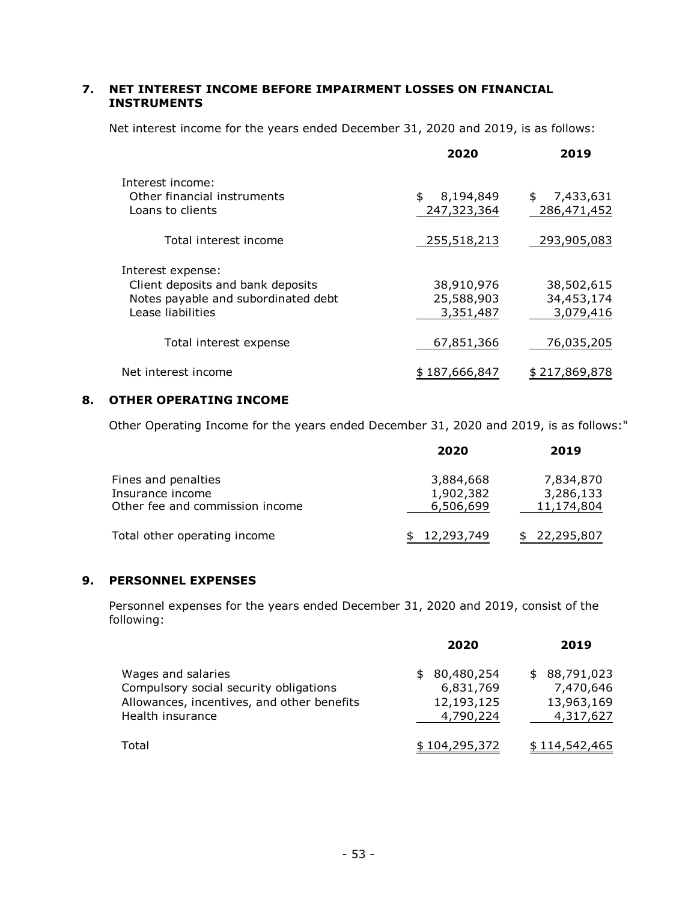### **7. NET INTEREST INCOME BEFORE IMPAIRMENT LOSSES ON FINANCIAL INSTRUMENTS**

Net interest income for the years ended December 31, 2020 and 2019, is as follows:

|                                     | 2020            | 2019            |
|-------------------------------------|-----------------|-----------------|
| Interest income:                    |                 |                 |
| Other financial instruments         | \$<br>8,194,849 | \$<br>7,433,631 |
| Loans to clients                    | 247,323,364     | 286,471,452     |
| Total interest income               | 255,518,213     | 293,905,083     |
| Interest expense:                   |                 |                 |
| Client deposits and bank deposits   | 38,910,976      | 38,502,615      |
| Notes payable and subordinated debt | 25,588,903      | 34,453,174      |
| Lease liabilities                   | 3,351,487       | 3,079,416       |
| Total interest expense              | 67,851,366      | 76,035,205      |
| Net interest income                 | \$187,666,847   | \$217,869,878   |

### **8. OTHER OPERATING INCOME**

Other Operating Income for the years ended December 31, 2020 and 2019, is as follows:"

|                                                     | 2020                   | 2019                    |
|-----------------------------------------------------|------------------------|-------------------------|
| Fines and penalties                                 | 3,884,668              | 7,834,870               |
| Insurance income<br>Other fee and commission income | 1,902,382<br>6,506,699 | 3,286,133<br>11,174,804 |
| Total other operating income                        | 12,293,749             | 22,295,807              |

### **9. PERSONNEL EXPENSES**

Personnel expenses for the years ended December 31, 2020 and 2019, consist of the following:

|                                            | 2020              | 2019             |
|--------------------------------------------|-------------------|------------------|
| Wages and salaries                         | 80,480,254<br>\$. | 88,791,023<br>S. |
| Compulsory social security obligations     | 6,831,769         | 7,470,646        |
| Allowances, incentives, and other benefits | 12,193,125        | 13,963,169       |
| Health insurance                           | 4,790,224         | 4,317,627        |
| Total                                      | \$104,295,372     | \$114,542,465    |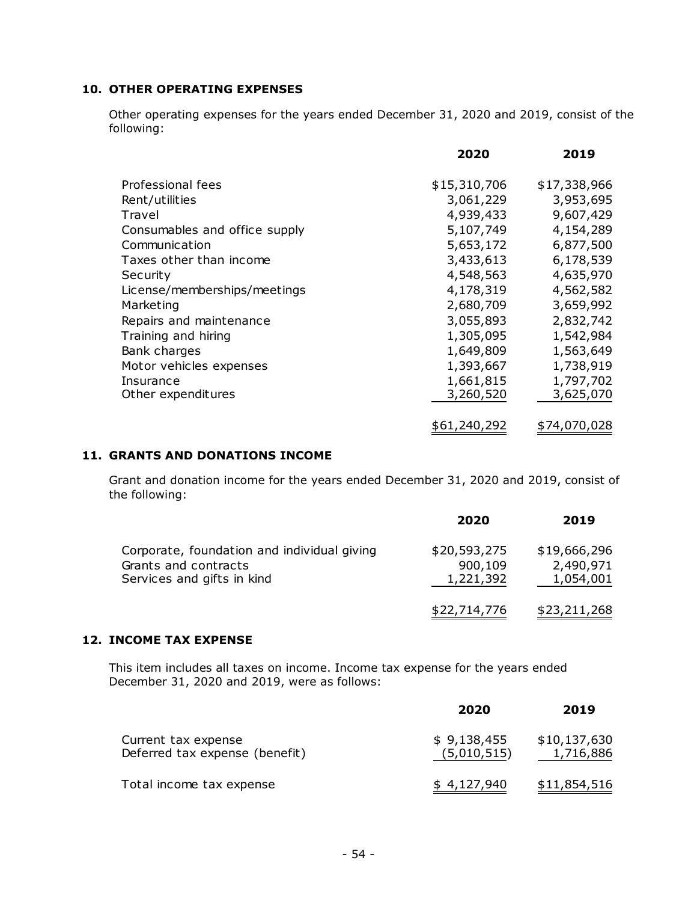# **10. OTHER OPERATING EXPENSES**

Other operating expenses for the years ended December 31, 2020 and 2019, consist of the following:

|                               | 2020         | 2019         |
|-------------------------------|--------------|--------------|
| Professional fees             | \$15,310,706 | \$17,338,966 |
| Rent/utilities                | 3,061,229    | 3,953,695    |
| Travel                        | 4,939,433    | 9,607,429    |
| Consumables and office supply | 5,107,749    | 4,154,289    |
| Communication                 | 5,653,172    | 6,877,500    |
| Taxes other than income       | 3,433,613    | 6,178,539    |
| Security                      | 4,548,563    | 4,635,970    |
| License/memberships/meetings  | 4,178,319    | 4,562,582    |
| Marketing                     | 2,680,709    | 3,659,992    |
| Repairs and maintenance       | 3,055,893    | 2,832,742    |
| Training and hiring           | 1,305,095    | 1,542,984    |
| Bank charges                  | 1,649,809    | 1,563,649    |
| Motor vehicles expenses       | 1,393,667    | 1,738,919    |
| Insurance                     | 1,661,815    | 1,797,702    |
| Other expenditures            | 3,260,520    | 3,625,070    |
|                               | \$61,240,292 | \$74,070,028 |

#### **11. GRANTS AND DONATIONS INCOME**

Grant and donation income for the years ended December 31, 2020 and 2019, consist of the following:

|                                                                                                   | 2020                                 | 2019                                   |
|---------------------------------------------------------------------------------------------------|--------------------------------------|----------------------------------------|
| Corporate, foundation and individual giving<br>Grants and contracts<br>Services and gifts in kind | \$20,593,275<br>900,109<br>1,221,392 | \$19,666,296<br>2,490,971<br>1,054,001 |
|                                                                                                   | \$22,714,776                         | \$23,211,268                           |

### **12. INCOME TAX EXPENSE**

This item includes all taxes on income. Income tax expense for the years ended December 31, 2020 and 2019, were as follows:

|                                                       | 2020                       | 2019                      |
|-------------------------------------------------------|----------------------------|---------------------------|
| Current tax expense<br>Deferred tax expense (benefit) | \$9,138,455<br>(5,010,515) | \$10,137,630<br>1,716,886 |
| Total income tax expense                              | \$4,127,940                | \$11,854,516              |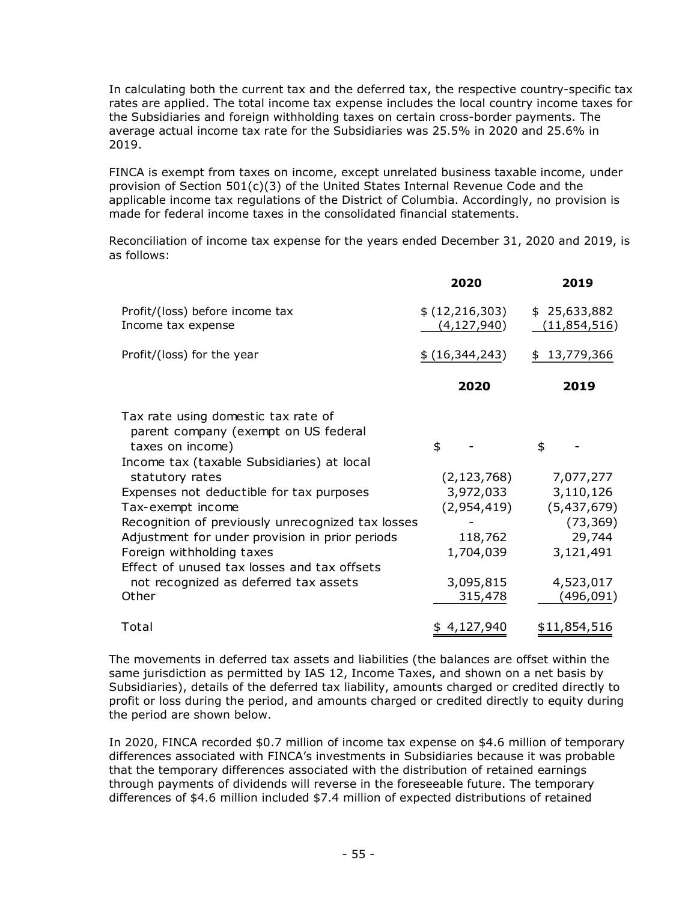In calculating both the current tax and the deferred tax, the respective country-specific tax rates are applied. The total income tax expense includes the local country income taxes for the Subsidiaries and foreign withholding taxes on certain cross-border payments. The average actual income tax rate for the Subsidiaries was 25.5% in 2020 and 25.6% in 2019.

FINCA is exempt from taxes on income, except unrelated business taxable income, under provision of Section 501(c)(3) of the United States Internal Revenue Code and the applicable income tax regulations of the District of Columbia. Accordingly, no provision is made for federal income taxes in the consolidated financial statements.

Reconciliation of income tax expense for the years ended December 31, 2020 and 2019, is as follows:

|                                                                                                                                                                                                                                                                                                                                           | 2020                                                       | 2019                                                               |
|-------------------------------------------------------------------------------------------------------------------------------------------------------------------------------------------------------------------------------------------------------------------------------------------------------------------------------------------|------------------------------------------------------------|--------------------------------------------------------------------|
| Profit/(loss) before income tax<br>Income tax expense                                                                                                                                                                                                                                                                                     | \$ (12, 216, 303)<br>(4, 127, 940)                         | \$25,633,882<br>(11,854,516)                                       |
| Profit/(loss) for the year                                                                                                                                                                                                                                                                                                                | \$ (16, 344, 243)                                          | 13,779,366<br>\$                                                   |
|                                                                                                                                                                                                                                                                                                                                           | 2020                                                       | 2019                                                               |
| Tax rate using domestic tax rate of<br>parent company (exempt on US federal<br>taxes on income)<br>Income tax (taxable Subsidiaries) at local<br>statutory rates<br>Expenses not deductible for tax purposes<br>Tax-exempt income<br>Recognition of previously unrecognized tax losses<br>Adjustment for under provision in prior periods | \$<br>(2, 123, 768)<br>3,972,033<br>(2,954,419)<br>118,762 | \$<br>7,077,277<br>3,110,126<br>(5,437,679)<br>(73, 369)<br>29,744 |
| Foreign withholding taxes<br>Effect of unused tax losses and tax offsets<br>not recognized as deferred tax assets<br>Other                                                                                                                                                                                                                | 1,704,039<br>3,095,815<br>315,478                          | 3,121,491<br>4,523,017<br>(496, 091)                               |
| Total                                                                                                                                                                                                                                                                                                                                     | \$4,127,940                                                | \$11,854,516                                                       |

The movements in deferred tax assets and liabilities (the balances are offset within the same jurisdiction as permitted by IAS 12, Income Taxes, and shown on a net basis by Subsidiaries), details of the deferred tax liability, amounts charged or credited directly to profit or loss during the period, and amounts charged or credited directly to equity during the period are shown below.

In 2020, FINCA recorded \$0.7 million of income tax expense on \$4.6 million of temporary differences associated with FINCA's investments in Subsidiaries because it was probable that the temporary differences associated with the distribution of retained earnings through payments of dividends will reverse in the foreseeable future. The temporary differences of \$4.6 million included \$7.4 million of expected distributions of retained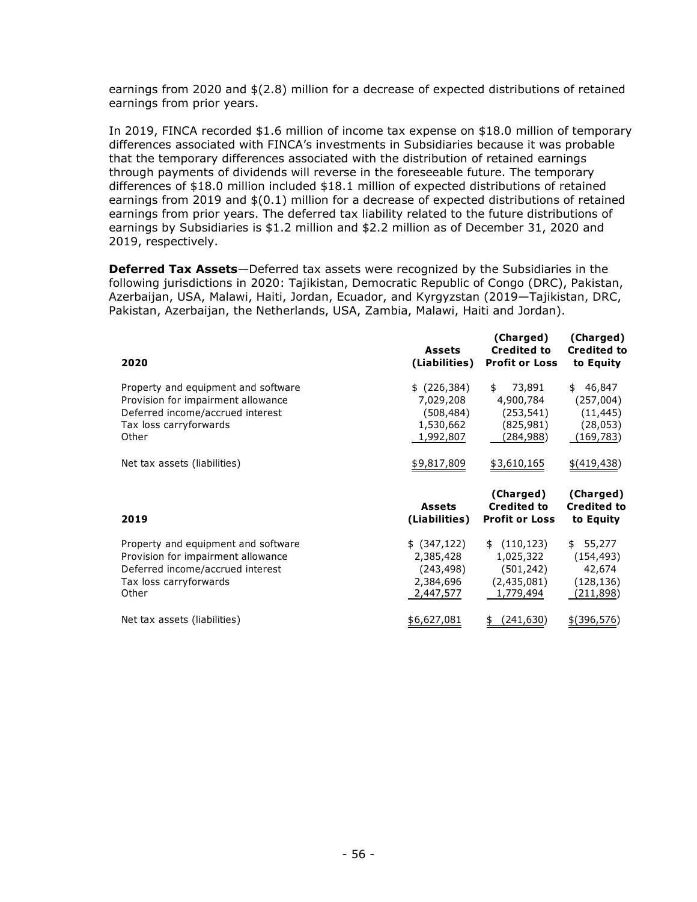earnings from 2020 and \$(2.8) million for a decrease of expected distributions of retained earnings from prior years.

In 2019, FINCA recorded \$1.6 million of income tax expense on \$18.0 million of temporary differences associated with FINCA's investments in Subsidiaries because it was probable that the temporary differences associated with the distribution of retained earnings through payments of dividends will reverse in the foreseeable future. The temporary differences of \$18.0 million included \$18.1 million of expected distributions of retained earnings from 2019 and \$(0.1) million for a decrease of expected distributions of retained earnings from prior years. The deferred tax liability related to the future distributions of earnings by Subsidiaries is \$1.2 million and \$2.2 million as of December 31, 2020 and 2019, respectively.

**Deferred Tax Assets**—Deferred tax assets were recognized by the Subsidiaries in the following jurisdictions in 2020: Tajikistan, Democratic Republic of Congo (DRC), Pakistan, Azerbaijan, USA, Malawi, Haiti, Jordan, Ecuador, and Kyrgyzstan (2019—Tajikistan, DRC, Pakistan, Azerbaijan, the Netherlands, USA, Zambia, Malawi, Haiti and Jordan).

| 2020                                                                                                                                             | <b>Assets</b><br>(Liabilities)                                     | (Charged)<br><b>Credited to</b><br><b>Profit or Loss</b>               | (Charged)<br><b>Credited to</b><br>to Equity                      |
|--------------------------------------------------------------------------------------------------------------------------------------------------|--------------------------------------------------------------------|------------------------------------------------------------------------|-------------------------------------------------------------------|
| Property and equipment and software<br>Provision for impairment allowance<br>Deferred income/accrued interest<br>Tax loss carryforwards<br>Other | \$ (226, 384)<br>7,029,208<br>(508, 484)<br>1,530,662<br>1,992,807 | 73,891<br>\$<br>4,900,784<br>(253, 541)<br>(825,981)<br>(284,988)      | 46,847<br>\$<br>(257,004)<br>(11, 445)<br>(28, 053)<br>(169, 783) |
| Net tax assets (liabilities)                                                                                                                     | \$9,817,809                                                        | \$3,610,165                                                            | <u>\$(419,438)</u>                                                |
| 2019                                                                                                                                             | <b>Assets</b><br>(Liabilities)                                     | (Charged)<br><b>Credited to</b><br><b>Profit or Loss</b>               | (Charged)<br><b>Credited to</b><br>to Equity                      |
| Property and equipment and software<br>Provision for impairment allowance<br>Deferred income/accrued interest<br>Tax loss carryforwards<br>Other | \$ (347, 122)<br>2,385,428<br>(243, 498)<br>2,384,696<br>2,447,577 | (110, 123)<br>\$<br>1,025,322<br>(501,242)<br>(2,435,081)<br>1,779,494 | 55,277<br>\$<br>(154, 493)<br>42,674<br>(128, 136)<br>(211, 898)  |
| Net tax assets (liabilities)                                                                                                                     | \$6,627,081                                                        | (241,630)                                                              | $$$ (396,576)                                                     |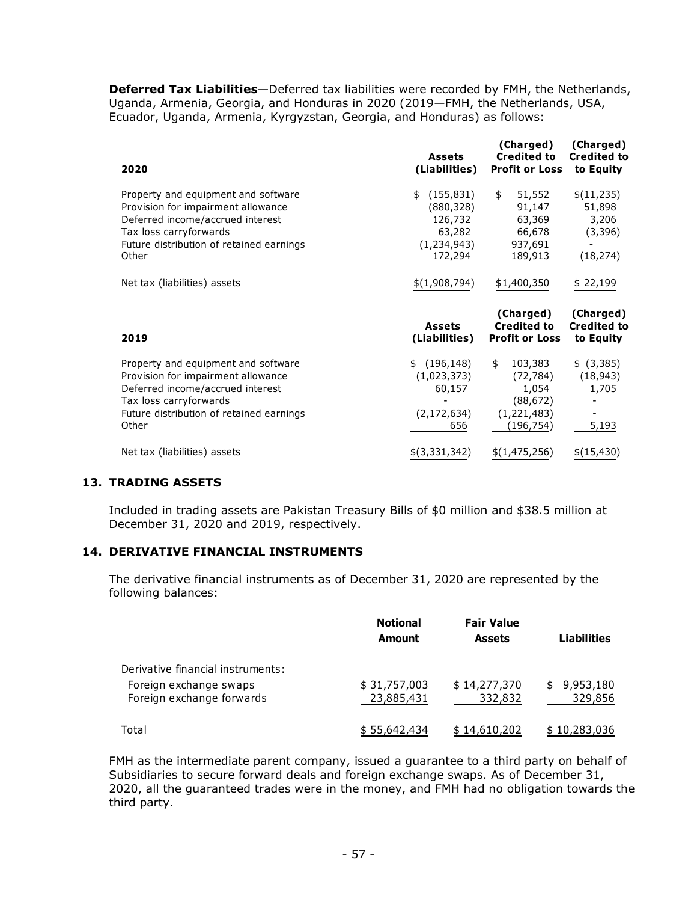**Deferred Tax Liabilities**—Deferred tax liabilities were recorded by FMH, the Netherlands, Uganda, Armenia, Georgia, and Honduras in 2020 (2019—FMH, the Netherlands, USA, Ecuador, Uganda, Armenia, Kyrgyzstan, Georgia, and Honduras) as follows:

| 2020                                                                                                                                                                                         | <b>Assets</b><br>(Liabilities)                                                  | (Charged)<br><b>Credited to</b><br><b>Profit or Loss</b>                      | (Charged)<br><b>Credited to</b><br>to Equity           |
|----------------------------------------------------------------------------------------------------------------------------------------------------------------------------------------------|---------------------------------------------------------------------------------|-------------------------------------------------------------------------------|--------------------------------------------------------|
| Property and equipment and software<br>Provision for impairment allowance<br>Deferred income/accrued interest<br>Tax loss carryforwards<br>Future distribution of retained earnings<br>Other | (155, 831)<br>\$<br>(880, 328)<br>126,732<br>63,282<br>(1, 234, 943)<br>172,294 | 51,552<br>\$<br>91,147<br>63,369<br>66,678<br>937,691<br>189,913              | \$(11,235)<br>51,898<br>3,206<br>(3, 396)<br>(18, 274) |
| Net tax (liabilities) assets                                                                                                                                                                 | \$(1,908,794)                                                                   | \$1,400,350                                                                   | \$22,199                                               |
|                                                                                                                                                                                              |                                                                                 |                                                                               |                                                        |
| 2019                                                                                                                                                                                         | <b>Assets</b><br>(Liabilities)                                                  | (Charged)<br><b>Credited to</b><br><b>Profit or Loss</b>                      | (Charged)<br><b>Credited to</b><br>to Equity           |
| Property and equipment and software<br>Provision for impairment allowance<br>Deferred income/accrued interest<br>Tax loss carryforwards<br>Future distribution of retained earnings<br>Other | (196,148)<br>\$<br>(1,023,373)<br>60,157<br>(2, 172, 634)<br>656                | \$<br>103,383<br>(72, 784)<br>1,054<br>(88, 672)<br>(1,221,483)<br>(196, 754) | \$ (3,385)<br>(18, 943)<br>1,705<br>5,193              |

# **13. TRADING ASSETS**

Included in trading assets are Pakistan Treasury Bills of \$0 million and \$38.5 million at December 31, 2020 and 2019, respectively.

#### **14. DERIVATIVE FINANCIAL INSTRUMENTS**

The derivative financial instruments as of December 31, 2020 are represented by the following balances:

|                                                                                          | <b>Notional</b><br><b>Amount</b> | <b>Fair Value</b><br><b>Assets</b> | <b>Liabilities</b>         |
|------------------------------------------------------------------------------------------|----------------------------------|------------------------------------|----------------------------|
| Derivative financial instruments:<br>Foreign exchange swaps<br>Foreign exchange forwards | \$31,757,003<br>23,885,431       | \$14,277,370<br>332,832            | 9,953,180<br>\$<br>329,856 |
| Total                                                                                    | \$55,642,434                     | \$14,610,202                       | \$10,283,036               |

FMH as the intermediate parent company, issued a guarantee to a third party on behalf of Subsidiaries to secure forward deals and foreign exchange swaps. As of December 31, 2020, all the guaranteed trades were in the money, and FMH had no obligation towards the third party.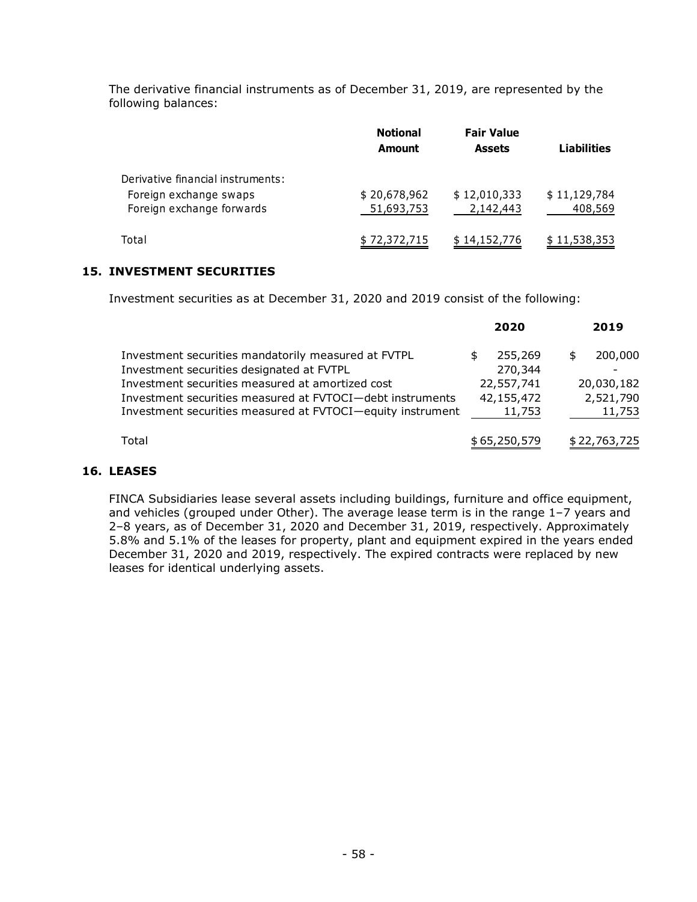The derivative financial instruments as of December 31, 2019, are represented by the following balances:

|                                                                                          | <b>Notional</b><br>Amount  | <b>Fair Value</b><br><b>Assets</b> | <b>Liabilities</b>      |
|------------------------------------------------------------------------------------------|----------------------------|------------------------------------|-------------------------|
| Derivative financial instruments:<br>Foreign exchange swaps<br>Foreign exchange forwards | \$20,678,962<br>51,693,753 | \$12,010,333<br>2,142,443          | \$11,129,784<br>408,569 |
| Total                                                                                    | \$72,372,715               | \$14,152,776                       | \$11,538,353            |

### **15. INVESTMENT SECURITIES**

Investment securities as at December 31, 2020 and 2019 consist of the following:

|                                                                                                                                                                                                                                                                                 | 2020                                                          | 2019                                         |
|---------------------------------------------------------------------------------------------------------------------------------------------------------------------------------------------------------------------------------------------------------------------------------|---------------------------------------------------------------|----------------------------------------------|
| Investment securities mandatorily measured at FVTPL<br>Investment securities designated at FVTPL<br>Investment securities measured at amortized cost<br>Investment securities measured at FVTOCI-debt instruments<br>Investment securities measured at FVTOCI-equity instrument | 255,269<br>S<br>270,344<br>22,557,741<br>42,155,472<br>11,753 | 200,000<br>20,030,182<br>2,521,790<br>11,753 |
| Total                                                                                                                                                                                                                                                                           | \$65,250,579                                                  | \$22,763,725                                 |

# **16. LEASES**

FINCA Subsidiaries lease several assets including buildings, furniture and office equipment, and vehicles (grouped under Other). The average lease term is in the range 1–7 years and 2–8 years, as of December 31, 2020 and December 31, 2019, respectively. Approximately 5.8% and 5.1% of the leases for property, plant and equipment expired in the years ended December 31, 2020 and 2019, respectively. The expired contracts were replaced by new leases for identical underlying assets.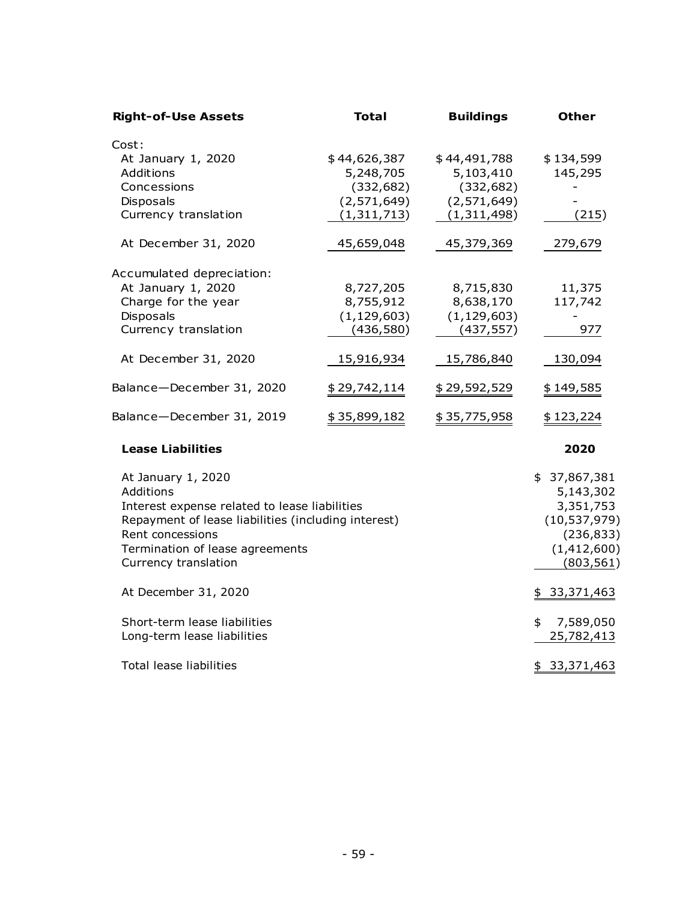| <b>Right-of-Use Assets</b>                          | <b>Total</b>  | <b>Buildings</b>    | <b>Other</b>     |
|-----------------------------------------------------|---------------|---------------------|------------------|
| Cost:                                               |               |                     |                  |
| At January 1, 2020                                  | \$44,626,387  | \$44,491,788        | \$134,599        |
| Additions                                           | 5,248,705     | 5,103,410           | 145,295          |
| Concessions                                         | (332, 682)    | (332, 682)          |                  |
| Disposals                                           | (2, 571, 649) | (2, 571, 649)       |                  |
| Currency translation                                | (1,311,713)   | (1,311,498)         | (215)            |
| At December 31, 2020                                | 45,659,048    | 45,379,369          | 279,679          |
| Accumulated depreciation:                           |               |                     |                  |
| At January 1, 2020                                  | 8,727,205     | 8,715,830           | 11,375           |
| Charge for the year                                 | 8,755,912     | 8,638,170           | 117,742          |
| <b>Disposals</b>                                    | (1, 129, 603) | (1, 129, 603)       |                  |
| Currency translation                                | (436,580)     | (437, 557)          | 977              |
| At December 31, 2020                                | 15,916,934    | 15,786,840          | 130,094          |
| Balance-December 31, 2020                           | \$29,742,114  | \$29,592,529        | \$149,585        |
| Balance-December 31, 2019                           | \$35,899,182  | <u>\$35,775,958</u> | \$123,224        |
| <b>Lease Liabilities</b>                            |               |                     | 2020             |
| At January 1, 2020                                  |               |                     | \$37,867,381     |
| Additions                                           |               |                     | 5,143,302        |
| Interest expense related to lease liabilities       |               |                     | 3,351,753        |
| Repayment of lease liabilities (including interest) |               |                     | (10, 537, 979)   |
| Rent concessions                                    |               |                     | (236, 833)       |
| Termination of lease agreements                     |               |                     | (1,412,600)      |
| Currency translation                                |               |                     | (803, 561)       |
| At December 31, 2020                                |               |                     | \$33,371,463     |
| Short-term lease liabilities                        |               |                     | 7,589,050<br>\$  |
| Long-term lease liabilities                         |               |                     | 25,782,413       |
| <b>Total lease liabilities</b>                      |               |                     | 33,371,463<br>\$ |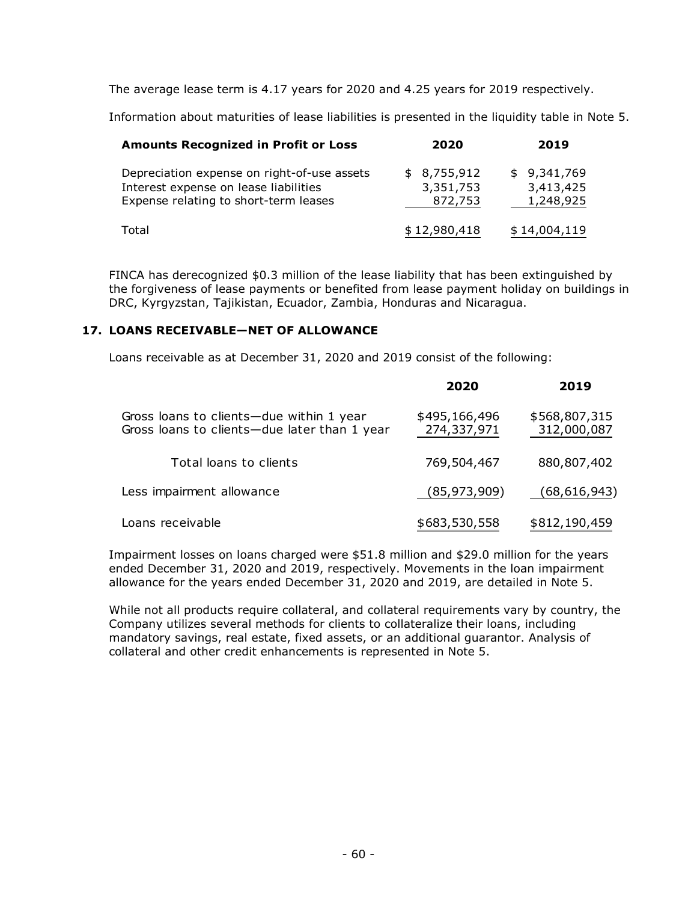The average lease term is 4.17 years for 2020 and 4.25 years for 2019 respectively.

Information about maturities of lease liabilities is presented in the liquidity table in Note 5.

| <b>Amounts Recognized in Profit or Loss</b>                                                                                   | 2020                                | 2019                                  |
|-------------------------------------------------------------------------------------------------------------------------------|-------------------------------------|---------------------------------------|
| Depreciation expense on right-of-use assets<br>Interest expense on lease liabilities<br>Expense relating to short-term leases | \$8,755,912<br>3,351,753<br>872,753 | \$9,341,769<br>3,413,425<br>1,248,925 |
| Total                                                                                                                         | \$12,980,418                        | \$14,004,119                          |

FINCA has derecognized \$0.3 million of the lease liability that has been extinguished by the forgiveness of lease payments or benefited from lease payment holiday on buildings in DRC, Kyrgyzstan, Tajikistan, Ecuador, Zambia, Honduras and Nicaragua.

### **17. LOANS RECEIVABLE—NET OF ALLOWANCE**

Loans receivable as at December 31, 2020 and 2019 consist of the following:

|                                                                                          | 2020                         | 2019                         |
|------------------------------------------------------------------------------------------|------------------------------|------------------------------|
| Gross loans to clients—due within 1 year<br>Gross loans to clients-due later than 1 year | \$495,166,496<br>274,337,971 | \$568,807,315<br>312,000,087 |
| Total loans to clients                                                                   | 769,504,467                  | 880,807,402                  |
| Less impairment allowance                                                                | (85, 973, 909)               | (68, 616, 943)               |
| Loans receivable                                                                         | \$683,530,558                | \$812,190,459                |

Impairment losses on loans charged were \$51.8 million and \$29.0 million for the years ended December 31, 2020 and 2019, respectively. Movements in the loan impairment allowance for the years ended December 31, 2020 and 2019, are detailed in Note 5.

While not all products require collateral, and collateral requirements vary by country, the Company utilizes several methods for clients to collateralize their loans, including mandatory savings, real estate, fixed assets, or an additional guarantor. Analysis of collateral and other credit enhancements is represented in Note 5.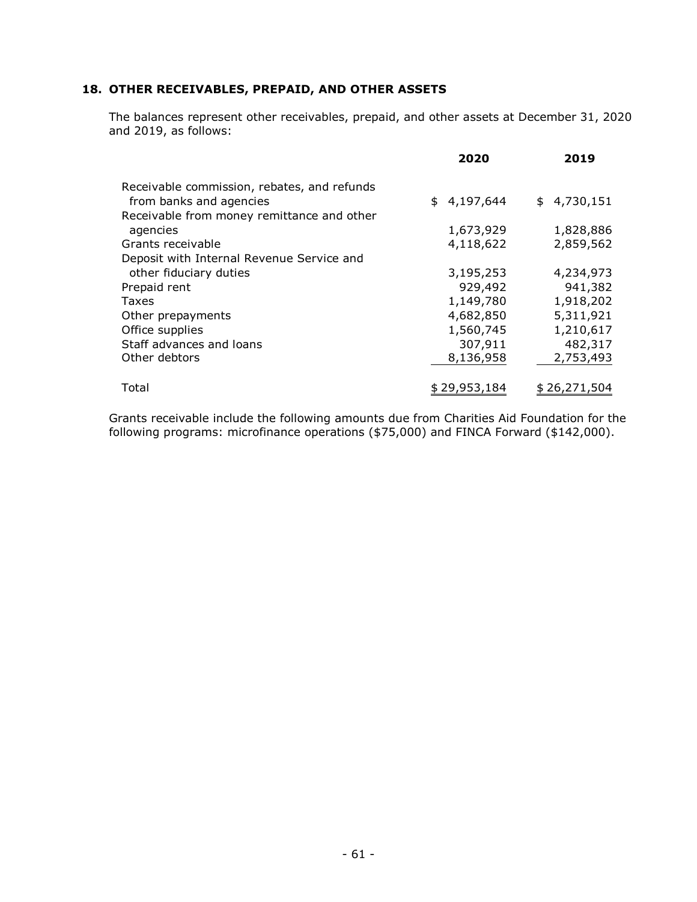# **18. OTHER RECEIVABLES, PREPAID, AND OTHER ASSETS**

The balances represent other receivables, prepaid, and other assets at December 31, 2020 and 2019, as follows:

|                                             | 2020         | 2019         |
|---------------------------------------------|--------------|--------------|
| Receivable commission, rebates, and refunds |              |              |
| from banks and agencies                     | \$4,197,644  | \$4,730,151  |
| Receivable from money remittance and other  |              |              |
| agencies                                    | 1,673,929    | 1,828,886    |
| Grants receivable                           | 4,118,622    | 2,859,562    |
| Deposit with Internal Revenue Service and   |              |              |
| other fiduciary duties                      | 3,195,253    | 4,234,973    |
| Prepaid rent                                | 929,492      | 941,382      |
| Taxes                                       | 1,149,780    | 1,918,202    |
| Other prepayments                           | 4,682,850    | 5,311,921    |
| Office supplies                             | 1,560,745    | 1,210,617    |
| Staff advances and loans                    | 307,911      | 482,317      |
| Other debtors                               | 8,136,958    | 2,753,493    |
| Total                                       | \$29,953,184 | \$26,271,504 |

Grants receivable include the following amounts due from Charities Aid Foundation for the following programs: microfinance operations (\$75,000) and FINCA Forward (\$142,000).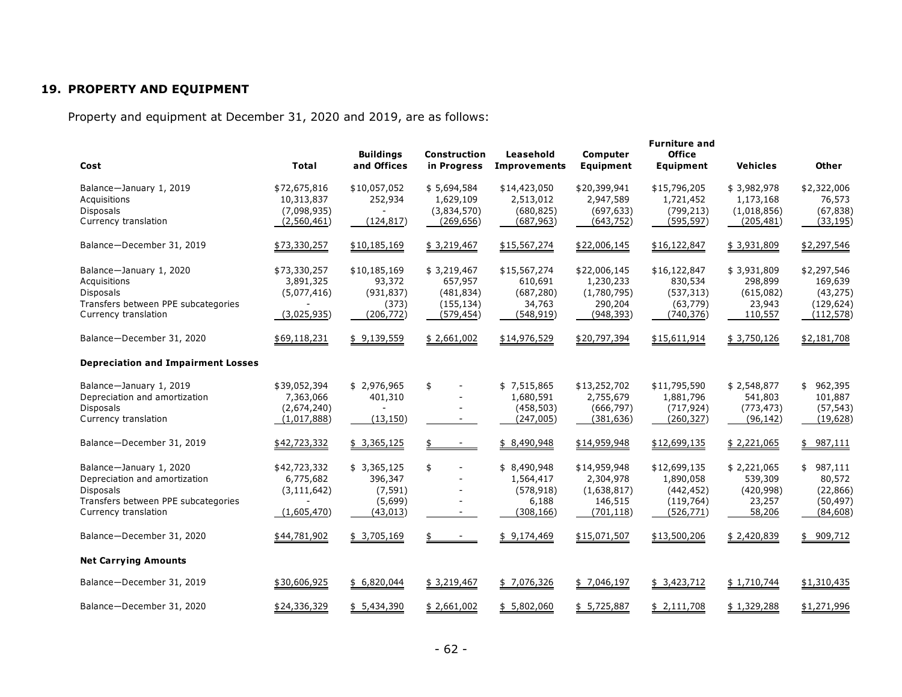# **19. PROPERTY AND EQUIPMENT**

Property and equipment at December 31, 2020 and 2019, are as follows:

| Cost                                                                                                                                        | <b>Total</b>                                              | <b>Buildings</b><br>and Offices                             | Construction<br>in Progress                                     | Leasehold<br><b>Improvements</b>                              | Computer<br>Equipment                                             | <b>Furniture and</b><br><b>Office</b><br>Equipment                  | <b>Vehicles</b>                                          | Other                                                           |
|---------------------------------------------------------------------------------------------------------------------------------------------|-----------------------------------------------------------|-------------------------------------------------------------|-----------------------------------------------------------------|---------------------------------------------------------------|-------------------------------------------------------------------|---------------------------------------------------------------------|----------------------------------------------------------|-----------------------------------------------------------------|
| Balance-January 1, 2019<br>Acquisitions<br><b>Disposals</b><br>Currency translation                                                         | \$72,675,816<br>10,313,837<br>(7,098,935)<br>(2,560,461)  | \$10,057,052<br>252,934<br>(124, 817)                       | \$5,694,584<br>1,629,109<br>(3,834,570)<br>(269, 656)           | \$14,423,050<br>2,513,012<br>(680, 825)<br>(687, 963)         | \$20,399,941<br>2,947,589<br>(697, 633)<br>(643, 752)             | \$15,796,205<br>1,721,452<br>(799, 213)<br>(595, 597)               | \$3,982,978<br>1,173,168<br>(1,018,856)<br>(205, 481)    | \$2,322,006<br>76,573<br>(67, 838)<br>(33, 195)                 |
| Balance-December 31, 2019                                                                                                                   | \$73,330,257                                              | \$10,185,169                                                | \$3,219,467                                                     | \$15,567,274                                                  | \$22,006,145                                                      | \$16,122,847                                                        | \$3,931,809                                              | \$2,297,546                                                     |
| Balance-January 1, 2020<br>Acquisitions<br>Disposals<br>Transfers between PPE subcategories<br>Currency translation                         | \$73,330,257<br>3,891,325<br>(5,077,416)<br>(3,025,935)   | \$10,185,169<br>93,372<br>(931, 837)<br>(373)<br>(206, 772) | \$3,219,467<br>657,957<br>(481, 834)<br>(155, 134)<br>(579,454) | \$15,567,274<br>610,691<br>(687, 280)<br>34,763<br>(548, 919) | \$22,006,145<br>1,230,233<br>(1,780,795)<br>290,204<br>(948, 393) | \$16,122,847<br>830,534<br>(537, 313)<br>(63, 779)<br>(740, 376)    | \$3,931,809<br>298,899<br>(615,082)<br>23,943<br>110,557 | \$2,297,546<br>169,639<br>(43, 275)<br>(129, 624)<br>(112, 578) |
| Balance-December 31, 2020                                                                                                                   | \$69,118,231                                              | \$9,139,559                                                 | \$2,661,002                                                     | \$14,976,529                                                  | \$20,797,394                                                      | \$15,611,914                                                        | \$3,750,126                                              | \$2,181,708                                                     |
| <b>Depreciation and Impairment Losses</b>                                                                                                   |                                                           |                                                             |                                                                 |                                                               |                                                                   |                                                                     |                                                          |                                                                 |
| Balance-January 1, 2019<br>Depreciation and amortization<br><b>Disposals</b><br>Currency translation                                        | \$39,052,394<br>7,363,066<br>(2,674,240)<br>(1,017,888)   | \$2,976,965<br>401,310<br>(13, 150)                         | \$<br>$\overline{\phantom{a}}$                                  | \$7,515,865<br>1,680,591<br>(458, 503)<br>(247,005)           | \$13,252,702<br>2,755,679<br>(666, 797)<br>(381, 636)             | \$11,795,590<br>1,881,796<br>(717, 924)<br>(260, 327)               | \$2,548,877<br>541,803<br>(773, 473)<br>(96, 142)        | \$962,395<br>101,887<br>(57, 543)<br>(19, 628)                  |
| Balance-December 31, 2019                                                                                                                   | \$42,723,332                                              | \$3,365,125                                                 | \$<br>$\sim 10^{-10}$                                           | \$8,490,948                                                   | \$14,959,948                                                      | \$12,699,135                                                        | \$2,221,065                                              | \$987,111                                                       |
| Balance-January 1, 2020<br>Depreciation and amortization<br><b>Disposals</b><br>Transfers between PPE subcategories<br>Currency translation | \$42,723,332<br>6,775,682<br>(3, 111, 642)<br>(1,605,470) | \$3,365,125<br>396,347<br>(7, 591)<br>(5,699)<br>(43, 013)  | \$                                                              | \$8,490,948<br>1,564,417<br>(578, 918)<br>6,188<br>(308, 166) | \$14,959,948<br>2,304,978<br>(1,638,817)<br>146,515<br>(701, 118) | \$12,699,135<br>1,890,058<br>(442, 452)<br>(119, 764)<br>(526, 771) | \$2,221,065<br>539,309<br>(420, 998)<br>23,257<br>58,206 | \$987,111<br>80,572<br>(22, 866)<br>(50, 497)<br>(84, 608)      |
| Balance-December 31, 2020                                                                                                                   | \$44,781,902                                              | \$3,705,169                                                 | \$                                                              | \$9,174,469                                                   | \$15,071,507                                                      | \$13,500,206                                                        | \$2,420,839                                              | \$909,712                                                       |
| <b>Net Carrying Amounts</b>                                                                                                                 |                                                           |                                                             |                                                                 |                                                               |                                                                   |                                                                     |                                                          |                                                                 |
| Balance-December 31, 2019                                                                                                                   | \$30,606,925                                              | \$6,820,044                                                 | \$3,219,467                                                     | \$7,076,326                                                   | \$7,046,197                                                       | \$3,423,712                                                         | \$1,710,744                                              | \$1,310,435                                                     |
| Balance-December 31, 2020                                                                                                                   | \$24,336,329                                              | \$5,434,390                                                 | \$2,661,002                                                     | \$5,802,060                                                   | \$5,725,887                                                       | \$2,111,708                                                         | \$1,329,288                                              | \$1,271,996                                                     |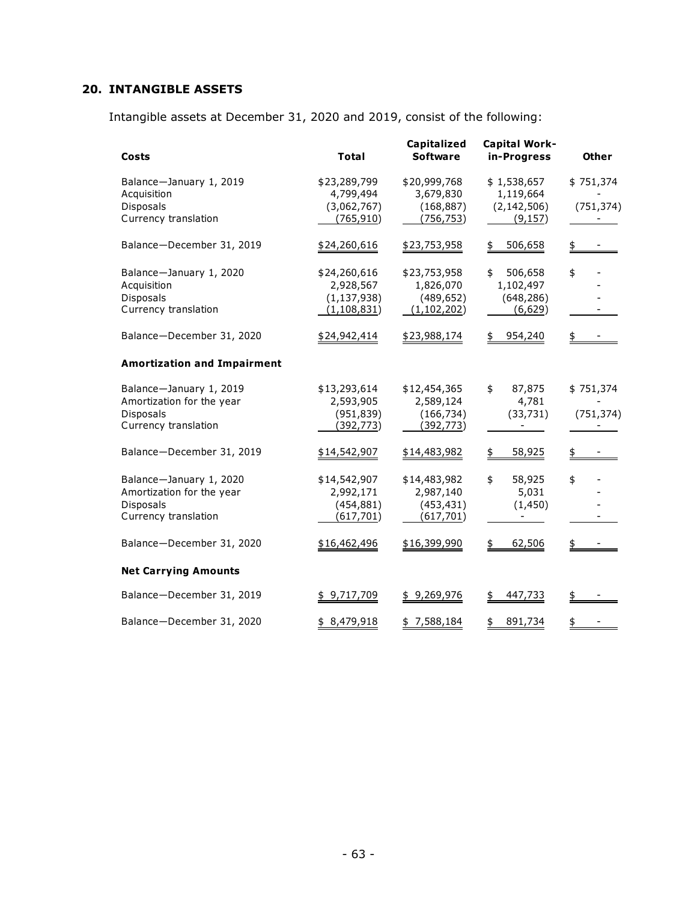# **20. INTANGIBLE ASSETS**

Intangible assets at December 31, 2020 and 2019, consist of the following:

| Costs                                                                                            | <b>Total</b>                                                | Capitalized<br><b>Software</b>                           | <b>Capital Work-</b><br>in-Progress                 | <b>Other</b>            |
|--------------------------------------------------------------------------------------------------|-------------------------------------------------------------|----------------------------------------------------------|-----------------------------------------------------|-------------------------|
| Balance-January 1, 2019<br>Acquisition                                                           | \$23,289,799<br>4,799,494                                   | \$20,999,768<br>3,679,830                                | \$1,538,657<br>1,119,664                            | \$751,374               |
| <b>Disposals</b><br>Currency translation                                                         | (3,062,767)<br>(765, 910)                                   | (168, 887)<br>(756, 753)                                 | (2, 142, 506)<br>(9, 157)                           | (751, 374)              |
| Balance-December 31, 2019                                                                        | \$24,260,616                                                | \$23,753,958                                             | 506,658                                             | \$                      |
| Balance-January 1, 2020<br>Acquisition<br><b>Disposals</b><br>Currency translation               | \$24,260,616<br>2,928,567<br>(1, 137, 938)<br>(1, 108, 831) | \$23,753,958<br>1,826,070<br>(489, 652)<br>(1, 102, 202) | 506,658<br>\$<br>1,102,497<br>(648, 286)<br>(6,629) | \$                      |
| Balance-December 31, 2020                                                                        | \$24,942,414                                                | \$23,988,174                                             | 954,240                                             |                         |
| <b>Amortization and Impairment</b>                                                               |                                                             |                                                          |                                                     |                         |
| Balance-January 1, 2019<br>Amortization for the year<br>Disposals<br>Currency translation        | \$13,293,614<br>2,593,905<br>(951, 839)<br>(392, 773)       | \$12,454,365<br>2,589,124<br>(166, 734)<br>(392, 773)    | \$<br>87,875<br>4,781<br>(33, 731)                  | \$751,374<br>(751, 374) |
| Balance-December 31, 2019                                                                        | \$14,542,907                                                | \$14,483,982                                             | \$<br>58,925                                        | \$                      |
| Balance-January 1, 2020<br>Amortization for the year<br><b>Disposals</b><br>Currency translation | \$14,542,907<br>2,992,171<br>(454, 881)<br>(617, 701)       | \$14,483,982<br>2,987,140<br>(453, 431)<br>(617, 701)    | \$<br>58,925<br>5,031<br>(1, 450)                   | \$                      |
| Balance-December 31, 2020                                                                        | \$16,462,496                                                | \$16,399,990                                             | 62,506<br>\$                                        | \$                      |
| <b>Net Carrying Amounts</b>                                                                      |                                                             |                                                          |                                                     |                         |
| Balance-December 31, 2019                                                                        | \$9,717,709                                                 | \$9,269,976                                              | 447,733<br>\$                                       |                         |
| Balance-December 31, 2020                                                                        | \$8,479,918                                                 | \$7,588,184                                              | 891,734<br>\$                                       | \$                      |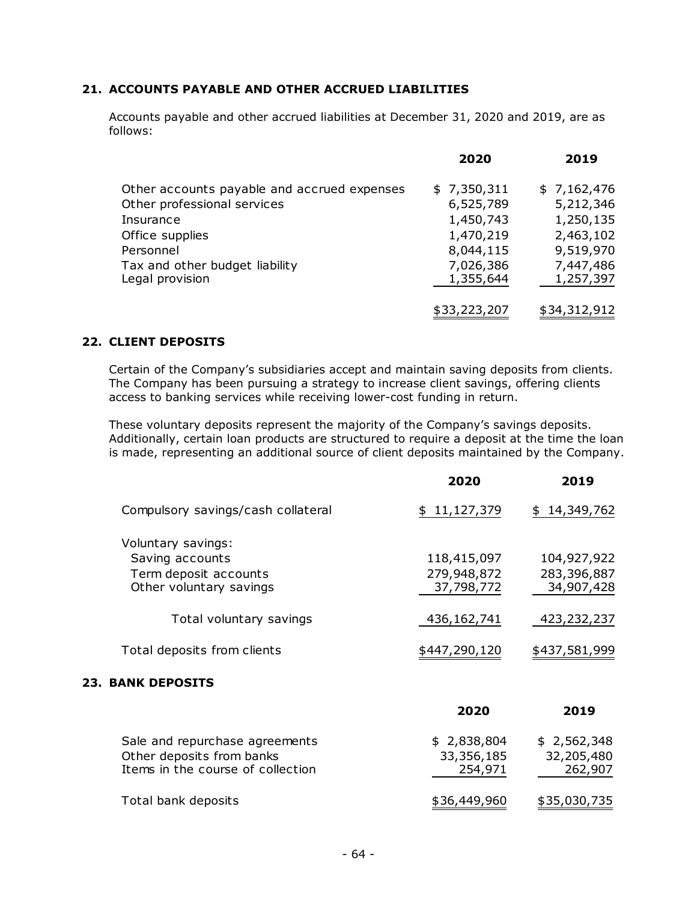#### **21. ACCOUNTS PAYABLE AND OTHER ACCRUED LIABILITIES**

Accounts payable and other accrued liabilities at December 31, 2020 and 2019, are as follows:

|                                             | 2020         | 2019         |
|---------------------------------------------|--------------|--------------|
| Other accounts payable and accrued expenses | \$7,350,311  | \$7,162,476  |
| Other professional services                 | 6,525,789    | 5,212,346    |
| Insurance                                   | 1,450,743    | 1,250,135    |
| Office supplies                             | 1,470,219    | 2,463,102    |
| Personnel                                   | 8,044,115    | 9,519,970    |
| Tax and other budget liability              | 7,026,386    | 7,447,486    |
| Legal provision                             | 1,355,644    | 1,257,397    |
|                                             |              |              |
|                                             | \$33,223,207 | \$34,312,912 |

### **22. CLIENT DEPOSITS**

Certain of the Company's subsidiaries accept and maintain saving deposits from clients. The Company has been pursuing a strategy to increase client savings, offering clients access to banking services while receiving lower-cost funding in return.

These voluntary deposits represent the majority of the Company's savings deposits. Additionally, certain loan products are structured to require a deposit at the time the loan is made, representing an additional source of client deposits maintained by the Company.

|                                    | 2020          | 2019          |
|------------------------------------|---------------|---------------|
| Compulsory savings/cash collateral | \$11,127,379  | \$14,349,762  |
| Voluntary savings:                 |               |               |
| Saving accounts                    | 118,415,097   | 104,927,922   |
| Term deposit accounts              | 279,948,872   | 283,396,887   |
| Other voluntary savings            | 37,798,772    | 34,907,428    |
| Total voluntary savings            | 436, 162, 741 | 423,232,237   |
| Total deposits from clients        | \$447,290,120 | \$437,581,999 |
| <b>23. BANK DEPOSITS</b>           |               |               |
|                                    | 2020          | 2019          |
| Sale and repurchase agreements     | \$2,838,804   | \$2,562,348   |
| Other deposits from banks          | 33,356,185    | 32,205,480    |
| Items in the course of collection  | 254,971       | 262,907       |
| Total bank deposits                | \$36,449,960  | \$35,030,735  |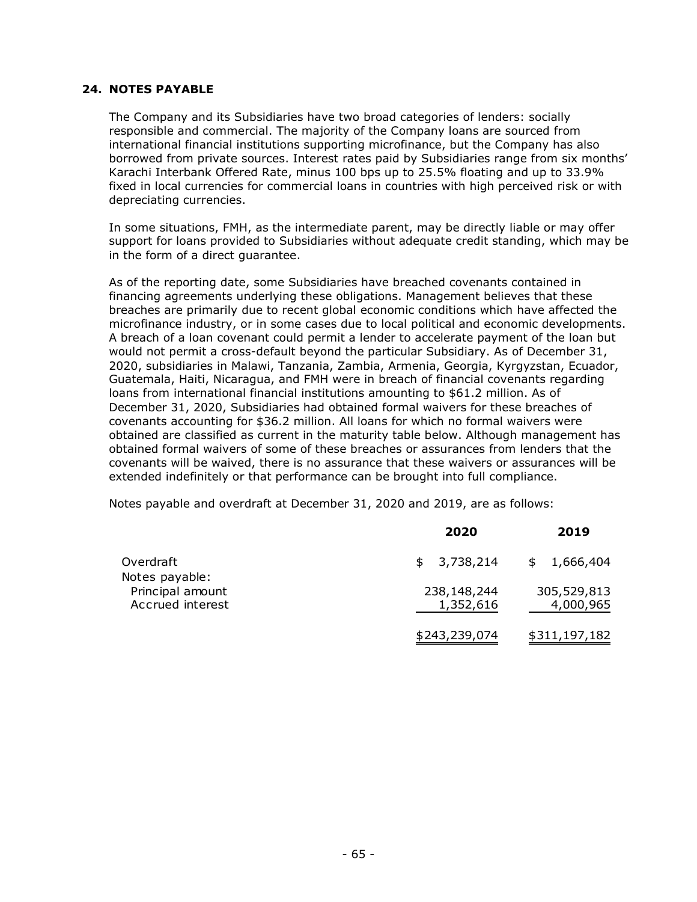#### **24. NOTES PAYABLE**

The Company and its Subsidiaries have two broad categories of lenders: socially responsible and commercial. The majority of the Company loans are sourced from international financial institutions supporting microfinance, but the Company has also borrowed from private sources. Interest rates paid by Subsidiaries range from six months' Karachi Interbank Offered Rate, minus 100 bps up to 25.5% floating and up to 33.9% fixed in local currencies for commercial loans in countries with high perceived risk or with depreciating currencies.

In some situations, FMH, as the intermediate parent, may be directly liable or may offer support for loans provided to Subsidiaries without adequate credit standing, which may be in the form of a direct guarantee.

As of the reporting date, some Subsidiaries have breached covenants contained in financing agreements underlying these obligations. Management believes that these breaches are primarily due to recent global economic conditions which have affected the microfinance industry, or in some cases due to local political and economic developments. A breach of a loan covenant could permit a lender to accelerate payment of the loan but would not permit a cross-default beyond the particular Subsidiary. As of December 31, 2020, subsidiaries in Malawi, Tanzania, Zambia, Armenia, Georgia, Kyrgyzstan, Ecuador, Guatemala, Haiti, Nicaragua, and FMH were in breach of financial covenants regarding loans from international financial institutions amounting to \$61.2 million. As of December 31, 2020, Subsidiaries had obtained formal waivers for these breaches of covenants accounting for \$36.2 million. All loans for which no formal waivers were obtained are classified as current in the maturity table below. Although management has obtained formal waivers of some of these breaches or assurances from lenders that the covenants will be waived, there is no assurance that these waivers or assurances will be extended indefinitely or that performance can be brought into full compliance.

Notes payable and overdraft at December 31, 2020 and 2019, are as follows:

|                                                        | 2020                     | 2019                     |
|--------------------------------------------------------|--------------------------|--------------------------|
| Overdraft                                              | \$3,738,214              | 1,666,404<br>\$          |
| Notes payable:<br>Principal amount<br>Accrued interest | 238,148,244<br>1,352,616 | 305,529,813<br>4,000,965 |
|                                                        | \$243,239,074            | \$311,197,182            |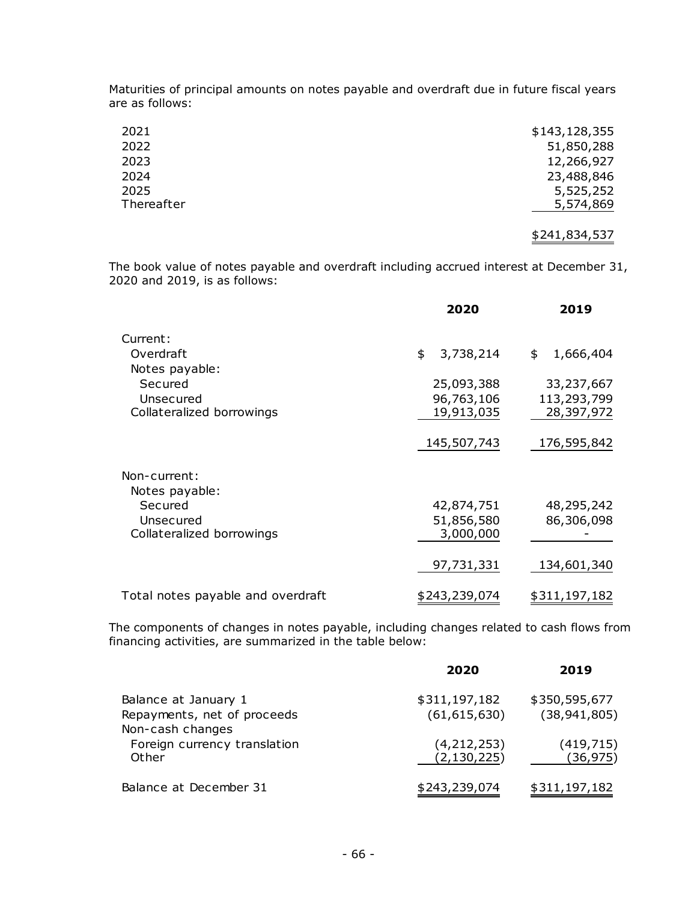Maturities of principal amounts on notes payable and overdraft due in future fiscal years are as follows:

| 2021       | \$143,128,355 |
|------------|---------------|
| 2022       | 51,850,288    |
| 2023       | 12,266,927    |
| 2024       | 23,488,846    |
| 2025       | 5,525,252     |
| Thereafter | 5,574,869     |
|            |               |

### \$241,834,537

The book value of notes payable and overdraft including accrued interest at December 31, 2020 and 2019, is as follows:

|                                   | 2020            | 2019            |
|-----------------------------------|-----------------|-----------------|
| Current:                          |                 |                 |
| Overdraft<br>Notes payable:       | 3,738,214<br>\$ | \$<br>1,666,404 |
| Secured                           | 25,093,388      | 33,237,667      |
| Unsecured                         | 96,763,106      | 113,293,799     |
| Collateralized borrowings         | 19,913,035      | 28,397,972      |
|                                   | 145,507,743     | 176,595,842     |
| Non-current:<br>Notes payable:    |                 |                 |
| Secured                           | 42,874,751      | 48,295,242      |
| Unsecured                         | 51,856,580      | 86,306,098      |
| Collateralized borrowings         | 3,000,000       |                 |
|                                   | 97,731,331      | 134,601,340     |
| Total notes payable and overdraft | \$243,239,074   | \$311,197,182   |

The components of changes in notes payable, including changes related to cash flows from financing activities, are summarized in the table below:

|                                                 | 2020                           | 2019                   |
|-------------------------------------------------|--------------------------------|------------------------|
| Balance at January 1                            | \$311,197,182                  | \$350,595,677          |
| Repayments, net of proceeds<br>Non-cash changes | (61, 615, 630)                 | (38, 941, 805)         |
| Foreign currency translation<br>Other           | (4, 212, 253)<br>(2, 130, 225) | (419, 715)<br>(36,975) |
| Balance at December 31                          | \$243,239,074                  | \$311,197,182          |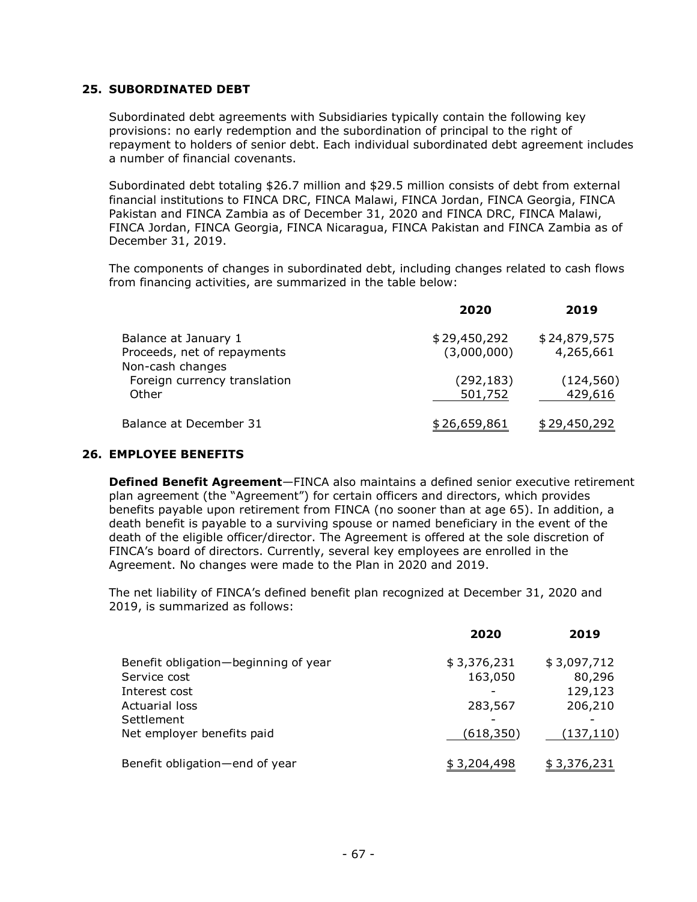#### **25. SUBORDINATED DEBT**

Subordinated debt agreements with Subsidiaries typically contain the following key provisions: no early redemption and the subordination of principal to the right of repayment to holders of senior debt. Each individual subordinated debt agreement includes a number of financial covenants.

Subordinated debt totaling \$26.7 million and \$29.5 million consists of debt from external financial institutions to FINCA DRC, FINCA Malawi, FINCA Jordan, FINCA Georgia, FINCA Pakistan and FINCA Zambia as of December 31, 2020 and FINCA DRC, FINCA Malawi, FINCA Jordan, FINCA Georgia, FINCA Nicaragua, FINCA Pakistan and FINCA Zambia as of December 31, 2019.

The components of changes in subordinated debt, including changes related to cash flows from financing activities, are summarized in the table below:

|                                                 | 2020                  | 2019                  |
|-------------------------------------------------|-----------------------|-----------------------|
| Balance at January 1                            | \$29,450,292          | \$24,879,575          |
| Proceeds, net of repayments<br>Non-cash changes | (3,000,000)           | 4,265,661             |
| Foreign currency translation<br>Other           | (292, 183)<br>501,752 | (124, 560)<br>429,616 |
| Balance at December 31                          | \$26,659,861          | \$29,450,292          |

#### **26. EMPLOYEE BENEFITS**

**Defined Benefit Agreement**—FINCA also maintains a defined senior executive retirement plan agreement (the "Agreement") for certain officers and directors, which provides benefits payable upon retirement from FINCA (no sooner than at age 65). In addition, a death benefit is payable to a surviving spouse or named beneficiary in the event of the death of the eligible officer/director. The Agreement is offered at the sole discretion of FINCA's board of directors. Currently, several key employees are enrolled in the Agreement. No changes were made to the Plan in 2020 and 2019.

The net liability of FINCA's defined benefit plan recognized at December 31, 2020 and 2019, is summarized as follows:

|                                      | 2020        | 2019        |
|--------------------------------------|-------------|-------------|
| Benefit obligation-beginning of year | \$3,376,231 | \$3,097,712 |
| Service cost                         | 163,050     | 80,296      |
| Interest cost                        |             | 129,123     |
| <b>Actuarial loss</b>                | 283,567     | 206,210     |
| Settlement                           |             |             |
| Net employer benefits paid           | (618,350)   | (137, 110)  |
| Benefit obligation-end of year       | \$3,204,498 | \$3,376,231 |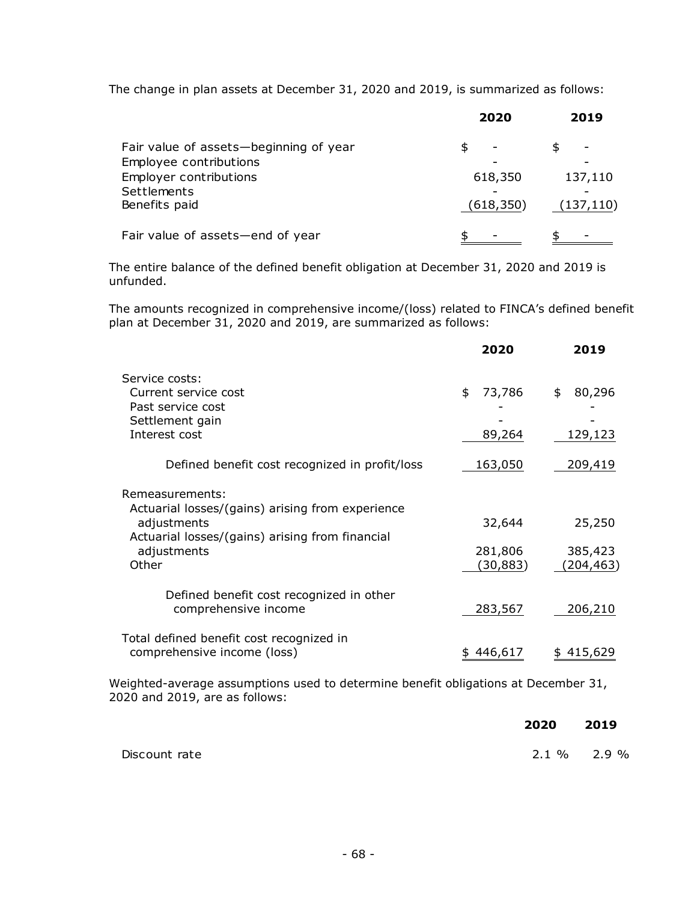The change in plan assets at December 31, 2020 and 2019, is summarized as follows:

|                                        | 2020       | 2019                         |
|----------------------------------------|------------|------------------------------|
| Fair value of assets—beginning of year | \$         | $\qquad \qquad \blacksquare$ |
| Employee contributions                 |            |                              |
| <b>Employer contributions</b>          | 618,350    | 137,110                      |
| Settlements<br>Benefits paid           | (618, 350) | (137, 110)                   |
| Fair value of assets-end of year       |            |                              |

The entire balance of the defined benefit obligation at December 31, 2020 and 2019 is unfunded.

The amounts recognized in comprehensive income/(loss) related to FINCA's defined benefit plan at December 31, 2020 and 2019, are summarized as follows:

|                                                                  | 2020         | 2019         |
|------------------------------------------------------------------|--------------|--------------|
| Service costs:                                                   |              |              |
| Current service cost                                             | 73,786<br>\$ | 80,296<br>\$ |
| Past service cost                                                |              |              |
| Settlement gain                                                  |              |              |
| Interest cost                                                    | 89,264       | 129,123      |
| Defined benefit cost recognized in profit/loss                   | 163,050      | 209,419      |
| Remeasurements:                                                  |              |              |
| Actuarial losses/(gains) arising from experience                 |              |              |
| adjustments<br>Actuarial losses/(gains) arising from financial   | 32,644       | 25,250       |
| adjustments                                                      | 281,806      | 385,423      |
| Other                                                            | (30, 883)    | (204, 463)   |
|                                                                  |              |              |
| Defined benefit cost recognized in other<br>comprehensive income | 283,567      | 206,210      |
|                                                                  |              |              |
| Total defined benefit cost recognized in                         |              |              |
| comprehensive income (loss)                                      | 446,617      | 415,629      |

Weighted-average assumptions used to determine benefit obligations at December 31, 2020 and 2019, are as follows:

|               | 2020          | 2019 |
|---------------|---------------|------|
| Discount rate | $2.1\%$ 2.9 % |      |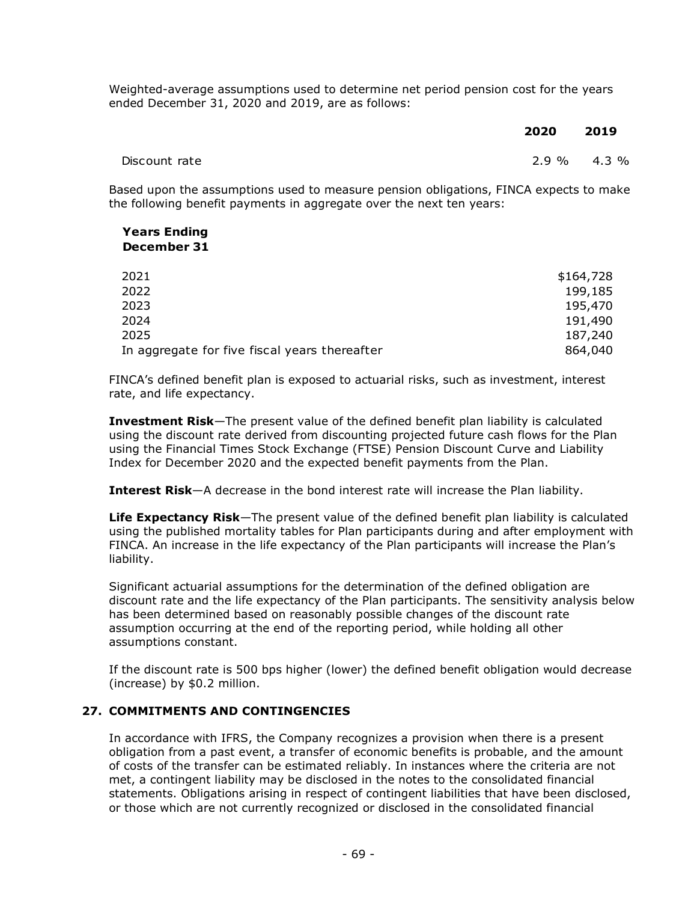Weighted-average assumptions used to determine net period pension cost for the years ended December 31, 2020 and 2019, are as follows:

|               | 2020 | 2019          |
|---------------|------|---------------|
| Discount rate |      | $2.9\%$ 4.3 % |

Based upon the assumptions used to measure pension obligations, FINCA expects to make the following benefit payments in aggregate over the next ten years:

#### **Years Ending December 31**

| 2021                                          | \$164,728 |
|-----------------------------------------------|-----------|
| 2022                                          | 199,185   |
| 2023                                          | 195,470   |
| 2024                                          | 191,490   |
| 2025                                          | 187,240   |
| In aggregate for five fiscal years thereafter | 864,040   |

FINCA's defined benefit plan is exposed to actuarial risks, such as investment, interest rate, and life expectancy.

**Investment Risk**—The present value of the defined benefit plan liability is calculated using the discount rate derived from discounting projected future cash flows for the Plan using the Financial Times Stock Exchange (FTSE) Pension Discount Curve and Liability Index for December 2020 and the expected benefit payments from the Plan.

**Interest Risk**—A decrease in the bond interest rate will increase the Plan liability.

**Life Expectancy Risk**—The present value of the defined benefit plan liability is calculated using the published mortality tables for Plan participants during and after employment with FINCA. An increase in the life expectancy of the Plan participants will increase the Plan's liability.

Significant actuarial assumptions for the determination of the defined obligation are discount rate and the life expectancy of the Plan participants. The sensitivity analysis below has been determined based on reasonably possible changes of the discount rate assumption occurring at the end of the reporting period, while holding all other assumptions constant.

If the discount rate is 500 bps higher (lower) the defined benefit obligation would decrease (increase) by \$0.2 million.

# **27. COMMITMENTS AND CONTINGENCIES**

In accordance with IFRS, the Company recognizes a provision when there is a present obligation from a past event, a transfer of economic benefits is probable, and the amount of costs of the transfer can be estimated reliably. In instances where the criteria are not met, a contingent liability may be disclosed in the notes to the consolidated financial statements. Obligations arising in respect of contingent liabilities that have been disclosed, or those which are not currently recognized or disclosed in the consolidated financial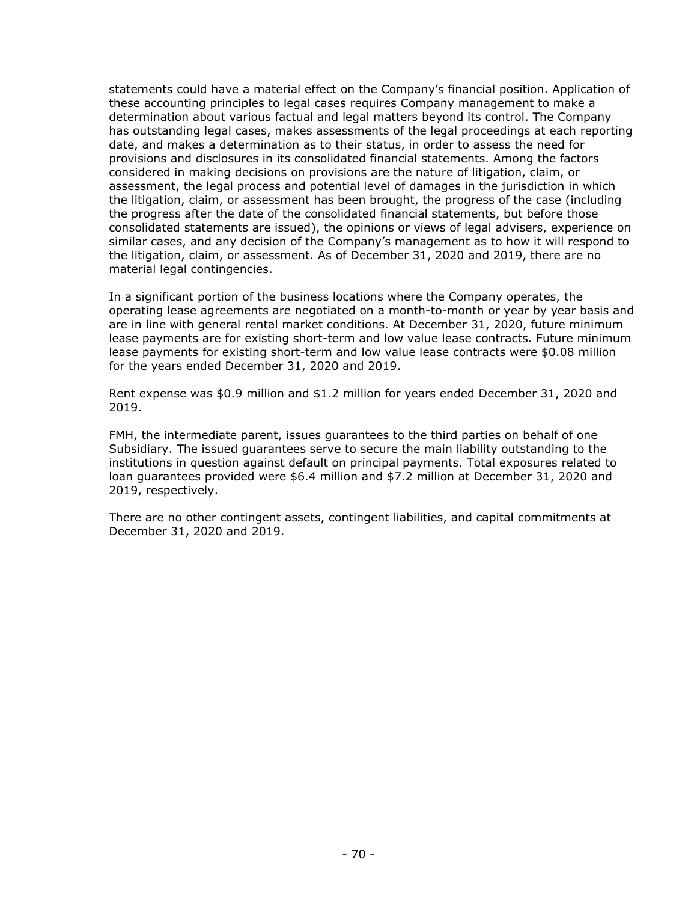statements could have a material effect on the Company's financial position. Application of these accounting principles to legal cases requires Company management to make a determination about various factual and legal matters beyond its control. The Company has outstanding legal cases, makes assessments of the legal proceedings at each reporting date, and makes a determination as to their status, in order to assess the need for provisions and disclosures in its consolidated financial statements. Among the factors considered in making decisions on provisions are the nature of litigation, claim, or assessment, the legal process and potential level of damages in the jurisdiction in which the litigation, claim, or assessment has been brought, the progress of the case (including the progress after the date of the consolidated financial statements, but before those consolidated statements are issued), the opinions or views of legal advisers, experience on similar cases, and any decision of the Company's management as to how it will respond to the litigation, claim, or assessment. As of December 31, 2020 and 2019, there are no material legal contingencies.

In a significant portion of the business locations where the Company operates, the operating lease agreements are negotiated on a month-to-month or year by year basis and are in line with general rental market conditions. At December 31, 2020, future minimum lease payments are for existing short-term and low value lease contracts. Future minimum lease payments for existing short-term and low value lease contracts were \$0.08 million for the years ended December 31, 2020 and 2019.

Rent expense was \$0.9 million and \$1.2 million for years ended December 31, 2020 and 2019.

FMH, the intermediate parent, issues guarantees to the third parties on behalf of one Subsidiary. The issued guarantees serve to secure the main liability outstanding to the institutions in question against default on principal payments. Total exposures related to loan guarantees provided were \$6.4 million and \$7.2 million at December 31, 2020 and 2019, respectively.

There are no other contingent assets, contingent liabilities, and capital commitments at December 31, 2020 and 2019.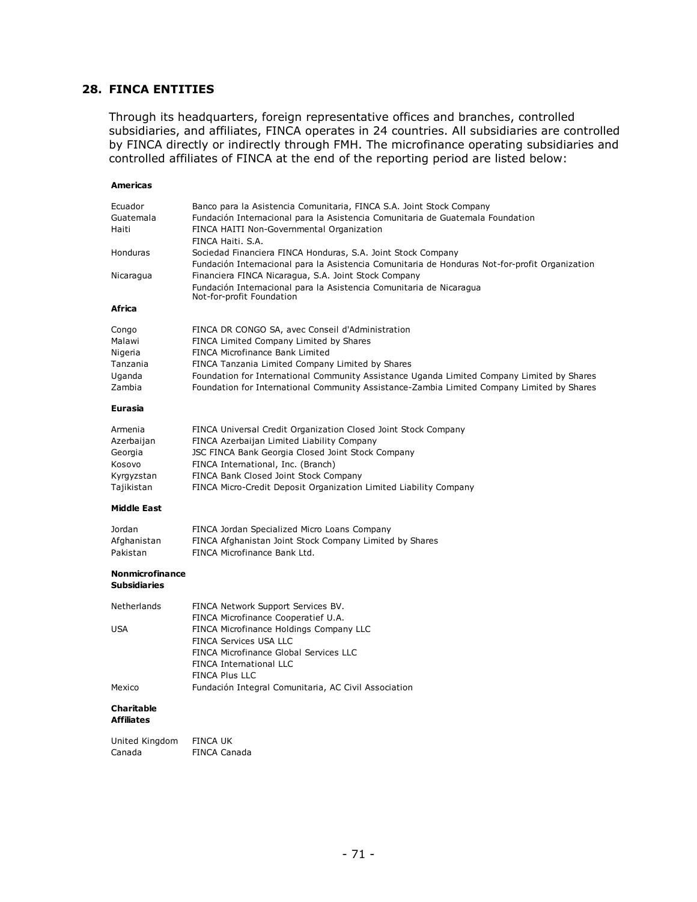## **28. FINCA ENTITIES**

Through its headquarters, foreign representative offices and branches, controlled subsidiaries, and affiliates, FINCA operates in 24 countries. All subsidiaries are controlled by FINCA directly or indirectly through FMH. The microfinance operating subsidiaries and controlled affiliates of FINCA at the end of the reporting period are listed below:

#### **Americas**

| Ecuador                                       | Banco para la Asistencia Comunitaria, FINCA S.A. Joint Stock Company                           |
|-----------------------------------------------|------------------------------------------------------------------------------------------------|
| Guatemala                                     | Fundación Internacional para la Asistencia Comunitaria de Guatemala Foundation                 |
| Haiti                                         | FINCA HAITI Non-Governmental Organization                                                      |
|                                               | FINCA Haiti, S.A.                                                                              |
| Honduras                                      | Sociedad Financiera FINCA Honduras, S.A. Joint Stock Company                                   |
|                                               | Fundación Internacional para la Asistencia Comunitaria de Honduras Not-for-profit Organization |
| Nicaragua                                     | Financiera FINCA Nicaragua, S.A. Joint Stock Company                                           |
|                                               | Fundación Internacional para la Asistencia Comunitaria de Nicaragua                            |
|                                               | Not-for-profit Foundation                                                                      |
| Africa                                        |                                                                                                |
| Congo                                         | FINCA DR CONGO SA, avec Conseil d'Administration                                               |
| Malawi                                        | FINCA Limited Company Limited by Shares                                                        |
| Nigeria                                       | FINCA Microfinance Bank Limited                                                                |
| Tanzania                                      | FINCA Tanzania Limited Company Limited by Shares                                               |
| Uganda                                        | Foundation for International Community Assistance Uganda Limited Company Limited by Shares     |
| Zambia                                        | Foundation for International Community Assistance-Zambia Limited Company Limited by Shares     |
| Eurasia                                       |                                                                                                |
| Armenia                                       | FINCA Universal Credit Organization Closed Joint Stock Company                                 |
| Azerbaijan                                    | FINCA Azerbaijan Limited Liability Company                                                     |
| Georgia                                       | JSC FINCA Bank Georgia Closed Joint Stock Company                                              |
| Kosovo                                        | FINCA International, Inc. (Branch)                                                             |
| Kyrgyzstan                                    | FINCA Bank Closed Joint Stock Company                                                          |
| Tajikistan                                    | FINCA Micro-Credit Deposit Organization Limited Liability Company                              |
| Middle East                                   |                                                                                                |
| Jordan                                        | FINCA Jordan Specialized Micro Loans Company                                                   |
| Afghanistan                                   | FINCA Afghanistan Joint Stock Company Limited by Shares                                        |
| Pakistan                                      | FINCA Microfinance Bank Ltd.                                                                   |
| <b>Nonmicrofinance</b><br><b>Subsidiaries</b> |                                                                                                |
| Netherlands                                   | FINCA Network Support Services BV.                                                             |
|                                               | FINCA Microfinance Cooperatief U.A.                                                            |
| <b>USA</b>                                    | FINCA Microfinance Holdings Company LLC                                                        |
|                                               | FINCA Services USA LLC                                                                         |
|                                               | FINCA Microfinance Global Services LLC                                                         |
|                                               | FINCA International LLC                                                                        |
|                                               | <b>FINCA Plus LLC</b>                                                                          |
| Mexico                                        | Fundación Integral Comunitaria, AC Civil Association                                           |
| <b>Charitable</b><br>Affiliates               |                                                                                                |
| United Kingdom                                | <b>FINCA UK</b>                                                                                |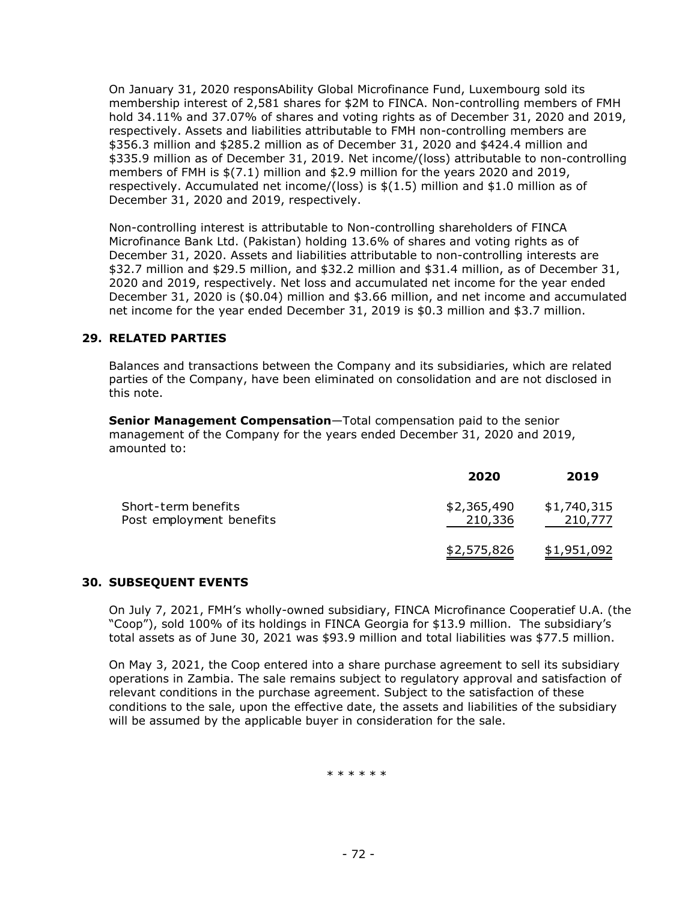On January 31, 2020 responsAbility Global Microfinance Fund, Luxembourg sold its membership interest of 2,581 shares for \$2M to FINCA. Non-controlling members of FMH hold 34.11% and 37.07% of shares and voting rights as of December 31, 2020 and 2019, respectively. Assets and liabilities attributable to FMH non-controlling members are \$356.3 million and \$285.2 million as of December 31, 2020 and \$424.4 million and \$335.9 million as of December 31, 2019. Net income/(loss) attributable to non-controlling members of FMH is \$(7.1) million and \$2.9 million for the years 2020 and 2019, respectively. Accumulated net income/(loss) is \$(1.5) million and \$1.0 million as of December 31, 2020 and 2019, respectively.

Non-controlling interest is attributable to Non-controlling shareholders of FINCA Microfinance Bank Ltd. (Pakistan) holding 13.6% of shares and voting rights as of December 31, 2020. Assets and liabilities attributable to non-controlling interests are \$32.7 million and \$29.5 million, and \$32.2 million and \$31.4 million, as of December 31, 2020 and 2019, respectively. Net loss and accumulated net income for the year ended December 31, 2020 is (\$0.04) million and \$3.66 million, and net income and accumulated net income for the year ended December 31, 2019 is \$0.3 million and \$3.7 million.

## **29. RELATED PARTIES**

Balances and transactions between the Company and its subsidiaries, which are related parties of the Company, have been eliminated on consolidation and are not disclosed in this note.

**Senior Management Compensation**—Total compensation paid to the senior management of the Company for the years ended December 31, 2020 and 2019, amounted to:

|                                                 | 2020                   | 2019                   |
|-------------------------------------------------|------------------------|------------------------|
| Short-term benefits<br>Post employment benefits | \$2,365,490<br>210,336 | \$1,740,315<br>210,777 |
|                                                 | \$2,575,826            | \$1,951,092            |

### **30. SUBSEQUENT EVENTS**

On July 7, 2021, FMH's wholly-owned subsidiary, FINCA Microfinance Cooperatief U.A. (the "Coop"), sold 100% of its holdings in FINCA Georgia for \$13.9 million. The subsidiary's total assets as of June 30, 2021 was \$93.9 million and total liabilities was \$77.5 million.

On May 3, 2021, the Coop entered into a share purchase agreement to sell its subsidiary operations in Zambia. The sale remains subject to regulatory approval and satisfaction of relevant conditions in the purchase agreement. Subject to the satisfaction of these conditions to the sale, upon the effective date, the assets and liabilities of the subsidiary will be assumed by the applicable buyer in consideration for the sale.

\*\*\*\*\*\*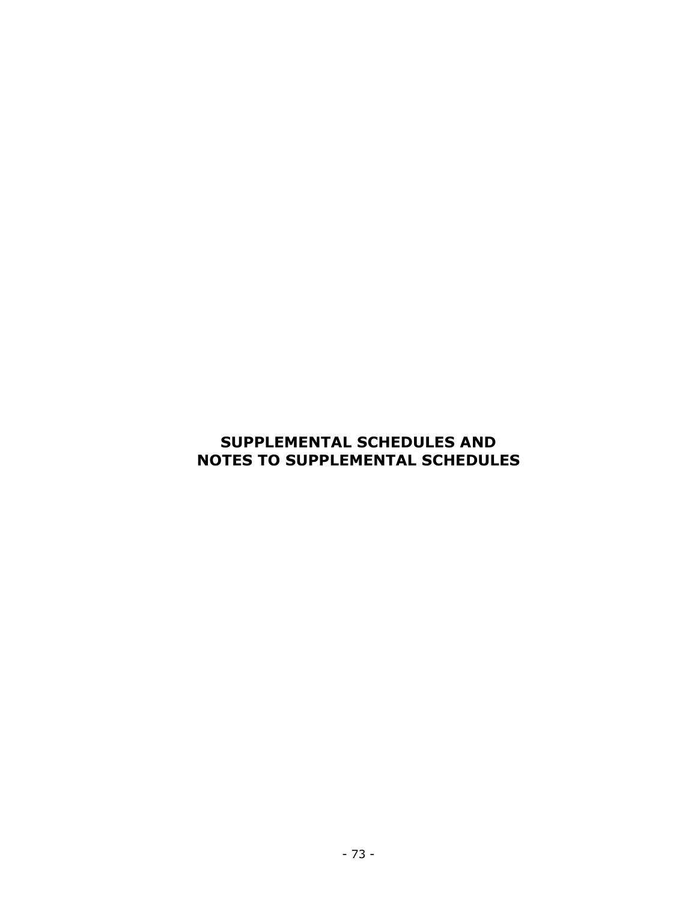# **SUPPLEMENTAL SCHEDULES AND NOTES TO SUPPLEMENTAL SCHEDULES**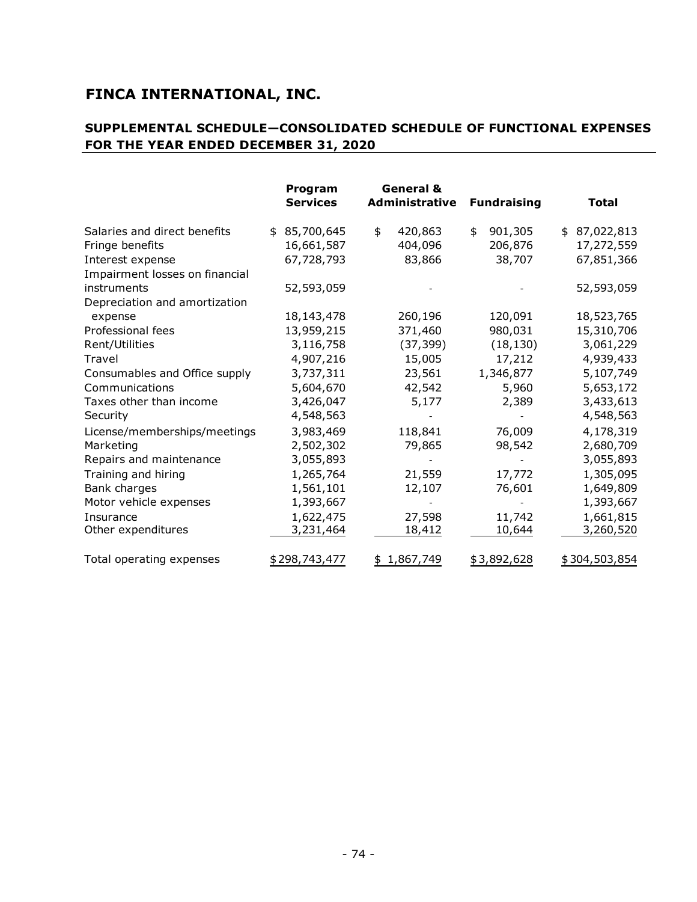# **SUPPLEMENTAL SCHEDULE—CONSOLIDATED SCHEDULE OF FUNCTIONAL EXPENSES FOR THE YEAR ENDED DECEMBER 31, 2020**

|                                | Program<br><b>Services</b> | <b>General &amp;</b><br><b>Administrative</b> |    | <b>Fundraising</b> |    | <b>Total</b>  |
|--------------------------------|----------------------------|-----------------------------------------------|----|--------------------|----|---------------|
| Salaries and direct benefits   | 85,700,645<br>\$           | \$<br>420,863                                 | \$ | 901,305            | \$ | 87,022,813    |
| Fringe benefits                | 16,661,587                 | 404,096                                       |    | 206,876            |    | 17,272,559    |
| Interest expense               | 67,728,793                 | 83,866                                        |    | 38,707             |    | 67,851,366    |
| Impairment losses on financial |                            |                                               |    |                    |    |               |
| instruments                    | 52,593,059                 |                                               |    |                    |    | 52,593,059    |
| Depreciation and amortization  |                            |                                               |    |                    |    |               |
| expense                        | 18, 143, 478               | 260,196                                       |    | 120,091            |    | 18,523,765    |
| Professional fees              | 13,959,215                 | 371,460                                       |    | 980,031            |    | 15,310,706    |
| Rent/Utilities                 | 3,116,758                  | (37, 399)                                     |    | (18, 130)          |    | 3,061,229     |
| Travel                         | 4,907,216                  | 15,005                                        |    | 17,212             |    | 4,939,433     |
| Consumables and Office supply  | 3,737,311                  | 23,561                                        |    | 1,346,877          |    | 5,107,749     |
| Communications                 | 5,604,670                  | 42,542                                        |    | 5,960              |    | 5,653,172     |
| Taxes other than income        | 3,426,047                  | 5,177                                         |    | 2,389              |    | 3,433,613     |
| Security                       | 4,548,563                  |                                               |    |                    |    | 4,548,563     |
| License/memberships/meetings   | 3,983,469                  | 118,841                                       |    | 76,009             |    | 4,178,319     |
| Marketing                      | 2,502,302                  | 79,865                                        |    | 98,542             |    | 2,680,709     |
| Repairs and maintenance        | 3,055,893                  |                                               |    |                    |    | 3,055,893     |
| Training and hiring            | 1,265,764                  | 21,559                                        |    | 17,772             |    | 1,305,095     |
| Bank charges                   | 1,561,101                  | 12,107                                        |    | 76,601             |    | 1,649,809     |
| Motor vehicle expenses         | 1,393,667                  |                                               |    |                    |    | 1,393,667     |
| Insurance                      | 1,622,475                  | 27,598                                        |    | 11,742             |    | 1,661,815     |
| Other expenditures             | 3,231,464                  | 18,412                                        |    | 10,644             |    | 3,260,520     |
| Total operating expenses       | \$298,743,477              | \$1,867,749                                   |    | \$3,892,628        |    | \$304,503,854 |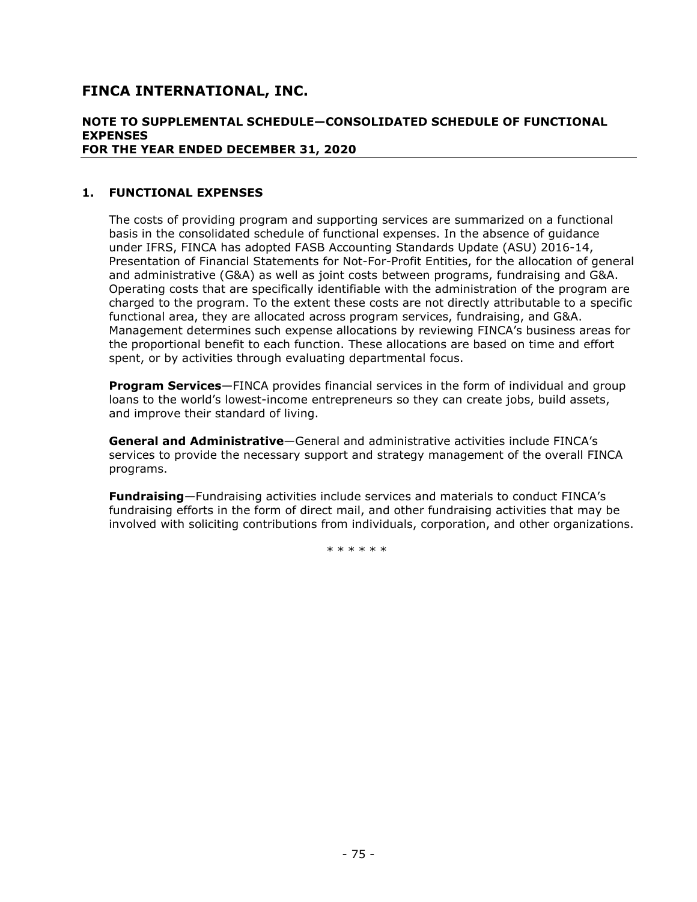#### **NOTE TO SUPPLEMENTAL SCHEDULE—CONSOLIDATED SCHEDULE OF FUNCTIONAL EXPENSES FOR THE YEAR ENDED DECEMBER 31, 2020**

### **1. FUNCTIONAL EXPENSES**

The costs of providing program and supporting services are summarized on a functional basis in the consolidated schedule of functional expenses. In the absence of guidance under IFRS, FINCA has adopted FASB Accounting Standards Update (ASU) 2016-14, Presentation of Financial Statements for Not-For-Profit Entities, for the allocation of general and administrative (G&A) as well as joint costs between programs, fundraising and G&A. Operating costs that are specifically identifiable with the administration of the program are charged to the program. To the extent these costs are not directly attributable to a specific functional area, they are allocated across program services, fundraising, and G&A. Management determines such expense allocations by reviewing FINCA's business areas for the proportional benefit to each function. These allocations are based on time and effort spent, or by activities through evaluating departmental focus.

**Program Services**—FINCA provides financial services in the form of individual and group loans to the world's lowest-income entrepreneurs so they can create jobs, build assets, and improve their standard of living.

**General and Administrative**—General and administrative activities include FINCA's services to provide the necessary support and strategy management of the overall FINCA programs.

**Fundraising**—Fundraising activities include services and materials to conduct FINCA's fundraising efforts in the form of direct mail, and other fundraising activities that may be involved with soliciting contributions from individuals, corporation, and other organizations.

\*\*\*\*\*\*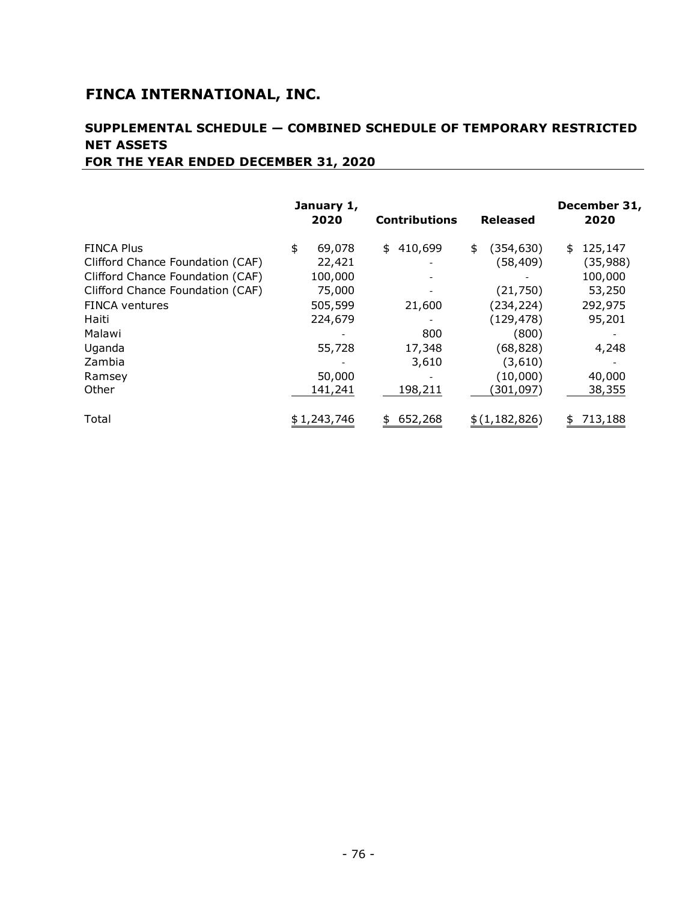## **SUPPLEMENTAL SCHEDULE — COMBINED SCHEDULE OF TEMPORARY RESTRICTED NET ASSETS FOR THE YEAR ENDED DECEMBER 31, 2020**

|                                  | January 1,<br>2020 | <b>Contributions</b> | <b>Released</b> | December 31,<br>2020 |
|----------------------------------|--------------------|----------------------|-----------------|----------------------|
| <b>FINCA Plus</b>                | \$<br>69,078       | \$<br>410,699        | \$<br>(354,630) | \$<br>125,147        |
| Clifford Chance Foundation (CAF) | 22,421             |                      | (58, 409)       | (35, 988)            |
| Clifford Chance Foundation (CAF) | 100,000            |                      |                 | 100,000              |
| Clifford Chance Foundation (CAF) | 75,000             |                      | (21,750)        | 53,250               |
| <b>FINCA ventures</b>            | 505,599            | 21,600               | (234, 224)      | 292,975              |
| Haiti                            | 224,679            |                      | (129,478)       | 95,201               |
| Malawi                           |                    | 800                  | (800)           |                      |
| Uganda                           | 55,728             | 17,348               | (68, 828)       | 4,248                |
| Zambia                           |                    | 3,610                | (3,610)         |                      |
| Ramsey                           | 50,000             |                      | (10,000)        | 40,000               |
| Other                            | 141,241            | 198,211              | (301, 097)      | 38,355               |
| Total                            | \$1,243,746        | \$<br>652,268        | \$(1,182,826)   | \$<br>713,188        |